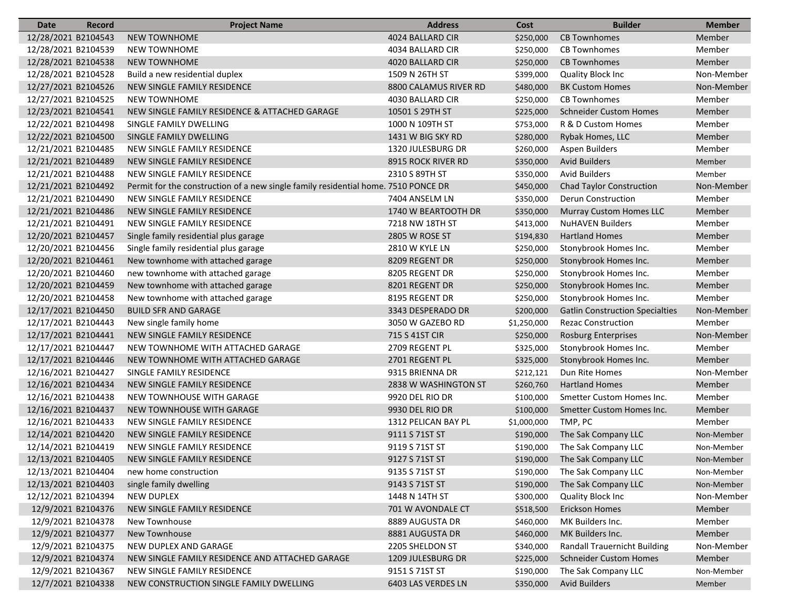| <b>Date</b>         | Record             | <b>Project Name</b>                                                                | <b>Address</b>        | Cost        | <b>Builder</b>                         | <b>Member</b> |
|---------------------|--------------------|------------------------------------------------------------------------------------|-----------------------|-------------|----------------------------------------|---------------|
| 12/28/2021 B2104543 |                    | <b>NEW TOWNHOME</b>                                                                | 4024 BALLARD CIR      | \$250,000   | <b>CB Townhomes</b>                    | Member        |
| 12/28/2021 B2104539 |                    | <b>NEW TOWNHOME</b>                                                                | 4034 BALLARD CIR      | \$250,000   | <b>CB Townhomes</b>                    | Member        |
| 12/28/2021 B2104538 |                    | <b>NEW TOWNHOME</b>                                                                | 4020 BALLARD CIR      | \$250,000   | <b>CB Townhomes</b>                    | Member        |
| 12/28/2021 B2104528 |                    | Build a new residential duplex                                                     | 1509 N 26TH ST        | \$399,000   | Quality Block Inc                      | Non-Member    |
| 12/27/2021 B2104526 |                    | NEW SINGLE FAMILY RESIDENCE                                                        | 8800 CALAMUS RIVER RD | \$480,000   | <b>BK Custom Homes</b>                 | Non-Member    |
| 12/27/2021 B2104525 |                    | <b>NEW TOWNHOME</b>                                                                | 4030 BALLARD CIR      | \$250,000   | <b>CB Townhomes</b>                    | Member        |
| 12/23/2021 B2104541 |                    | NEW SINGLE FAMILY RESIDENCE & ATTACHED GARAGE                                      | 10501 S 29TH ST       | \$225,000   | <b>Schneider Custom Homes</b>          | Member        |
| 12/22/2021 B2104498 |                    | SINGLE FAMILY DWELLING                                                             | 1000 N 109TH ST       | \$753,000   | R & D Custom Homes                     | Member        |
| 12/22/2021 B2104500 |                    | SINGLE FAMILY DWELLING                                                             | 1431 W BIG SKY RD     | \$280,000   | Rybak Homes, LLC                       | Member        |
| 12/21/2021 B2104485 |                    | NEW SINGLE FAMILY RESIDENCE                                                        | 1320 JULESBURG DR     | \$260,000   | <b>Aspen Builders</b>                  | Member        |
| 12/21/2021 B2104489 |                    | NEW SINGLE FAMILY RESIDENCE                                                        | 8915 ROCK RIVER RD    | \$350,000   | <b>Avid Builders</b>                   | Member        |
| 12/21/2021 B2104488 |                    | NEW SINGLE FAMILY RESIDENCE                                                        | 2310 S 89TH ST        | \$350,000   | <b>Avid Builders</b>                   | Member        |
| 12/21/2021 B2104492 |                    | Permit for the construction of a new single family residential home. 7510 PONCE DR |                       | \$450,000   | <b>Chad Taylor Construction</b>        | Non-Member    |
| 12/21/2021 B2104490 |                    | NEW SINGLE FAMILY RESIDENCE                                                        | 7404 ANSELM LN        | \$350,000   | Derun Construction                     | Member        |
| 12/21/2021 B2104486 |                    | NEW SINGLE FAMILY RESIDENCE                                                        | 1740 W BEARTOOTH DR   | \$350,000   | <b>Murray Custom Homes LLC</b>         | Member        |
| 12/21/2021 B2104491 |                    | NEW SINGLE FAMILY RESIDENCE                                                        | 7218 NW 18TH ST       | \$413,000   | <b>NuHAVEN Builders</b>                | Member        |
| 12/20/2021 B2104457 |                    | Single family residential plus garage                                              | 2805 W ROSE ST        | \$194,830   | <b>Hartland Homes</b>                  | Member        |
| 12/20/2021 B2104456 |                    | Single family residential plus garage                                              | <b>2810 W KYLE LN</b> | \$250,000   | Stonybrook Homes Inc.                  | Member        |
| 12/20/2021 B2104461 |                    | New townhome with attached garage                                                  | 8209 REGENT DR        | \$250,000   | Stonybrook Homes Inc.                  | Member        |
| 12/20/2021 B2104460 |                    | new townhome with attached garage                                                  | 8205 REGENT DR        | \$250,000   | Stonybrook Homes Inc.                  | Member        |
| 12/20/2021 B2104459 |                    | New townhome with attached garage                                                  | 8201 REGENT DR        | \$250,000   | Stonybrook Homes Inc.                  | Member        |
| 12/20/2021 B2104458 |                    | New townhome with attached garage                                                  | 8195 REGENT DR        | \$250,000   | Stonybrook Homes Inc.                  | Member        |
| 12/17/2021 B2104450 |                    | <b>BUILD SFR AND GARAGE</b>                                                        | 3343 DESPERADO DR     | \$200,000   | <b>Gatlin Construction Specialties</b> | Non-Member    |
| 12/17/2021 B2104443 |                    | New single family home                                                             | 3050 W GAZEBO RD      | \$1,250,000 | <b>Rezac Construction</b>              | Member        |
| 12/17/2021 B2104441 |                    | NEW SINGLE FAMILY RESIDENCE                                                        | 715 S 41ST CIR        | \$250,000   | <b>Rosburg Enterprises</b>             | Non-Member    |
| 12/17/2021 B2104447 |                    | NEW TOWNHOME WITH ATTACHED GARAGE                                                  | 2709 REGENT PL        | \$325,000   | Stonybrook Homes Inc.                  | Member        |
| 12/17/2021 B2104446 |                    | NEW TOWNHOME WITH ATTACHED GARAGE                                                  | 2701 REGENT PL        | \$325,000   | Stonybrook Homes Inc.                  | Member        |
| 12/16/2021 B2104427 |                    | SINGLE FAMILY RESIDENCE                                                            | 9315 BRIENNA DR       | \$212,121   | Dun Rite Homes                         | Non-Member    |
| 12/16/2021 B2104434 |                    | NEW SINGLE FAMILY RESIDENCE                                                        | 2838 W WASHINGTON ST  | \$260,760   | <b>Hartland Homes</b>                  | Member        |
| 12/16/2021 B2104438 |                    | NEW TOWNHOUSE WITH GARAGE                                                          | 9920 DEL RIO DR       | \$100,000   | Smetter Custom Homes Inc.              | Member        |
| 12/16/2021 B2104437 |                    | NEW TOWNHOUSE WITH GARAGE                                                          | 9930 DEL RIO DR       | \$100,000   | Smetter Custom Homes Inc.              | Member        |
| 12/16/2021 B2104433 |                    | NEW SINGLE FAMILY RESIDENCE                                                        | 1312 PELICAN BAY PL   | \$1,000,000 | TMP, PC                                | Member        |
| 12/14/2021 B2104420 |                    | NEW SINGLE FAMILY RESIDENCE                                                        | 9111 S 71ST ST        | \$190,000   | The Sak Company LLC                    | Non-Member    |
| 12/14/2021 B2104419 |                    | NEW SINGLE FAMILY RESIDENCE                                                        | 9119 S 71ST ST        | \$190,000   | The Sak Company LLC                    | Non-Member    |
| 12/13/2021 B2104405 |                    | NEW SINGLE FAMILY RESIDENCE                                                        | 9127 S 71ST ST        | \$190,000   | The Sak Company LLC                    | Non-Member    |
| 12/13/2021 B2104404 |                    | new home construction                                                              | 9135 S 71ST ST        | \$190,000   | The Sak Company LLC                    | Non-Member    |
| 12/13/2021 B2104403 |                    | single family dwelling                                                             | 9143 S 71ST ST        | \$190,000   | The Sak Company LLC                    | Non-Member    |
| 12/12/2021 B2104394 |                    | <b>NEW DUPLEX</b>                                                                  | 1448 N 14TH ST        | \$300,000   | <b>Quality Block Inc</b>               | Non-Member    |
| 12/9/2021 B2104376  |                    | NEW SINGLE FAMILY RESIDENCE                                                        | 701 W AVONDALE CT     | \$518,500   | Erickson Homes                         | Member        |
|                     | 12/9/2021 B2104378 | New Townhouse                                                                      | 8889 AUGUSTA DR       | \$460,000   | MK Builders Inc.                       | Member        |
| 12/9/2021 B2104377  |                    | New Townhouse                                                                      | 8881 AUGUSTA DR       | \$460,000   | MK Builders Inc.                       | Member        |
| 12/9/2021 B2104375  |                    | NEW DUPLEX AND GARAGE                                                              | 2205 SHELDON ST       | \$340,000   | <b>Randall Trauernicht Building</b>    | Non-Member    |
| 12/9/2021 B2104374  |                    | NEW SINGLE FAMILY RESIDENCE AND ATTACHED GARAGE                                    | 1209 JULESBURG DR     | \$225,000   | <b>Schneider Custom Homes</b>          | Member        |
| 12/9/2021 B2104367  |                    | NEW SINGLE FAMILY RESIDENCE                                                        | 9151 S 71ST ST        | \$190,000   | The Sak Company LLC                    | Non-Member    |
|                     | 12/7/2021 B2104338 | NEW CONSTRUCTION SINGLE FAMILY DWELLING                                            | 6403 LAS VERDES LN    | \$350,000   | <b>Avid Builders</b>                   | Member        |
|                     |                    |                                                                                    |                       |             |                                        |               |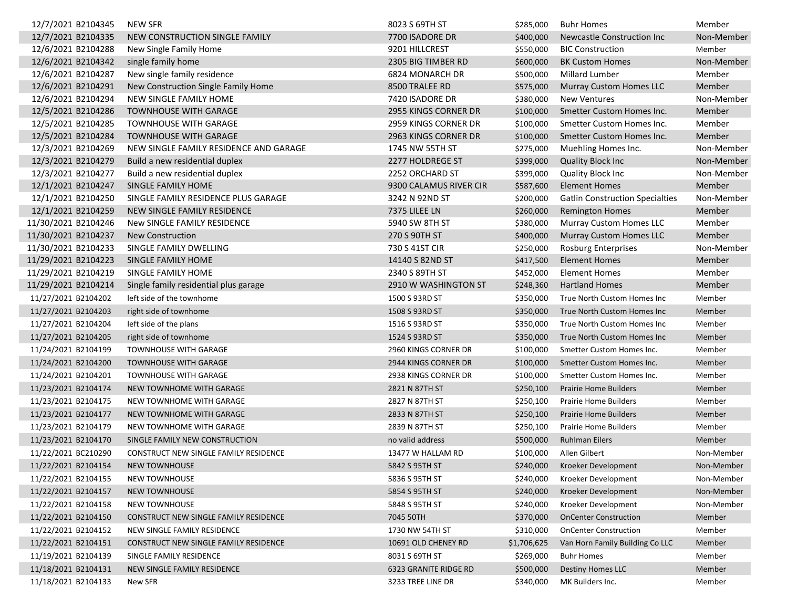| 12/7/2021 B2104345  | NEW SFR                                | 8023 S 69TH ST         | \$285,000   | <b>Buhr Homes</b>                      | Member     |
|---------------------|----------------------------------------|------------------------|-------------|----------------------------------------|------------|
| 12/7/2021 B2104335  | NEW CONSTRUCTION SINGLE FAMILY         | 7700 ISADORE DR        | \$400,000   | Newcastle Construction Inc             | Non-Member |
| 12/6/2021 B2104288  | New Single Family Home                 | 9201 HILLCREST         | \$550,000   | <b>BIC Construction</b>                | Member     |
| 12/6/2021 B2104342  | single family home                     | 2305 BIG TIMBER RD     | \$600,000   | <b>BK Custom Homes</b>                 | Non-Member |
| 12/6/2021 B2104287  | New single family residence            | 6824 MONARCH DR        | \$500,000   | Millard Lumber                         | Member     |
| 12/6/2021 B2104291  | New Construction Single Family Home    | 8500 TRALEE RD         | \$575,000   | <b>Murray Custom Homes LLC</b>         | Member     |
| 12/6/2021 B2104294  | NEW SINGLE FAMILY HOME                 | 7420 ISADORE DR        | \$380,000   | <b>New Ventures</b>                    | Non-Member |
| 12/5/2021 B2104286  | TOWNHOUSE WITH GARAGE                  | 2955 KINGS CORNER DR   | \$100,000   | Smetter Custom Homes Inc.              | Member     |
| 12/5/2021 B2104285  | <b>TOWNHOUSE WITH GARAGE</b>           | 2959 KINGS CORNER DR   | \$100,000   | Smetter Custom Homes Inc.              | Member     |
| 12/5/2021 B2104284  | <b>TOWNHOUSE WITH GARAGE</b>           | 2963 KINGS CORNER DR   | \$100,000   | Smetter Custom Homes Inc.              | Member     |
| 12/3/2021 B2104269  | NEW SINGLE FAMILY RESIDENCE AND GARAGE | 1745 NW 55TH ST        | \$275,000   | Muehling Homes Inc.                    | Non-Member |
| 12/3/2021 B2104279  | Build a new residential duplex         | 2277 HOLDREGE ST       | \$399,000   | <b>Quality Block Inc</b>               | Non-Member |
| 12/3/2021 B2104277  | Build a new residential duplex         | 2252 ORCHARD ST        | \$399,000   | <b>Quality Block Inc</b>               | Non-Member |
| 12/1/2021 B2104247  | SINGLE FAMILY HOME                     | 9300 CALAMUS RIVER CIR | \$587,600   | Element Homes                          | Member     |
| 12/1/2021 B2104250  | SINGLE FAMILY RESIDENCE PLUS GARAGE    | 3242 N 92ND ST         | \$200,000   | <b>Gatlin Construction Specialties</b> | Non-Member |
| 12/1/2021 B2104259  | NEW SINGLE FAMILY RESIDENCE            | 7375 LILEE LN          | \$260,000   | <b>Remington Homes</b>                 | Member     |
| 11/30/2021 B2104246 | <b>New SINGLE FAMILY RESIDENCE</b>     | 5940 SW 8TH ST         | \$380,000   | <b>Murray Custom Homes LLC</b>         | Member     |
| 11/30/2021 B2104237 | <b>New Construction</b>                | 270 S 90TH ST          | \$400,000   | <b>Murray Custom Homes LLC</b>         | Member     |
| 11/30/2021 B2104233 | SINGLE FAMILY DWELLING                 | 730 S 41ST CIR         | \$250,000   | Rosburg Enterprises                    | Non-Member |
| 11/29/2021 B2104223 | SINGLE FAMILY HOME                     | 14140 S 82ND ST        | \$417,500   | <b>Element Homes</b>                   | Member     |
| 11/29/2021 B2104219 | SINGLE FAMILY HOME                     | 2340 S 89TH ST         | \$452,000   | <b>Element Homes</b>                   | Member     |
| 11/29/2021 B2104214 | Single family residential plus garage  | 2910 W WASHINGTON ST   | \$248,360   | <b>Hartland Homes</b>                  | Member     |
| 11/27/2021 B2104202 | left side of the townhome              | 1500 S 93RD ST         | \$350,000   | True North Custom Homes Inc            | Member     |
| 11/27/2021 B2104203 | right side of townhome                 | 1508 S 93RD ST         | \$350,000   | True North Custom Homes Inc            | Member     |
| 11/27/2021 B2104204 | left side of the plans                 | 1516 S 93RD ST         | \$350,000   | True North Custom Homes Inc            | Member     |
| 11/27/2021 B2104205 | right side of townhome                 | 1524 S 93RD ST         | \$350,000   | True North Custom Homes Inc            | Member     |
| 11/24/2021 B2104199 | <b>TOWNHOUSE WITH GARAGE</b>           | 2960 KINGS CORNER DR   | \$100,000   | Smetter Custom Homes Inc.              | Member     |
| 11/24/2021 B2104200 | <b>TOWNHOUSE WITH GARAGE</b>           | 2944 KINGS CORNER DR   | \$100,000   | Smetter Custom Homes Inc.              | Member     |
| 11/24/2021 B2104201 | <b>TOWNHOUSE WITH GARAGE</b>           | 2938 KINGS CORNER DR   | \$100,000   | Smetter Custom Homes Inc.              | Member     |
| 11/23/2021 B2104174 | NEW TOWNHOME WITH GARAGE               | 2821 N 87TH ST         | \$250,100   | <b>Prairie Home Builders</b>           | Member     |
| 11/23/2021 B2104175 | NEW TOWNHOME WITH GARAGE               | 2827 N 87TH ST         | \$250,100   | <b>Prairie Home Builders</b>           | Member     |
| 11/23/2021 B2104177 | NEW TOWNHOME WITH GARAGE               | 2833 N 87TH ST         | \$250,100   | <b>Prairie Home Builders</b>           | Member     |
| 11/23/2021 B2104179 | NEW TOWNHOME WITH GARAGE               | 2839 N 87TH ST         | \$250,100   | Prairie Home Builders                  | Member     |
| 11/23/2021 B2104170 | SINGLE FAMILY NEW CONSTRUCTION         | no valid address       | \$500,000   | <b>Ruhlman Eilers</b>                  | Member     |
| 11/22/2021 BC210290 | CONSTRUCT NEW SINGLE FAMILY RESIDENCE  | 13477 W HALLAM RD      | \$100,000   | Allen Gilbert                          | Non-Member |
| 11/22/2021 B2104154 | NEW TOWNHOUSE                          | 5842 S 95TH ST         |             | \$240,000 Kroeker Development          | Non-Member |
| 11/22/2021 B2104155 | NEW TOWNHOUSE                          | 5836 S 95TH ST         | \$240,000   | Kroeker Development                    | Non-Member |
| 11/22/2021 B2104157 | <b>NEW TOWNHOUSE</b>                   | 5854 S 95TH ST         | \$240,000   | Kroeker Development                    | Non-Member |
| 11/22/2021 B2104158 | NEW TOWNHOUSE                          | 5848 S 95TH ST         | \$240,000   | Kroeker Development                    | Non-Member |
| 11/22/2021 B2104150 | CONSTRUCT NEW SINGLE FAMILY RESIDENCE  | 7045 50TH              | \$370,000   | <b>OnCenter Construction</b>           | Member     |
| 11/22/2021 B2104152 | NEW SINGLE FAMILY RESIDENCE            | 1730 NW 54TH ST        | \$310,000   | <b>OnCenter Construction</b>           | Member     |
| 11/22/2021 B2104151 | CONSTRUCT NEW SINGLE FAMILY RESIDENCE  | 10691 OLD CHENEY RD    | \$1,706,625 | Van Horn Family Building Co LLC        | Member     |
|                     |                                        |                        |             |                                        |            |
| 11/19/2021 B2104139 | SINGLE FAMILY RESIDENCE                | 8031 S 69TH ST         | \$269,000   | <b>Buhr Homes</b>                      | Member     |
| 11/18/2021 B2104131 | NEW SINGLE FAMILY RESIDENCE            | 6323 GRANITE RIDGE RD  | \$500,000   | <b>Destiny Homes LLC</b>               | Member     |
| 11/18/2021 B2104133 | New SFR                                | 3233 TREE LINE DR      | \$340,000   | MK Builders Inc.                       | Member     |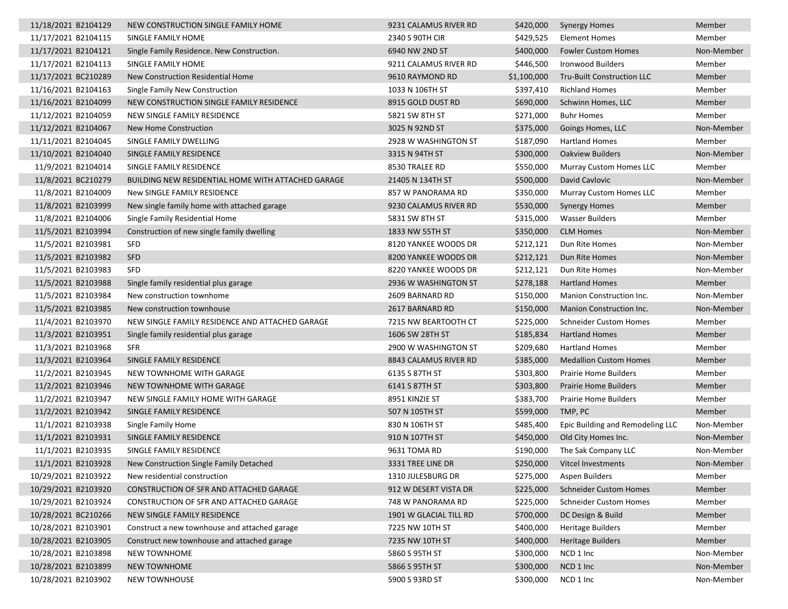| 11/18/2021 B2104129 | NEW CONSTRUCTION SINGLE FAMILY HOME                | 9231 CALAMUS RIVER RD  | \$420,000   | <b>Synergy Homes</b>             | Member     |
|---------------------|----------------------------------------------------|------------------------|-------------|----------------------------------|------------|
| 11/17/2021 B2104115 | SINGLE FAMILY HOME                                 | 2340 S 90TH CIR        | \$429,525   | <b>Element Homes</b>             | Member     |
| 11/17/2021 B2104121 | Single Family Residence. New Construction.         | 6940 NW 2ND ST         | \$400,000   | <b>Fowler Custom Homes</b>       | Non-Member |
| 11/17/2021 B2104113 | SINGLE FAMILY HOME                                 | 9211 CALAMUS RIVER RD  | \$446,500   | <b>Ironwood Builders</b>         | Member     |
| 11/17/2021 BC210289 | New Construction Residential Home                  | 9610 RAYMOND RD        | \$1,100,000 | Tru-Built Construction LLC       | Member     |
| 11/16/2021 B2104163 | Single Family New Construction                     | 1033 N 106TH ST        | \$397,410   | <b>Richland Homes</b>            | Member     |
| 11/16/2021 B2104099 | NEW CONSTRUCTION SINGLE FAMILY RESIDENCE           | 8915 GOLD DUST RD      | \$690,000   | Schwinn Homes, LLC               | Member     |
| 11/12/2021 B2104059 | NEW SINGLE FAMILY RESIDENCE                        | 5821 SW 8TH ST         | \$271,000   | <b>Buhr Homes</b>                | Member     |
| 11/12/2021 B2104067 | New Home Construction                              | 3025 N 92ND ST         | \$375,000   | Goings Homes, LLC                | Non-Member |
| 11/11/2021 B2104045 | SINGLE FAMILY DWELLING                             | 2928 W WASHINGTON ST   | \$187,090   | <b>Hartland Homes</b>            | Member     |
| 11/10/2021 B2104040 | SINGLE FAMILY RESIDENCE                            | 3315 N 94TH ST         | \$300,000   | <b>Oakview Builders</b>          | Non-Member |
| 11/9/2021 B2104014  | SINGLE FAMILY RESIDENCE                            | 8530 TRALEE RD         | \$550,000   | Murray Custom Homes LLC          | Member     |
| 11/8/2021 BC210279  | BUILDING NEW RESIDENTIAL HOME WITH ATTACHED GARAGE | 21405 N 134TH ST       | \$500,000   | David Cavlovic                   | Non-Member |
| 11/8/2021 B2104009  | New SINGLE FAMILY RESIDENCE                        | 857 W PANORAMA RD      | \$350,000   | Murray Custom Homes LLC          | Member     |
| 11/8/2021 B2103999  | New single family home with attached garage        | 9230 CALAMUS RIVER RD  | \$530,000   | <b>Synergy Homes</b>             | Member     |
| 11/8/2021 B2104006  | Single Family Residential Home                     | 5831 SW 8TH ST         | \$315,000   | Wasser Builders                  | Member     |
| 11/5/2021 B2103994  | Construction of new single family dwelling         | 1833 NW 55TH ST        | \$350,000   | <b>CLM Homes</b>                 | Non-Member |
| 11/5/2021 B2103981  | <b>SFD</b>                                         | 8120 YANKEE WOODS DR   | \$212,121   | Dun Rite Homes                   | Non-Member |
| 11/5/2021 B2103982  | <b>SFD</b>                                         | 8200 YANKEE WOODS DR   | \$212,121   | Dun Rite Homes                   | Non-Member |
| 11/5/2021 B2103983  | <b>SFD</b>                                         | 8220 YANKEE WOODS DR   | \$212,121   | Dun Rite Homes                   | Non-Member |
| 11/5/2021 B2103988  | Single family residential plus garage              | 2936 W WASHINGTON ST   | \$278,188   | <b>Hartland Homes</b>            | Member     |
| 11/5/2021 B2103984  | New construction townhome                          | 2609 BARNARD RD        | \$150,000   | Manion Construction Inc.         | Non-Member |
| 11/5/2021 B2103985  | New construction townhouse                         | 2617 BARNARD RD        | \$150,000   | Manion Construction Inc.         | Non-Member |
| 11/4/2021 B2103970  | NEW SINGLE FAMILY RESIDENCE AND ATTACHED GARAGE    | 7215 NW BEARTOOTH CT   | \$225,000   | <b>Schneider Custom Homes</b>    | Member     |
| 11/3/2021 B2103951  | Single family residential plus garage              | 1606 SW 28TH ST        | \$185,834   | <b>Hartland Homes</b>            | Member     |
| 11/3/2021 B2103968  | <b>SFR</b>                                         | 2900 W WASHINGTON ST   | \$209,680   | <b>Hartland Homes</b>            | Member     |
| 11/3/2021 B2103964  | SINGLE FAMILY RESIDENCE                            | 8843 CALAMUS RIVER RD  | \$385,000   | <b>Medallion Custom Homes</b>    | Member     |
| 11/2/2021 B2103945  | NEW TOWNHOME WITH GARAGE                           | 6135 S 87TH ST         | \$303,800   | <b>Prairie Home Builders</b>     | Member     |
| 11/2/2021 B2103946  | NEW TOWNHOME WITH GARAGE                           | 6141 S 87TH ST         | \$303,800   | <b>Prairie Home Builders</b>     | Member     |
| 11/2/2021 B2103947  | NEW SINGLE FAMILY HOME WITH GARAGE                 | 8951 KINZIE ST         | \$383,700   | <b>Prairie Home Builders</b>     | Member     |
| 11/2/2021 B2103942  | SINGLE FAMILY RESIDENCE                            | 507 N 105TH ST         | \$599,000   | TMP, PC                          | Member     |
| 11/1/2021 B2103938  | Single Family Home                                 | 830 N 106TH ST         | \$485,400   | Epic Building and Remodeling LLC | Non-Member |
| 11/1/2021 B2103931  | SINGLE FAMILY RESIDENCE                            | 910 N 107TH ST         | \$450,000   | Old City Homes Inc.              | Non-Member |
| 11/1/2021 B2103935  | SINGLE FAMILY RESIDENCE                            | 9631 TOMA RD           | \$190,000   | The Sak Company LLC              | Non-Member |
| 11/1/2021 B2103928  | New Construction Single Family Detached            | 3331 TREE LINE DR      | \$250,000   | Vitcel Investments               | Non-Member |
| 10/29/2021 B2103922 | New residential construction                       | 1310 JULESBURG DR      | \$275,000   | Aspen Builders                   | Member     |
| 10/29/2021 B2103920 | CONSTRUCTION OF SFR AND ATTACHED GARAGE            | 912 W DESERT VISTA DR  | \$225,000   | <b>Schneider Custom Homes</b>    | Member     |
| 10/29/2021 B2103924 | CONSTRUCTION OF SFR AND ATTACHED GARAGE            | 748 W PANORAMA RD      | \$225,000   | <b>Schneider Custom Homes</b>    | Member     |
| 10/28/2021 BC210266 | NEW SINGLE FAMILY RESIDENCE                        | 1901 W GLACIAL TILL RD | \$700,000   | DC Design & Build                | Member     |
| 10/28/2021 B2103901 | Construct a new townhouse and attached garage      | 7225 NW 10TH ST        | \$400,000   | <b>Heritage Builders</b>         | Member     |
| 10/28/2021 B2103905 | Construct new townhouse and attached garage        | 7235 NW 10TH ST        | \$400,000   | <b>Heritage Builders</b>         | Member     |
| 10/28/2021 B2103898 | NEW TOWNHOME                                       | 5860 S 95TH ST         | \$300,000   | NCD 1 Inc                        | Non-Member |
| 10/28/2021 B2103899 | <b>NEW TOWNHOME</b>                                | 5866 S 95TH ST         | \$300,000   | NCD 1 Inc                        | Non-Member |
| 10/28/2021 B2103902 | NEW TOWNHOUSE                                      | 5900 S 93RD ST         | \$300,000   | NCD 1 Inc                        | Non-Member |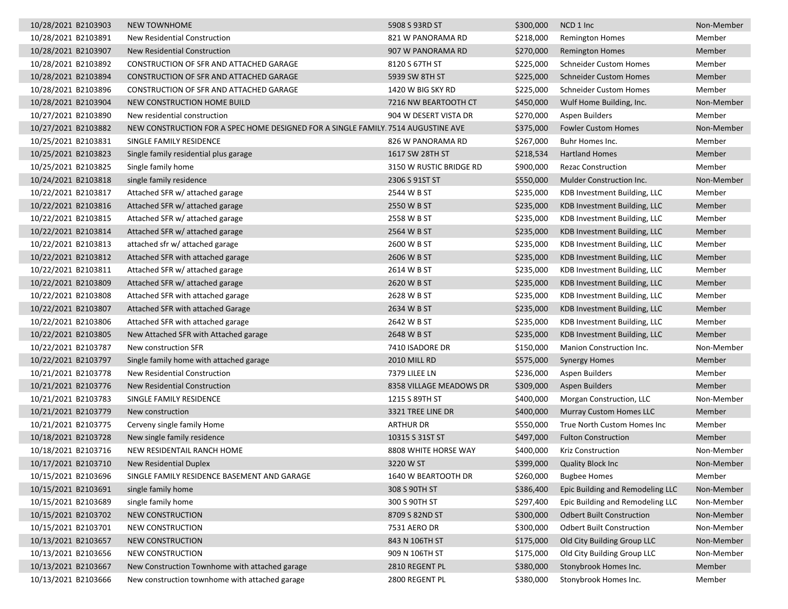| 10/28/2021 B2103903 | <b>NEW TOWNHOME</b>                                                               | 5908 S 93RD ST          | \$300,000 | NCD 1 Inc                        | Non-Member |
|---------------------|-----------------------------------------------------------------------------------|-------------------------|-----------|----------------------------------|------------|
| 10/28/2021 B2103891 | New Residential Construction                                                      | 821 W PANORAMA RD       | \$218,000 | Remington Homes                  | Member     |
| 10/28/2021 B2103907 | New Residential Construction                                                      | 907 W PANORAMA RD       | \$270,000 | <b>Remington Homes</b>           | Member     |
| 10/28/2021 B2103892 | CONSTRUCTION OF SFR AND ATTACHED GARAGE                                           | 8120 S 67TH ST          | \$225,000 | <b>Schneider Custom Homes</b>    | Member     |
| 10/28/2021 B2103894 | CONSTRUCTION OF SFR AND ATTACHED GARAGE                                           | 5939 SW 8TH ST          | \$225,000 | <b>Schneider Custom Homes</b>    | Member     |
| 10/28/2021 B2103896 | CONSTRUCTION OF SFR AND ATTACHED GARAGE                                           | 1420 W BIG SKY RD       | \$225,000 | <b>Schneider Custom Homes</b>    | Member     |
| 10/28/2021 B2103904 | NEW CONSTRUCTION HOME BUILD                                                       | 7216 NW BEARTOOTH CT    | \$450,000 | Wulf Home Building, Inc.         | Non-Member |
| 10/27/2021 B2103890 | New residential construction                                                      | 904 W DESERT VISTA DR   | \$270,000 | Aspen Builders                   | Member     |
| 10/27/2021 B2103882 | NEW CONSTRUCTION FOR A SPEC HOME DESIGNED FOR A SINGLE FAMILY. 7514 AUGUSTINE AVE |                         | \$375,000 | <b>Fowler Custom Homes</b>       | Non-Member |
| 10/25/2021 B2103831 | SINGLE FAMILY RESIDENCE                                                           | 826 W PANORAMA RD       | \$267,000 | Buhr Homes Inc.                  | Member     |
| 10/25/2021 B2103823 | Single family residential plus garage                                             | 1617 SW 28TH ST         | \$218,534 | <b>Hartland Homes</b>            | Member     |
| 10/25/2021 B2103825 | Single family home                                                                | 3150 W RUSTIC BRIDGE RD | \$900,000 | <b>Rezac Construction</b>        | Member     |
| 10/24/2021 B2103818 | single family residence                                                           | 2306 S 91ST ST          | \$550,000 | Mulder Construction Inc.         | Non-Member |
| 10/22/2021 B2103817 | Attached SFR w/ attached garage                                                   | 2544 W B ST             | \$235,000 | KDB Investment Building, LLC     | Member     |
| 10/22/2021 B2103816 | Attached SFR w/ attached garage                                                   | 2550 W B ST             | \$235,000 | KDB Investment Building, LLC     | Member     |
| 10/22/2021 B2103815 | Attached SFR w/ attached garage                                                   | 2558 W B ST             | \$235,000 | KDB Investment Building, LLC     | Member     |
| 10/22/2021 B2103814 | Attached SFR w/ attached garage                                                   | 2564 W B ST             | \$235,000 | KDB Investment Building, LLC     | Member     |
| 10/22/2021 B2103813 | attached sfr w/ attached garage                                                   | 2600 W B ST             | \$235,000 | KDB Investment Building, LLC     | Member     |
| 10/22/2021 B2103812 | Attached SFR with attached garage                                                 | 2606 W B ST             | \$235,000 | KDB Investment Building, LLC     | Member     |
| 10/22/2021 B2103811 | Attached SFR w/ attached garage                                                   | 2614 W B ST             | \$235,000 | KDB Investment Building, LLC     | Member     |
| 10/22/2021 B2103809 | Attached SFR w/ attached garage                                                   | 2620 W B ST             | \$235,000 | KDB Investment Building, LLC     | Member     |
| 10/22/2021 B2103808 | Attached SFR with attached garage                                                 | 2628 W B ST             | \$235,000 | KDB Investment Building, LLC     | Member     |
| 10/22/2021 B2103807 | Attached SFR with attached Garage                                                 | 2634 W B ST             | \$235,000 | KDB Investment Building, LLC     | Member     |
| 10/22/2021 B2103806 | Attached SFR with attached garage                                                 | 2642 W B ST             | \$235,000 | KDB Investment Building, LLC     | Member     |
| 10/22/2021 B2103805 | New Attached SFR with Attached garage                                             | 2648 W B ST             | \$235,000 | KDB Investment Building, LLC     | Member     |
| 10/22/2021 B2103787 | New construction SFR                                                              | 7410 ISADORE DR         | \$150,000 | Manion Construction Inc.         | Non-Member |
| 10/22/2021 B2103797 | Single family home with attached garage                                           | <b>2010 MILL RD</b>     | \$575,000 | <b>Synergy Homes</b>             | Member     |
| 10/21/2021 B2103778 | New Residential Construction                                                      | 7379 LILEE LN           | \$236,000 | Aspen Builders                   | Member     |
| 10/21/2021 B2103776 | New Residential Construction                                                      | 8358 VILLAGE MEADOWS DR | \$309,000 | Aspen Builders                   | Member     |
| 10/21/2021 B2103783 | SINGLE FAMILY RESIDENCE                                                           | 1215 S 89TH ST          | \$400,000 | Morgan Construction, LLC         | Non-Member |
| 10/21/2021 B2103779 | New construction                                                                  | 3321 TREE LINE DR       | \$400,000 | Murray Custom Homes LLC          | Member     |
| 10/21/2021 B2103775 | Cerveny single family Home                                                        | <b>ARTHUR DR</b>        | \$550,000 | True North Custom Homes Inc      | Member     |
| 10/18/2021 B2103728 | New single family residence                                                       | 10315 S 31ST ST         | \$497,000 | <b>Fulton Construction</b>       | Member     |
| 10/18/2021 B2103716 | <b>NEW RESIDENTAIL RANCH HOME</b>                                                 | 8808 WHITE HORSE WAY    | \$400,000 | Kriz Construction                | Non-Member |
| 10/17/2021 B2103710 | New Residential Duplex                                                            | 3220 W ST               | \$399,000 | <b>Quality Block Inc.</b>        | Non-Member |
| 10/15/2021 B2103696 | SINGLE FAMILY RESIDENCE BASEMENT AND GARAGE                                       | 1640 W BEARTOOTH DR     | \$260,000 | <b>Bugbee Homes</b>              | Member     |
| 10/15/2021 B2103691 | single family home                                                                | 308 S 90TH ST           | \$386,400 | Epic Building and Remodeling LLC | Non-Member |
| 10/15/2021 B2103689 | single family home                                                                | 300 S 90TH ST           | \$297,400 | Epic Building and Remodeling LLC | Non-Member |
| 10/15/2021 B2103702 | <b>NEW CONSTRUCTION</b>                                                           | 8709 S 82ND ST          | \$300,000 | <b>Odbert Built Construction</b> | Non-Member |
| 10/15/2021 B2103701 | NEW CONSTRUCTION                                                                  | 7531 AERO DR            | \$300,000 | <b>Odbert Built Construction</b> | Non-Member |
| 10/13/2021 B2103657 | NEW CONSTRUCTION                                                                  | 843 N 106TH ST          | \$175,000 | Old City Building Group LLC      | Non-Member |
| 10/13/2021 B2103656 | <b>NEW CONSTRUCTION</b>                                                           | 909 N 106TH ST          | \$175,000 | Old City Building Group LLC      | Non-Member |
| 10/13/2021 B2103667 | New Construction Townhome with attached garage                                    | 2810 REGENT PL          | \$380,000 | Stonybrook Homes Inc.            | Member     |
| 10/13/2021 B2103666 | New construction townhome with attached garage                                    | 2800 REGENT PL          | \$380,000 | Stonybrook Homes Inc.            | Member     |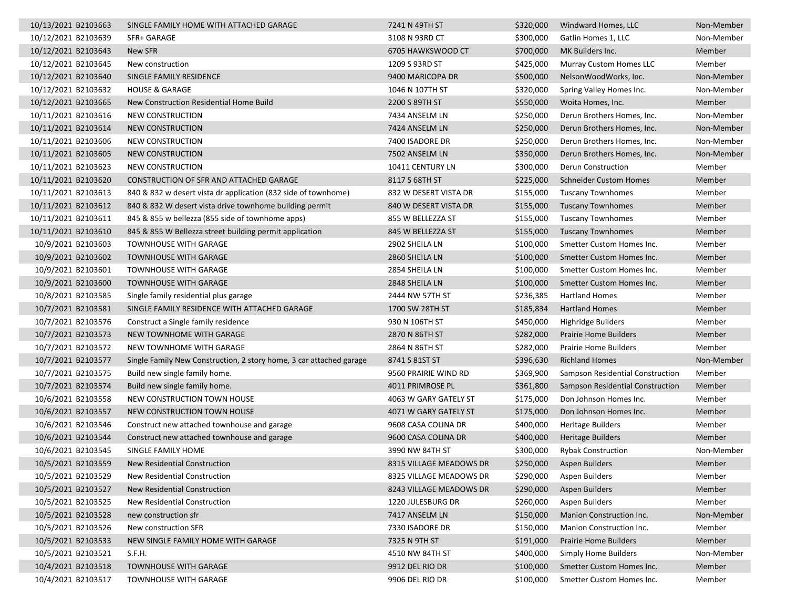| 10/13/2021 B2103663 | SINGLE FAMILY HOME WITH ATTACHED GARAGE                             | 7241 N 49TH ST          | \$320,000 | Windward Homes, LLC              | Non-Member |
|---------------------|---------------------------------------------------------------------|-------------------------|-----------|----------------------------------|------------|
| 10/12/2021 B2103639 | SFR+ GARAGE                                                         | 3108 N 93RD CT          | \$300,000 | Gatlin Homes 1, LLC              | Non-Member |
| 10/12/2021 B2103643 | New SFR                                                             | 6705 HAWKSWOOD CT       | \$700,000 | MK Builders Inc.                 | Member     |
| 10/12/2021 B2103645 | New construction                                                    | 1209 S 93RD ST          | \$425,000 | <b>Murray Custom Homes LLC</b>   | Member     |
| 10/12/2021 B2103640 | SINGLE FAMILY RESIDENCE                                             | 9400 MARICOPA DR        | \$500,000 | NelsonWoodWorks, Inc.            | Non-Member |
| 10/12/2021 B2103632 | <b>HOUSE &amp; GARAGE</b>                                           | 1046 N 107TH ST         | \$320,000 | Spring Valley Homes Inc.         | Non-Member |
| 10/12/2021 B2103665 | New Construction Residential Home Build                             | 2200 S 89TH ST          | \$550,000 | Woita Homes, Inc.                | Member     |
| 10/11/2021 B2103616 | NEW CONSTRUCTION                                                    | 7434 ANSELM LN          | \$250,000 | Derun Brothers Homes, Inc.       | Non-Member |
| 10/11/2021 B2103614 | <b>NEW CONSTRUCTION</b>                                             | 7424 ANSELM LN          | \$250,000 | Derun Brothers Homes, Inc.       | Non-Member |
| 10/11/2021 B2103606 | NEW CONSTRUCTION                                                    | 7400 ISADORE DR         | \$250,000 | Derun Brothers Homes, Inc.       | Non-Member |
| 10/11/2021 B2103605 | NEW CONSTRUCTION                                                    | 7502 ANSELM LN          | \$350,000 | Derun Brothers Homes, Inc.       | Non-Member |
| 10/11/2021 B2103623 | NEW CONSTRUCTION                                                    | 10411 CENTURY LN        | \$300,000 | Derun Construction               | Member     |
| 10/11/2021 B2103620 | CONSTRUCTION OF SFR AND ATTACHED GARAGE                             | 8117 S 68TH ST          | \$225,000 | <b>Schneider Custom Homes</b>    | Member     |
| 10/11/2021 B2103613 | 840 & 832 w desert vista dr application (832 side of townhome)      | 832 W DESERT VISTA DR   | \$155,000 | <b>Tuscany Townhomes</b>         | Member     |
| 10/11/2021 B2103612 | 840 & 832 W desert vista drive townhome building permit             | 840 W DESERT VISTA DR   | \$155,000 | <b>Tuscany Townhomes</b>         | Member     |
| 10/11/2021 B2103611 | 845 & 855 w bellezza (855 side of townhome apps)                    | 855 W BELLEZZA ST       | \$155,000 | <b>Tuscany Townhomes</b>         | Member     |
| 10/11/2021 B2103610 | 845 & 855 W Bellezza street building permit application             | 845 W BELLEZZA ST       | \$155,000 | <b>Tuscany Townhomes</b>         | Member     |
| 10/9/2021 B2103603  | <b>TOWNHOUSE WITH GARAGE</b>                                        | 2902 SHEILA LN          | \$100,000 | Smetter Custom Homes Inc.        | Member     |
| 10/9/2021 B2103602  | <b>TOWNHOUSE WITH GARAGE</b>                                        | 2860 SHEILA LN          | \$100,000 | Smetter Custom Homes Inc.        | Member     |
| 10/9/2021 B2103601  | <b>TOWNHOUSE WITH GARAGE</b>                                        | 2854 SHEILA LN          | \$100,000 | Smetter Custom Homes Inc.        | Member     |
| 10/9/2021 B2103600  | <b>TOWNHOUSE WITH GARAGE</b>                                        | 2848 SHEILA LN          | \$100,000 | Smetter Custom Homes Inc.        | Member     |
| 10/8/2021 B2103585  | Single family residential plus garage                               | 2444 NW 57TH ST         | \$236,385 | <b>Hartland Homes</b>            | Member     |
| 10/7/2021 B2103581  | SINGLE FAMILY RESIDENCE WITH ATTACHED GARAGE                        | 1700 SW 28TH ST         | \$185,834 | <b>Hartland Homes</b>            | Member     |
| 10/7/2021 B2103576  | Construct a Single family residence                                 | 930 N 106TH ST          | \$450,000 | Highridge Builders               | Member     |
| 10/7/2021 B2103573  | NEW TOWNHOME WITH GARAGE                                            | 2870 N 86TH ST          | \$282,000 | <b>Prairie Home Builders</b>     | Member     |
| 10/7/2021 B2103572  | NEW TOWNHOME WITH GARAGE                                            | 2864 N 86TH ST          | \$282,000 | Prairie Home Builders            | Member     |
| 10/7/2021 B2103577  | Single Family New Construction, 2 story home, 3 car attached garage | 8741 S 81ST ST          | \$396,630 | <b>Richland Homes</b>            | Non-Member |
| 10/7/2021 B2103575  | Build new single family home.                                       | 9560 PRAIRIE WIND RD    | \$369,900 | Sampson Residential Construction | Member     |
| 10/7/2021 B2103574  | Build new single family home.                                       | 4011 PRIMROSE PL        | \$361,800 | Sampson Residential Construction | Member     |
| 10/6/2021 B2103558  | NEW CONSTRUCTION TOWN HOUSE                                         | 4063 W GARY GATELY ST   | \$175,000 | Don Johnson Homes Inc.           | Member     |
| 10/6/2021 B2103557  | NEW CONSTRUCTION TOWN HOUSE                                         | 4071 W GARY GATELY ST   | \$175,000 | Don Johnson Homes Inc.           | Member     |
| 10/6/2021 B2103546  | Construct new attached townhouse and garage                         | 9608 CASA COLINA DR     | \$400,000 | Heritage Builders                | Member     |
| 10/6/2021 B2103544  | Construct new attached townhouse and garage                         | 9600 CASA COLINA DR     | \$400,000 | <b>Heritage Builders</b>         | Member     |
| 10/6/2021 B2103545  | SINGLE FAMILY HOME                                                  | 3990 NW 84TH ST         | \$300,000 | <b>Rybak Construction</b>        | Non-Member |
| 10/5/2021 B2103559  | New Residential Construction                                        | 8315 VILLAGE MEADOWS DR | \$250,000 | <b>Aspen Builders</b>            | Member     |
| 10/5/2021 B2103529  | New Residential Construction                                        | 8325 VILLAGE MEADOWS DR | \$290,000 | <b>Aspen Builders</b>            | Member     |
| 10/5/2021 B2103527  | New Residential Construction                                        | 8243 VILLAGE MEADOWS DR | \$290,000 | Aspen Builders                   | Member     |
| 10/5/2021 B2103525  | New Residential Construction                                        | 1220 JULESBURG DR       | \$260,000 | Aspen Builders                   | Member     |
| 10/5/2021 B2103528  | new construction sfr                                                | 7417 ANSELM LN          | \$150,000 | Manion Construction Inc.         | Non-Member |
| 10/5/2021 B2103526  | New construction SFR                                                | 7330 ISADORE DR         | \$150,000 | Manion Construction Inc.         | Member     |
| 10/5/2021 B2103533  | NEW SINGLE FAMILY HOME WITH GARAGE                                  | 7325 N 9TH ST           | \$191,000 | Prairie Home Builders            | Member     |
| 10/5/2021 B2103521  | S.F.H.                                                              | 4510 NW 84TH ST         | \$400,000 | <b>Simply Home Builders</b>      | Non-Member |
| 10/4/2021 B2103518  | <b>TOWNHOUSE WITH GARAGE</b>                                        | 9912 DEL RIO DR         | \$100,000 | Smetter Custom Homes Inc.        | Member     |
| 10/4/2021 B2103517  | TOWNHOUSE WITH GARAGE                                               | 9906 DEL RIO DR         | \$100,000 | Smetter Custom Homes Inc.        | Member     |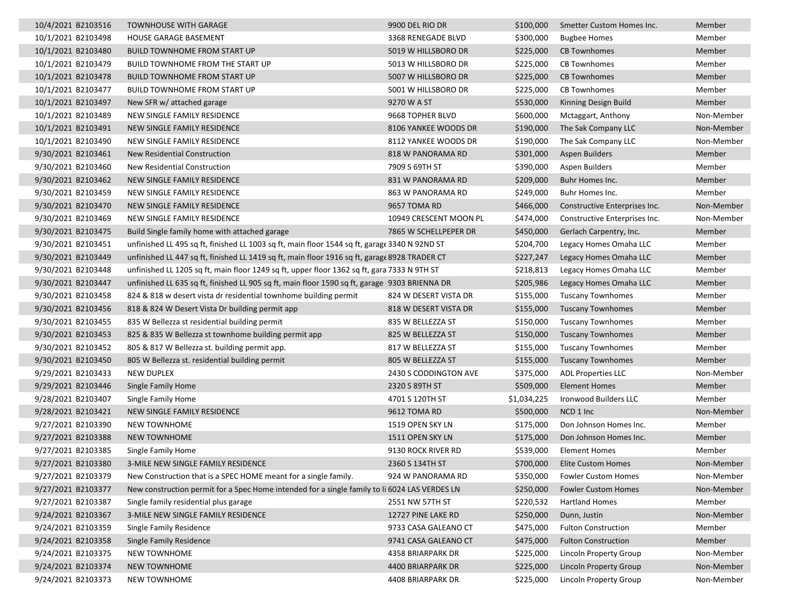| 10/4/2021 B2103516 | <b>TOWNHOUSE WITH GARAGE</b>                                                                  | 9900 DEL RIO DR        | \$100,000   | Smetter Custom Homes Inc.     | Member     |
|--------------------|-----------------------------------------------------------------------------------------------|------------------------|-------------|-------------------------------|------------|
| 10/1/2021 B2103498 | <b>HOUSE GARAGE BASEMENT</b>                                                                  | 3368 RENEGADE BLVD     | \$300,000   | <b>Bugbee Homes</b>           | Member     |
| 10/1/2021 B2103480 | <b>BUILD TOWNHOME FROM START UP</b>                                                           | 5019 W HILLSBORO DR    | \$225,000   | <b>CB Townhomes</b>           | Member     |
| 10/1/2021 B2103479 | BUILD TOWNHOME FROM THE START UP                                                              | 5013 W HILLSBORO DR    | \$225,000   | <b>CB Townhomes</b>           | Member     |
| 10/1/2021 B2103478 | <b>BUILD TOWNHOME FROM START UP</b>                                                           | 5007 W HILLSBORO DR    | \$225,000   | <b>CB Townhomes</b>           | Member     |
| 10/1/2021 B2103477 | <b>BUILD TOWNHOME FROM START UP</b>                                                           | 5001 W HILLSBORO DR    | \$225,000   | <b>CB Townhomes</b>           | Member     |
| 10/1/2021 B2103497 | New SFR w/ attached garage                                                                    | 9270 W A ST            | \$530,000   | Kinning Design Build          | Member     |
| 10/1/2021 B2103489 | NEW SINGLE FAMILY RESIDENCE                                                                   | 9668 TOPHER BLVD       | \$600,000   | Mctaggart, Anthony            | Non-Member |
| 10/1/2021 B2103491 | NEW SINGLE FAMILY RESIDENCE                                                                   | 8106 YANKEE WOODS DR   | \$190,000   | The Sak Company LLC           | Non-Member |
| 10/1/2021 B2103490 | NEW SINGLE FAMILY RESIDENCE                                                                   | 8112 YANKEE WOODS DR   | \$190,000   | The Sak Company LLC           | Non-Member |
| 9/30/2021 B2103461 | New Residential Construction                                                                  | 818 W PANORAMA RD      | \$301,000   | Aspen Builders                | Member     |
| 9/30/2021 B2103460 | New Residential Construction                                                                  | 7909 S 69TH ST         | \$390,000   | Aspen Builders                | Member     |
| 9/30/2021 B2103462 | NEW SINGLE FAMILY RESIDENCE                                                                   | 831 W PANORAMA RD      | \$209,000   | Buhr Homes Inc.               | Member     |
| 9/30/2021 B2103459 | NEW SINGLE FAMILY RESIDENCE                                                                   | 863 W PANORAMA RD      | \$249,000   | Buhr Homes Inc.               | Member     |
| 9/30/2021 B2103470 | NEW SINGLE FAMILY RESIDENCE                                                                   | 9657 TOMA RD           | \$466,000   | Constructive Enterprises Inc. | Non-Member |
| 9/30/2021 B2103469 | NEW SINGLE FAMILY RESIDENCE                                                                   | 10949 CRESCENT MOON PL | \$474,000   | Constructive Enterprises Inc. | Non-Member |
| 9/30/2021 B2103475 | Build Single family home with attached garage                                                 | 7865 W SCHELLPEPER DR  | \$450,000   | Gerlach Carpentry, Inc.       | Member     |
| 9/30/2021 B2103451 | unfinished LL 495 sq ft, finished LL 1003 sq ft, main floor 1544 sq ft, garage 3340 N 92ND ST |                        | \$204,700   | Legacy Homes Omaha LLC        | Member     |
| 9/30/2021 B2103449 | unfinished LL 447 sq ft, finished LL 1419 sq ft, main floor 1916 sq ft, garage 8928 TRADER CT |                        | \$227,247   | Legacy Homes Omaha LLC        | Member     |
| 9/30/2021 B2103448 | unfinished LL 1205 sq ft, main floor 1249 sq ft, upper floor 1362 sq ft, gara 7333 N 9TH ST   |                        | \$218,813   | Legacy Homes Omaha LLC        | Member     |
| 9/30/2021 B2103447 | unfinished LL 635 sq ft, finished LL 905 sq ft, main floor 1590 sq ft, garage 9303 BRIENNA DR |                        | \$205,986   | Legacy Homes Omaha LLC        | Member     |
| 9/30/2021 B2103458 | 824 & 818 w desert vista dr residential townhome building permit                              | 824 W DESERT VISTA DR  | \$155,000   | <b>Tuscany Townhomes</b>      | Member     |
| 9/30/2021 B2103456 | 818 & 824 W Desert Vista Dr building permit app                                               | 818 W DESERT VISTA DR  | \$155,000   | <b>Tuscany Townhomes</b>      | Member     |
| 9/30/2021 B2103455 | 835 W Bellezza st residential building permit                                                 | 835 W BELLEZZA ST      | \$150,000   | <b>Tuscany Townhomes</b>      | Member     |
| 9/30/2021 B2103453 | 825 & 835 W Bellezza st townhome building permit app                                          | 825 W BELLEZZA ST      | \$150,000   | <b>Tuscany Townhomes</b>      | Member     |
| 9/30/2021 B2103452 | 805 & 817 W Bellezza st. building permit app.                                                 | 817 W BELLEZZA ST      | \$155,000   | <b>Tuscany Townhomes</b>      | Member     |
| 9/30/2021 B2103450 | 805 W Bellezza st. residential building permit                                                | 805 W BELLEZZA ST      | \$155,000   | <b>Tuscany Townhomes</b>      | Member     |
| 9/29/2021 B2103433 | <b>NEW DUPLEX</b>                                                                             | 2430 S CODDINGTON AVE  | \$375,000   | <b>ADL Properties LLC</b>     | Non-Member |
| 9/29/2021 B2103446 | Single Family Home                                                                            | 2320 S 89TH ST         | \$509,000   | <b>Element Homes</b>          | Member     |
| 9/28/2021 B2103407 | Single Family Home                                                                            | 4701 S 120TH ST        | \$1,034,225 | Ironwood Builders LLC         | Member     |
| 9/28/2021 B2103421 | NEW SINGLE FAMILY RESIDENCE                                                                   | 9612 TOMA RD           | \$500,000   | NCD 1 Inc                     | Non-Member |
| 9/27/2021 B2103390 | <b>NEW TOWNHOME</b>                                                                           | 1519 OPEN SKY LN       | \$175,000   | Don Johnson Homes Inc.        | Member     |
| 9/27/2021 B2103388 | <b>NEW TOWNHOME</b>                                                                           | 1511 OPEN SKY LN       | \$175,000   | Don Johnson Homes Inc.        | Member     |
| 9/27/2021 B2103385 | Single Family Home                                                                            | 9130 ROCK RIVER RD     | \$539,000   | <b>Element Homes</b>          | Member     |
| 9/27/2021 B2103380 | 3-MILE NEW SINGLE FAMILY RESIDENCE                                                            | 2360 S 134TH ST        | \$700,000   | Elite Custom Homes            | Non-Member |
| 9/27/2021 B2103379 | New Construction that is a SPEC HOME meant for a single family.                               | 924 W PANORAMA RD      | \$350,000   | <b>Fowler Custom Homes</b>    | Non-Member |
| 9/27/2021 B2103377 | New construction permit for a Spec Home intended for a single family to li 6024 LAS VERDES LN |                        | \$250,000   | <b>Fowler Custom Homes</b>    | Non-Member |
| 9/27/2021 B2103387 | Single family residential plus garage                                                         | 2551 NW 57TH ST        | \$220,532   | Hartland Homes                | Member     |
| 9/24/2021 B2103367 | 3-MILE NEW SINGLE FAMILY RESIDENCE                                                            | 12727 PINE LAKE RD     | \$250,000   | Dunn, Justin                  | Non-Member |
| 9/24/2021 B2103359 | Single Family Residence                                                                       | 9733 CASA GALEANO CT   | \$475,000   | <b>Fulton Construction</b>    | Member     |
| 9/24/2021 B2103358 | Single Family Residence                                                                       | 9741 CASA GALEANO CT   | \$475,000   | <b>Fulton Construction</b>    | Member     |
| 9/24/2021 B2103375 | <b>NEW TOWNHOME</b>                                                                           | 4358 BRIARPARK DR      | \$225,000   | Lincoln Property Group        | Non-Member |
| 9/24/2021 B2103374 | NEW TOWNHOME                                                                                  | 4400 BRIARPARK DR      | \$225,000   | Lincoln Property Group        | Non-Member |
| 9/24/2021 B2103373 | NEW TOWNHOME                                                                                  | 4408 BRIARPARK DR      | \$225,000   | Lincoln Property Group        | Non-Member |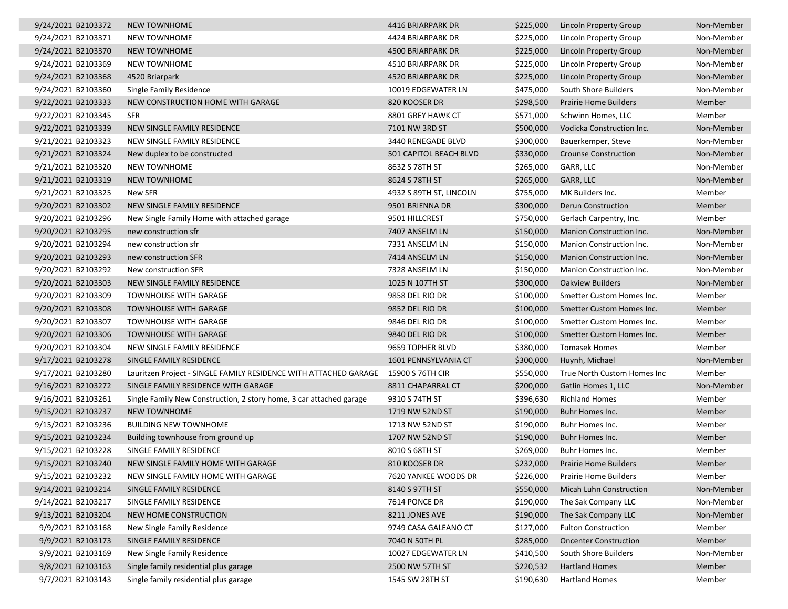| 9/24/2021 B2103372 | <b>NEW TOWNHOME</b>                                                 | 4416 BRIARPARK DR       | \$225,000 | <b>Lincoln Property Group</b> | Non-Member |
|--------------------|---------------------------------------------------------------------|-------------------------|-----------|-------------------------------|------------|
| 9/24/2021 B2103371 | NEW TOWNHOME                                                        | 4424 BRIARPARK DR       | \$225,000 | Lincoln Property Group        | Non-Member |
| 9/24/2021 B2103370 | <b>NEW TOWNHOME</b>                                                 | 4500 BRIARPARK DR       | \$225,000 | Lincoln Property Group        | Non-Member |
| 9/24/2021 B2103369 | NEW TOWNHOME                                                        | 4510 BRIARPARK DR       | \$225,000 | Lincoln Property Group        | Non-Member |
| 9/24/2021 B2103368 | 4520 Briarpark                                                      | 4520 BRIARPARK DR       | \$225,000 | Lincoln Property Group        | Non-Member |
| 9/24/2021 B2103360 | Single Family Residence                                             | 10019 EDGEWATER LN      | \$475,000 | South Shore Builders          | Non-Member |
| 9/22/2021 B2103333 | NEW CONSTRUCTION HOME WITH GARAGE                                   | 820 KOOSER DR           | \$298,500 | <b>Prairie Home Builders</b>  | Member     |
| 9/22/2021 B2103345 | <b>SFR</b>                                                          | 8801 GREY HAWK CT       | \$571,000 | Schwinn Homes, LLC            | Member     |
| 9/22/2021 B2103339 | NEW SINGLE FAMILY RESIDENCE                                         | 7101 NW 3RD ST          | \$500,000 | Vodicka Construction Inc.     | Non-Member |
| 9/21/2021 B2103323 | NEW SINGLE FAMILY RESIDENCE                                         | 3440 RENEGADE BLVD      | \$300,000 | Bauerkemper, Steve            | Non-Member |
| 9/21/2021 B2103324 | New duplex to be constructed                                        | 501 CAPITOL BEACH BLVD  | \$330,000 | <b>Crounse Construction</b>   | Non-Member |
| 9/21/2021 B2103320 | <b>NEW TOWNHOME</b>                                                 | 8632 S 78TH ST          | \$265,000 | GARR, LLC                     | Non-Member |
| 9/21/2021 B2103319 | <b>NEW TOWNHOME</b>                                                 | 8624 S 78TH ST          | \$265,000 | GARR, LLC                     | Non-Member |
| 9/21/2021 B2103325 | New SFR                                                             | 4932 S 89TH ST, LINCOLN | \$755,000 | MK Builders Inc.              | Member     |
| 9/20/2021 B2103302 | NEW SINGLE FAMILY RESIDENCE                                         | 9501 BRIENNA DR         | \$300,000 | <b>Derun Construction</b>     | Member     |
| 9/20/2021 B2103296 | New Single Family Home with attached garage                         | 9501 HILLCREST          | \$750,000 | Gerlach Carpentry, Inc.       | Member     |
| 9/20/2021 B2103295 | new construction sfr                                                | 7407 ANSELM LN          | \$150,000 | Manion Construction Inc.      | Non-Member |
| 9/20/2021 B2103294 | new construction sfr                                                | 7331 ANSELM LN          | \$150,000 | Manion Construction Inc.      | Non-Member |
| 9/20/2021 B2103293 | new construction SFR                                                | 7414 ANSELM LN          | \$150,000 | Manion Construction Inc.      | Non-Member |
| 9/20/2021 B2103292 | New construction SFR                                                | 7328 ANSELM LN          | \$150,000 | Manion Construction Inc.      | Non-Member |
| 9/20/2021 B2103303 | NEW SINGLE FAMILY RESIDENCE                                         | 1025 N 107TH ST         | \$300,000 | <b>Oakview Builders</b>       | Non-Member |
| 9/20/2021 B2103309 | <b>TOWNHOUSE WITH GARAGE</b>                                        | 9858 DEL RIO DR         | \$100,000 | Smetter Custom Homes Inc.     | Member     |
| 9/20/2021 B2103308 | <b>TOWNHOUSE WITH GARAGE</b>                                        | 9852 DEL RIO DR         | \$100,000 | Smetter Custom Homes Inc.     | Member     |
| 9/20/2021 B2103307 | <b>TOWNHOUSE WITH GARAGE</b>                                        | 9846 DEL RIO DR         | \$100,000 | Smetter Custom Homes Inc.     | Member     |
| 9/20/2021 B2103306 | TOWNHOUSE WITH GARAGE                                               | 9840 DEL RIO DR         | \$100,000 | Smetter Custom Homes Inc.     | Member     |
| 9/20/2021 B2103304 | NEW SINGLE FAMILY RESIDENCE                                         | 9659 TOPHER BLVD        | \$380,000 | <b>Tomasek Homes</b>          | Member     |
| 9/17/2021 B2103278 | SINGLE FAMILY RESIDENCE                                             | 1601 PENNSYLVANIA CT    | \$300,000 | Huynh, Michael                | Non-Member |
| 9/17/2021 B2103280 | Lauritzen Project - SINGLE FAMILY RESIDENCE WITH ATTACHED GARAGE    | 15900 S 76TH CIR        | \$550,000 | True North Custom Homes Inc   | Member     |
| 9/16/2021 B2103272 | SINGLE FAMILY RESIDENCE WITH GARAGE                                 | 8811 CHAPARRAL CT       | \$200,000 | Gatlin Homes 1, LLC           | Non-Member |
| 9/16/2021 B2103261 | Single Family New Construction, 2 story home, 3 car attached garage | 9310 S 74TH ST          | \$396,630 | <b>Richland Homes</b>         | Member     |
| 9/15/2021 B2103237 | <b>NEW TOWNHOME</b>                                                 | 1719 NW 52ND ST         | \$190,000 | Buhr Homes Inc.               | Member     |
| 9/15/2021 B2103236 | <b>BUILDING NEW TOWNHOME</b>                                        | 1713 NW 52ND ST         | \$190,000 | Buhr Homes Inc.               | Member     |
| 9/15/2021 B2103234 | Building townhouse from ground up                                   | 1707 NW 52ND ST         | \$190,000 | Buhr Homes Inc.               | Member     |
| 9/15/2021 B2103228 | SINGLE FAMILY RESIDENCE                                             | 8010 S 68TH ST          | \$269,000 | Buhr Homes Inc.               | Member     |
| 9/15/2021 B2103240 | NEW SINGLE FAMILY HOME WITH GARAGE                                  | 810 KOOSER DR           | \$232,000 | <b>Prairie Home Builders</b>  | Member     |
| 9/15/2021 B2103232 | NEW SINGLE FAMILY HOME WITH GARAGE                                  | 7620 YANKEE WOODS DR    | \$226,000 | Prairie Home Builders         | Member     |
| 9/14/2021 B2103214 | SINGLE FAMILY RESIDENCE                                             | 8140 S 97TH ST          | \$550,000 | Micah Luhn Construction       | Non-Member |
| 9/14/2021 B2103217 | SINGLE FAMILY RESIDENCE                                             | 7614 PONCE DR           | \$190,000 | The Sak Company LLC           | Non-Member |
| 9/13/2021 B2103204 | NEW HOME CONSTRUCTION                                               | 8211 JONES AVE          | \$190,000 | The Sak Company LLC           | Non-Member |
| 9/9/2021 B2103168  | New Single Family Residence                                         | 9749 CASA GALEANO CT    | \$127,000 | <b>Fulton Construction</b>    | Member     |
| 9/9/2021 B2103173  | SINGLE FAMILY RESIDENCE                                             | 7040 N 50TH PL          | \$285,000 | <b>Oncenter Construction</b>  | Member     |
| 9/9/2021 B2103169  | New Single Family Residence                                         | 10027 EDGEWATER LN      | \$410,500 | South Shore Builders          | Non-Member |
| 9/8/2021 B2103163  | Single family residential plus garage                               | 2500 NW 57TH ST         | \$220,532 | <b>Hartland Homes</b>         | Member     |
| 9/7/2021 B2103143  | Single family residential plus garage                               | 1545 SW 28TH ST         | \$190,630 | <b>Hartland Homes</b>         | Member     |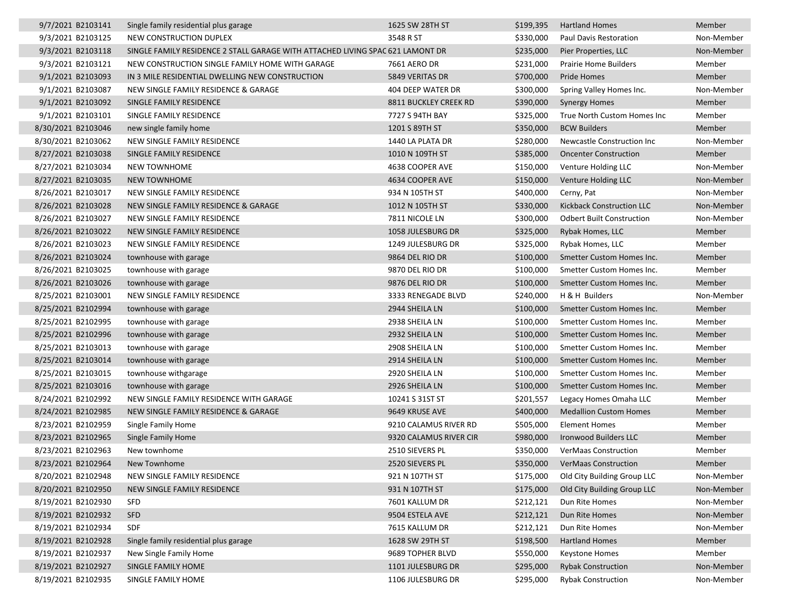| 9/7/2021 B2103141  | Single family residential plus garage                                          | 1625 SW 28TH ST        | \$199,395 | <b>Hartland Homes</b>            | Member     |
|--------------------|--------------------------------------------------------------------------------|------------------------|-----------|----------------------------------|------------|
| 9/3/2021 B2103125  | NEW CONSTRUCTION DUPLEX                                                        | 3548 R ST              | \$330,000 | Paul Davis Restoration           | Non-Member |
| 9/3/2021 B2103118  | SINGLE FAMILY RESIDENCE 2 STALL GARAGE WITH ATTACHED LIVING SPAC 621 LAMONT DR |                        | \$235,000 | Pier Properties, LLC             | Non-Member |
| 9/3/2021 B2103121  | NEW CONSTRUCTION SINGLE FAMILY HOME WITH GARAGE                                | 7661 AERO DR           | \$231,000 | <b>Prairie Home Builders</b>     | Member     |
| 9/1/2021 B2103093  | IN 3 MILE RESIDENTIAL DWELLING NEW CONSTRUCTION                                | 5849 VERITAS DR        | \$700,000 | Pride Homes                      | Member     |
| 9/1/2021 B2103087  | NEW SINGLE FAMILY RESIDENCE & GARAGE                                           | 404 DEEP WATER DR      | \$300,000 | Spring Valley Homes Inc.         | Non-Member |
| 9/1/2021 B2103092  | SINGLE FAMILY RESIDENCE                                                        | 8811 BUCKLEY CREEK RD  | \$390,000 | <b>Synergy Homes</b>             | Member     |
| 9/1/2021 B2103101  | SINGLE FAMILY RESIDENCE                                                        | 7727 S 94TH BAY        | \$325,000 | True North Custom Homes Inc      | Member     |
| 8/30/2021 B2103046 | new single family home                                                         | 1201 S 89TH ST         | \$350,000 | <b>BCW Builders</b>              | Member     |
| 8/30/2021 B2103062 | NEW SINGLE FAMILY RESIDENCE                                                    | 1440 LA PLATA DR       | \$280,000 | Newcastle Construction Inc       | Non-Member |
| 8/27/2021 B2103038 | SINGLE FAMILY RESIDENCE                                                        | 1010 N 109TH ST        | \$385,000 | <b>Oncenter Construction</b>     | Member     |
| 8/27/2021 B2103034 | <b>NEW TOWNHOME</b>                                                            | 4638 COOPER AVE        | \$150,000 | Venture Holding LLC              | Non-Member |
| 8/27/2021 B2103035 | <b>NEW TOWNHOME</b>                                                            | 4634 COOPER AVE        | \$150,000 | Venture Holding LLC              | Non-Member |
| 8/26/2021 B2103017 | NEW SINGLE FAMILY RESIDENCE                                                    | 934 N 105TH ST         | \$400,000 | Cerny, Pat                       | Non-Member |
| 8/26/2021 B2103028 | NEW SINGLE FAMILY RESIDENCE & GARAGE                                           | 1012 N 105TH ST        | \$330,000 | Kickback Construction LLC        | Non-Member |
| 8/26/2021 B2103027 | NEW SINGLE FAMILY RESIDENCE                                                    | 7811 NICOLE LN         | \$300,000 | <b>Odbert Built Construction</b> | Non-Member |
| 8/26/2021 B2103022 | NEW SINGLE FAMILY RESIDENCE                                                    | 1058 JULESBURG DR      | \$325,000 | Rybak Homes, LLC                 | Member     |
| 8/26/2021 B2103023 | NEW SINGLE FAMILY RESIDENCE                                                    | 1249 JULESBURG DR      | \$325,000 | Rybak Homes, LLC                 | Member     |
| 8/26/2021 B2103024 | townhouse with garage                                                          | 9864 DEL RIO DR        | \$100,000 | Smetter Custom Homes Inc.        | Member     |
| 8/26/2021 B2103025 | townhouse with garage                                                          | 9870 DEL RIO DR        | \$100,000 | Smetter Custom Homes Inc.        | Member     |
| 8/26/2021 B2103026 | townhouse with garage                                                          | 9876 DEL RIO DR        | \$100,000 | Smetter Custom Homes Inc.        | Member     |
| 8/25/2021 B2103001 | NEW SINGLE FAMILY RESIDENCE                                                    | 3333 RENEGADE BLVD     | \$240,000 | H & H Builders                   | Non-Member |
| 8/25/2021 B2102994 | townhouse with garage                                                          | 2944 SHEILA LN         | \$100,000 | Smetter Custom Homes Inc.        | Member     |
| 8/25/2021 B2102995 | townhouse with garage                                                          | 2938 SHEILA LN         | \$100,000 | Smetter Custom Homes Inc.        | Member     |
| 8/25/2021 B2102996 | townhouse with garage                                                          | 2932 SHEILA LN         | \$100,000 | Smetter Custom Homes Inc.        | Member     |
| 8/25/2021 B2103013 | townhouse with garage                                                          | 2908 SHEILA LN         | \$100,000 | Smetter Custom Homes Inc.        | Member     |
| 8/25/2021 B2103014 | townhouse with garage                                                          | 2914 SHEILA LN         | \$100,000 | Smetter Custom Homes Inc.        | Member     |
| 8/25/2021 B2103015 | townhouse withgarage                                                           | 2920 SHEILA LN         | \$100,000 | Smetter Custom Homes Inc.        | Member     |
| 8/25/2021 B2103016 | townhouse with garage                                                          | 2926 SHEILA LN         | \$100,000 | Smetter Custom Homes Inc.        | Member     |
| 8/24/2021 B2102992 | NEW SINGLE FAMILY RESIDENCE WITH GARAGE                                        | 10241 S 31ST ST        | \$201,557 | Legacy Homes Omaha LLC           | Member     |
| 8/24/2021 B2102985 | NEW SINGLE FAMILY RESIDENCE & GARAGE                                           | 9649 KRUSE AVE         | \$400,000 | <b>Medallion Custom Homes</b>    | Member     |
| 8/23/2021 B2102959 | Single Family Home                                                             | 9210 CALAMUS RIVER RD  | \$505,000 | Element Homes                    | Member     |
| 8/23/2021 B2102965 | Single Family Home                                                             | 9320 CALAMUS RIVER CIR | \$980,000 | Ironwood Builders LLC            | Member     |
| 8/23/2021 B2102963 | New townhome                                                                   | 2510 SIEVERS PL        | \$350,000 | <b>VerMaas Construction</b>      | Member     |
| 8/23/2021 B2102964 | New Townhome                                                                   | 2520 SIEVERS PL        |           | \$350,000 VerMaas Construction   | Member     |
| 8/20/2021 B2102948 | NEW SINGLE FAMILY RESIDENCE                                                    | 921 N 107TH ST         | \$175,000 | Old City Building Group LLC      | Non-Member |
| 8/20/2021 B2102950 | NEW SINGLE FAMILY RESIDENCE                                                    | 931 N 107TH ST         | \$175,000 | Old City Building Group LLC      | Non-Member |
| 8/19/2021 B2102930 | <b>SFD</b>                                                                     | 7601 KALLUM DR         | \$212,121 | Dun Rite Homes                   | Non-Member |
| 8/19/2021 B2102932 | <b>SFD</b>                                                                     | 9504 ESTELA AVE        | \$212,121 | Dun Rite Homes                   | Non-Member |
| 8/19/2021 B2102934 | SDF                                                                            | 7615 KALLUM DR         | \$212,121 | Dun Rite Homes                   | Non-Member |
| 8/19/2021 B2102928 | Single family residential plus garage                                          | 1628 SW 29TH ST        | \$198,500 | <b>Hartland Homes</b>            | Member     |
| 8/19/2021 B2102937 | New Single Family Home                                                         | 9689 TOPHER BLVD       | \$550,000 | <b>Keystone Homes</b>            | Member     |
| 8/19/2021 B2102927 | SINGLE FAMILY HOME                                                             | 1101 JULESBURG DR      | \$295,000 | <b>Rybak Construction</b>        | Non-Member |
| 8/19/2021 B2102935 | SINGLE FAMILY HOME                                                             | 1106 JULESBURG DR      | \$295,000 | <b>Rybak Construction</b>        | Non-Member |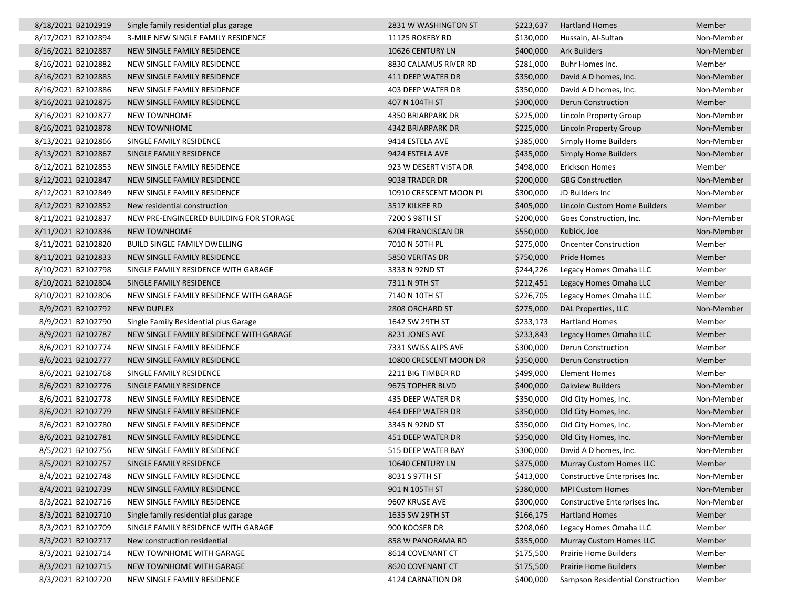| 8/18/2021 B2102919 | Single family residential plus garage   | 2831 W WASHINGTON ST     | \$223,637 | <b>Hartland Homes</b>            | Member     |
|--------------------|-----------------------------------------|--------------------------|-----------|----------------------------------|------------|
| 8/17/2021 B2102894 | 3-MILE NEW SINGLE FAMILY RESIDENCE      | 11125 ROKEBY RD          | \$130,000 | Hussain, Al-Sultan               | Non-Member |
| 8/16/2021 B2102887 | NEW SINGLE FAMILY RESIDENCE             | 10626 CENTURY LN         | \$400,000 | <b>Ark Builders</b>              | Non-Member |
| 8/16/2021 B2102882 | NEW SINGLE FAMILY RESIDENCE             | 8830 CALAMUS RIVER RD    | \$281,000 | Buhr Homes Inc.                  | Member     |
| 8/16/2021 B2102885 | NEW SINGLE FAMILY RESIDENCE             | 411 DEEP WATER DR        | \$350,000 | David A D homes, Inc.            | Non-Member |
| 8/16/2021 B2102886 | NEW SINGLE FAMILY RESIDENCE             | <b>403 DEEP WATER DR</b> | \$350,000 | David A D homes, Inc.            | Non-Member |
| 8/16/2021 B2102875 | NEW SINGLE FAMILY RESIDENCE             | 407 N 104TH ST           | \$300,000 | Derun Construction               | Member     |
| 8/16/2021 B2102877 | <b>NEW TOWNHOME</b>                     | 4350 BRIARPARK DR        | \$225,000 | Lincoln Property Group           | Non-Member |
| 8/16/2021 B2102878 | <b>NEW TOWNHOME</b>                     | 4342 BRIARPARK DR        | \$225,000 | Lincoln Property Group           | Non-Member |
| 8/13/2021 B2102866 | SINGLE FAMILY RESIDENCE                 | 9414 ESTELA AVE          | \$385,000 | Simply Home Builders             | Non-Member |
| 8/13/2021 B2102867 | SINGLE FAMILY RESIDENCE                 | 9424 ESTELA AVE          | \$435,000 | <b>Simply Home Builders</b>      | Non-Member |
| 8/12/2021 B2102853 | NEW SINGLE FAMILY RESIDENCE             | 923 W DESERT VISTA DR    | \$498,000 | Erickson Homes                   | Member     |
| 8/12/2021 B2102847 | NEW SINGLE FAMILY RESIDENCE             | 9038 TRADER DR           | \$200,000 | <b>GBG Construction</b>          | Non-Member |
| 8/12/2021 B2102849 | NEW SINGLE FAMILY RESIDENCE             | 10910 CRESCENT MOON PL   | \$300,000 | JD Builders Inc                  | Non-Member |
| 8/12/2021 B2102852 | New residential construction            | 3517 KILKEE RD           | \$405,000 | Lincoln Custom Home Builders     | Member     |
| 8/11/2021 B2102837 | NEW PRE-ENGINEERED BUILDING FOR STORAGE | 7200 S 98TH ST           | \$200,000 | Goes Construction, Inc.          | Non-Member |
| 8/11/2021 B2102836 | <b>NEW TOWNHOME</b>                     | 6204 FRANCISCAN DR       | \$550,000 | Kubick, Joe                      | Non-Member |
| 8/11/2021 B2102820 | <b>BUILD SINGLE FAMILY DWELLING</b>     | 7010 N 50TH PL           | \$275,000 | <b>Oncenter Construction</b>     | Member     |
| 8/11/2021 B2102833 | NEW SINGLE FAMILY RESIDENCE             | 5850 VERITAS DR          | \$750,000 | Pride Homes                      | Member     |
| 8/10/2021 B2102798 | SINGLE FAMILY RESIDENCE WITH GARAGE     | 3333 N 92ND ST           | \$244,226 | Legacy Homes Omaha LLC           | Member     |
| 8/10/2021 B2102804 | SINGLE FAMILY RESIDENCE                 | 7311 N 9TH ST            | \$212,451 | Legacy Homes Omaha LLC           | Member     |
| 8/10/2021 B2102806 | NEW SINGLE FAMILY RESIDENCE WITH GARAGE | 7140 N 10TH ST           | \$226,705 | Legacy Homes Omaha LLC           | Member     |
| 8/9/2021 B2102792  | <b>NEW DUPLEX</b>                       | 2808 ORCHARD ST          | \$275,000 | DAL Properties, LLC              | Non-Member |
| 8/9/2021 B2102790  | Single Family Residential plus Garage   | 1642 SW 29TH ST          | \$233,173 | <b>Hartland Homes</b>            | Member     |
| 8/9/2021 B2102787  | NEW SINGLE FAMILY RESIDENCE WITH GARAGE | 8231 JONES AVE           | \$233,843 | Legacy Homes Omaha LLC           | Member     |
| 8/6/2021 B2102774  | NEW SINGLE FAMILY RESIDENCE             | 7331 SWISS ALPS AVE      | \$300,000 | Derun Construction               | Member     |
| 8/6/2021 B2102777  | NEW SINGLE FAMILY RESIDENCE             | 10800 CRESCENT MOON DR   | \$350,000 | Derun Construction               | Member     |
| 8/6/2021 B2102768  | SINGLE FAMILY RESIDENCE                 | 2211 BIG TIMBER RD       | \$499,000 | <b>Element Homes</b>             | Member     |
| 8/6/2021 B2102776  | SINGLE FAMILY RESIDENCE                 | 9675 TOPHER BLVD         | \$400,000 | <b>Oakview Builders</b>          | Non-Member |
| 8/6/2021 B2102778  | NEW SINGLE FAMILY RESIDENCE             | 435 DEEP WATER DR        | \$350,000 | Old City Homes, Inc.             | Non-Member |
| 8/6/2021 B2102779  | NEW SINGLE FAMILY RESIDENCE             | 464 DEEP WATER DR        | \$350,000 | Old City Homes, Inc.             | Non-Member |
| 8/6/2021 B2102780  | NEW SINGLE FAMILY RESIDENCE             | 3345 N 92ND ST           | \$350,000 | Old City Homes, Inc.             | Non-Member |
| 8/6/2021 B2102781  | NEW SINGLE FAMILY RESIDENCE             | 451 DEEP WATER DR        | \$350,000 | Old City Homes, Inc.             | Non-Member |
| 8/5/2021 B2102756  | NEW SINGLE FAMILY RESIDENCE             | 515 DEEP WATER BAY       | \$300,000 | David A D homes, Inc.            | Non-Member |
| 8/5/2021 B2102757  | SINGLE FAMILY RESIDENCE                 | 10640 CENTURY LN         | \$375,000 | <b>Murray Custom Homes LLC</b>   | Member     |
| 8/4/2021 B2102748  | NEW SINGLE FAMILY RESIDENCE             | 8031 S 97TH ST           | \$413,000 | Constructive Enterprises Inc.    | Non-Member |
| 8/4/2021 B2102739  | NEW SINGLE FAMILY RESIDENCE             | 901 N 105TH ST           | \$380,000 | <b>MPI Custom Homes</b>          | Non-Member |
| 8/3/2021 B2102716  | NEW SINGLE FAMILY RESIDENCE             | 9607 KRUSE AVE           | \$300,000 | Constructive Enterprises Inc.    | Non-Member |
| 8/3/2021 B2102710  | Single family residential plus garage   | 1635 SW 29TH ST          | \$166,175 | <b>Hartland Homes</b>            | Member     |
| 8/3/2021 B2102709  | SINGLE FAMILY RESIDENCE WITH GARAGE     | 900 KOOSER DR            | \$208,060 | Legacy Homes Omaha LLC           | Member     |
| 8/3/2021 B2102717  | New construction residential            | 858 W PANORAMA RD        | \$355,000 | <b>Murray Custom Homes LLC</b>   | Member     |
| 8/3/2021 B2102714  | NEW TOWNHOME WITH GARAGE                | 8614 COVENANT CT         | \$175,500 | Prairie Home Builders            | Member     |
| 8/3/2021 B2102715  | NEW TOWNHOME WITH GARAGE                | 8620 COVENANT CT         | \$175,500 | Prairie Home Builders            | Member     |
| 8/3/2021 B2102720  | NEW SINGLE FAMILY RESIDENCE             | 4124 CARNATION DR        | \$400,000 | Sampson Residential Construction | Member     |
|                    |                                         |                          |           |                                  |            |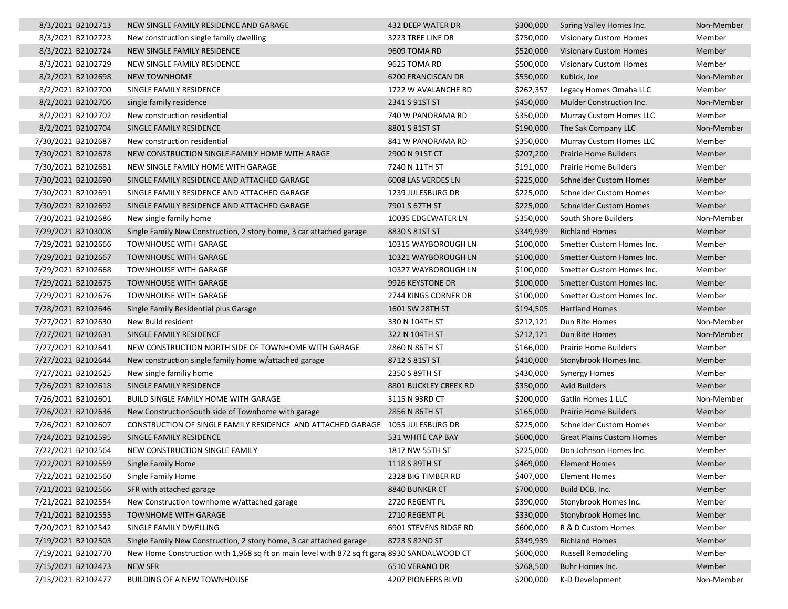| 8/3/2021 B2102713  | NEW SINGLE FAMILY RESIDENCE AND GARAGE                                                      | 432 DEEP WATER DR     |           | \$300,000 Spring Valley Homes Inc. | Non-Member |
|--------------------|---------------------------------------------------------------------------------------------|-----------------------|-----------|------------------------------------|------------|
| 8/3/2021 B2102723  | New construction single family dwelling                                                     | 3223 TREE LINE DR     | \$750,000 | <b>Visionary Custom Homes</b>      | Member     |
| 8/3/2021 B2102724  | NEW SINGLE FAMILY RESIDENCE                                                                 | 9609 TOMA RD          | \$520,000 | <b>Visionary Custom Homes</b>      | Member     |
| 8/3/2021 B2102729  | NEW SINGLE FAMILY RESIDENCE                                                                 | 9625 TOMA RD          | \$500,000 | <b>Visionary Custom Homes</b>      | Member     |
| 8/2/2021 B2102698  | <b>NEW TOWNHOME</b>                                                                         | 6200 FRANCISCAN DR    | \$550,000 | Kubick, Joe                        | Non-Member |
| 8/2/2021 B2102700  | SINGLE FAMILY RESIDENCE                                                                     | 1722 W AVALANCHE RD   | \$262,357 | Legacy Homes Omaha LLC             | Member     |
| 8/2/2021 B2102706  | single family residence                                                                     | 2341 S 91ST ST        | \$450,000 | Mulder Construction Inc.           | Non-Member |
| 8/2/2021 B2102702  | New construction residential                                                                | 740 W PANORAMA RD     | \$350,000 | <b>Murray Custom Homes LLC</b>     | Member     |
| 8/2/2021 B2102704  | SINGLE FAMILY RESIDENCE                                                                     | 8801 S 81ST ST        | \$190,000 | The Sak Company LLC                | Non-Member |
| 7/30/2021 B2102687 | New construction residential                                                                | 841 W PANORAMA RD     | \$350,000 | Murray Custom Homes LLC            | Member     |
| 7/30/2021 B2102678 | NEW CONSTRUCTION SINGLE-FAMILY HOME WITH ARAGE                                              | 2900 N 91ST CT        | \$207,200 | Prairie Home Builders              | Member     |
| 7/30/2021 B2102681 | NEW SINGLE FAMILY HOME WITH GARAGE                                                          | 7240 N 11TH ST        | \$191,000 | <b>Prairie Home Builders</b>       | Member     |
| 7/30/2021 B2102690 | SINGLE FAMILY RESIDENCE AND ATTACHED GARAGE                                                 | 6008 LAS VERDES LN    | \$225,000 | <b>Schneider Custom Homes</b>      | Member     |
| 7/30/2021 B2102691 | SINGLE FAMILY RESIDENCE AND ATTACHED GARAGE                                                 | 1239 JULESBURG DR     | \$225,000 | <b>Schneider Custom Homes</b>      | Member     |
| 7/30/2021 B2102692 | SINGLE FAMILY RESIDENCE AND ATTACHED GARAGE                                                 | 7901 S 67TH ST        | \$225,000 | <b>Schneider Custom Homes</b>      | Member     |
| 7/30/2021 B2102686 | New single family home                                                                      | 10035 EDGEWATER LN    | \$350,000 | South Shore Builders               | Non-Member |
| 7/29/2021 B2103008 | Single Family New Construction, 2 story home, 3 car attached garage                         | 8830 S 81ST ST        | \$349,939 | <b>Richland Homes</b>              | Member     |
| 7/29/2021 B2102666 | <b>TOWNHOUSE WITH GARAGE</b>                                                                | 10315 WAYBOROUGH LN   | \$100,000 | Smetter Custom Homes Inc.          | Member     |
| 7/29/2021 B2102667 | <b>TOWNHOUSE WITH GARAGE</b>                                                                | 10321 WAYBOROUGH LN   | \$100,000 | Smetter Custom Homes Inc.          | Member     |
| 7/29/2021 B2102668 | <b>TOWNHOUSE WITH GARAGE</b>                                                                | 10327 WAYBOROUGH LN   | \$100,000 | Smetter Custom Homes Inc.          | Member     |
| 7/29/2021 B2102675 | <b>TOWNHOUSE WITH GARAGE</b>                                                                | 9926 KEYSTONE DR      | \$100,000 | Smetter Custom Homes Inc.          | Member     |
| 7/29/2021 B2102676 | <b>TOWNHOUSE WITH GARAGE</b>                                                                | 2744 KINGS CORNER DR  | \$100,000 | Smetter Custom Homes Inc.          | Member     |
| 7/28/2021 B2102646 | Single Family Residential plus Garage                                                       | 1601 SW 28TH ST       | \$194,505 | <b>Hartland Homes</b>              | Member     |
| 7/27/2021 B2102630 | New Build resident                                                                          | 330 N 104TH ST        | \$212,121 | Dun Rite Homes                     | Non-Member |
| 7/27/2021 B2102631 | SINGLE FAMILY RESIDENCE                                                                     | 322 N 104TH ST        | \$212,121 | Dun Rite Homes                     | Non-Member |
| 7/27/2021 B2102641 | NEW CONSTRUCTION NORTH SIDE OF TOWNHOME WITH GARAGE                                         | 2860 N 86TH ST        | \$166,000 | <b>Prairie Home Builders</b>       | Member     |
| 7/27/2021 B2102644 | New construction single family home w/attached garage                                       | 8712 S 81ST ST        | \$410,000 | Stonybrook Homes Inc.              | Member     |
| 7/27/2021 B2102625 | New single familiy home                                                                     | 2350 S 89TH ST        | \$430,000 | <b>Synergy Homes</b>               | Member     |
| 7/26/2021 B2102618 | SINGLE FAMILY RESIDENCE                                                                     | 8801 BUCKLEY CREEK RD | \$350,000 | <b>Avid Builders</b>               | Member     |
| 7/26/2021 B2102601 | <b>BUILD SINGLE FAMILY HOME WITH GARAGE</b>                                                 | 3115 N 93RD CT        | \$200,000 | Gatlin Homes 1 LLC                 | Non-Member |
| 7/26/2021 B2102636 | New ConstructionSouth side of Townhome with garage                                          | 2856 N 86TH ST        | \$165,000 | <b>Prairie Home Builders</b>       | Member     |
| 7/26/2021 B2102607 | CONSTRUCTION OF SINGLE FAMILY RESIDENCE AND ATTACHED GARAGE 1055 JULESBURG DR               |                       | \$225,000 | <b>Schneider Custom Homes</b>      | Member     |
| 7/24/2021 B2102595 | SINGLE FAMILY RESIDENCE                                                                     | 531 WHITE CAP BAY     | \$600,000 | <b>Great Plains Custom Homes</b>   | Member     |
| 7/22/2021 B2102564 | NEW CONSTRUCTION SINGLE FAMILY                                                              | 1817 NW 55TH ST       | \$225,000 | Don Johnson Homes Inc.             | Member     |
| 7/22/2021 B2102559 | Single Family Home                                                                          | 1118 S 89TH ST        | \$469,000 | <b>Element Homes</b>               | Member     |
| 7/22/2021 B2102560 | Single Family Home                                                                          | 2328 BIG TIMBER RD    | \$407,000 | <b>Element Homes</b>               | Member     |
| 7/21/2021 B2102566 | SFR with attached garage                                                                    | 8840 BUNKER CT        | \$700,000 | Build DCB, Inc.                    | Member     |
| 7/21/2021 B2102554 | New Construction townhome w/attached garage                                                 | 2720 REGENT PL        | \$390,000 | Stonybrook Homes Inc.              | Member     |
| 7/21/2021 B2102555 | <b>TOWNHOME WITH GARAGE</b>                                                                 | 2710 REGENT PL        | \$330,000 | Stonybrook Homes Inc.              | Member     |
| 7/20/2021 B2102542 | SINGLE FAMILY DWELLING                                                                      | 6901 STEVENS RIDGE RD | \$600,000 | R & D Custom Homes                 | Member     |
| 7/19/2021 B2102503 | Single Family New Construction, 2 story home, 3 car attached garage                         | 8723 S 82ND ST        | \$349,939 | <b>Richland Homes</b>              | Member     |
| 7/19/2021 B2102770 | New Home Construction with 1,968 sq ft on main level with 872 sq ft gara 8930 SANDALWOOD CT |                       | \$600,000 | <b>Russell Remodeling</b>          | Member     |
| 7/15/2021 B2102473 | NEW SFR                                                                                     | 6510 VERANO DR        | \$268,500 | Buhr Homes Inc.                    | Member     |
| 7/15/2021 B2102477 | <b>BUILDING OF A NEW TOWNHOUSE</b>                                                          | 4207 PIONEERS BLVD    | \$200,000 | K-D Development                    | Non-Member |
|                    |                                                                                             |                       |           |                                    |            |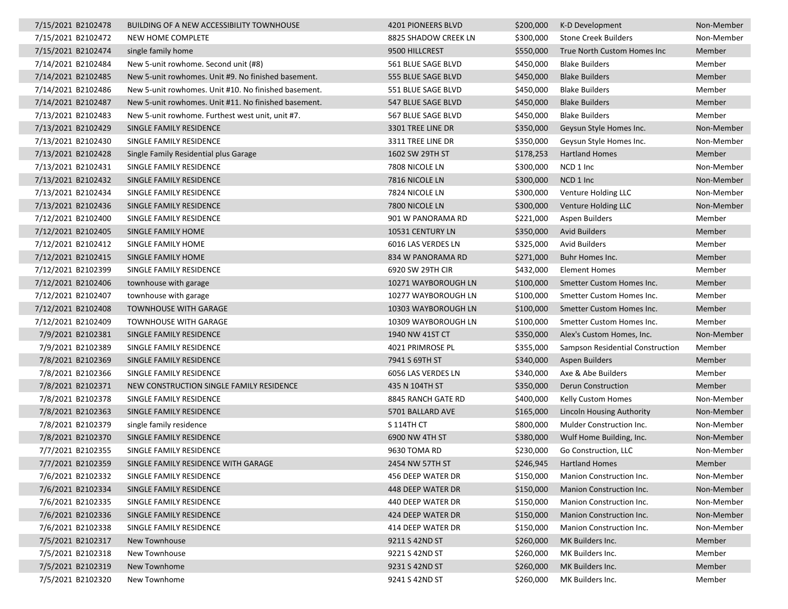| 7/15/2021 B2102478 | BUILDING OF A NEW ACCESSIBILITY TOWNHOUSE            | 4201 PIONEERS BLVD   | \$200,000 | K-D Development                  | Non-Member |
|--------------------|------------------------------------------------------|----------------------|-----------|----------------------------------|------------|
| 7/15/2021 B2102472 | NEW HOME COMPLETE                                    | 8825 SHADOW CREEK LN | \$300,000 | <b>Stone Creek Builders</b>      | Non-Member |
| 7/15/2021 B2102474 | single family home                                   | 9500 HILLCREST       | \$550,000 | True North Custom Homes Inc      | Member     |
| 7/14/2021 B2102484 | New 5-unit rowhome. Second unit (#8)                 | 561 BLUE SAGE BLVD   | \$450,000 | <b>Blake Builders</b>            | Member     |
| 7/14/2021 B2102485 | New 5-unit rowhomes. Unit #9. No finished basement.  | 555 BLUE SAGE BLVD   | \$450,000 | <b>Blake Builders</b>            | Member     |
| 7/14/2021 B2102486 | New 5-unit rowhomes. Unit #10. No finished basement. | 551 BLUE SAGE BLVD   | \$450,000 | <b>Blake Builders</b>            | Member     |
| 7/14/2021 B2102487 | New 5-unit rowhomes. Unit #11. No finished basement. | 547 BLUE SAGE BLVD   | \$450,000 | <b>Blake Builders</b>            | Member     |
| 7/13/2021 B2102483 | New 5-unit rowhome. Furthest west unit, unit #7.     | 567 BLUE SAGE BLVD   | \$450,000 | <b>Blake Builders</b>            | Member     |
| 7/13/2021 B2102429 | SINGLE FAMILY RESIDENCE                              | 3301 TREE LINE DR    | \$350,000 | Geysun Style Homes Inc.          | Non-Member |
| 7/13/2021 B2102430 | SINGLE FAMILY RESIDENCE                              | 3311 TREE LINE DR    | \$350,000 | Geysun Style Homes Inc.          | Non-Member |
| 7/13/2021 B2102428 | Single Family Residential plus Garage                | 1602 SW 29TH ST      | \$178,253 | <b>Hartland Homes</b>            | Member     |
| 7/13/2021 B2102431 | SINGLE FAMILY RESIDENCE                              | 7808 NICOLE LN       | \$300,000 | NCD 1 Inc                        | Non-Member |
| 7/13/2021 B2102432 | SINGLE FAMILY RESIDENCE                              | 7816 NICOLE LN       | \$300,000 | NCD 1 Inc                        | Non-Member |
| 7/13/2021 B2102434 | SINGLE FAMILY RESIDENCE                              | 7824 NICOLE LN       | \$300,000 | Venture Holding LLC              | Non-Member |
| 7/13/2021 B2102436 | SINGLE FAMILY RESIDENCE                              | 7800 NICOLE LN       | \$300,000 | Venture Holding LLC              | Non-Member |
| 7/12/2021 B2102400 | SINGLE FAMILY RESIDENCE                              | 901 W PANORAMA RD    | \$221,000 | Aspen Builders                   | Member     |
| 7/12/2021 B2102405 | SINGLE FAMILY HOME                                   | 10531 CENTURY LN     | \$350,000 | <b>Avid Builders</b>             | Member     |
| 7/12/2021 B2102412 | SINGLE FAMILY HOME                                   | 6016 LAS VERDES LN   | \$325,000 | <b>Avid Builders</b>             | Member     |
| 7/12/2021 B2102415 | SINGLE FAMILY HOME                                   | 834 W PANORAMA RD    | \$271,000 | Buhr Homes Inc.                  | Member     |
| 7/12/2021 B2102399 | SINGLE FAMILY RESIDENCE                              | 6920 SW 29TH CIR     | \$432,000 | Element Homes                    | Member     |
| 7/12/2021 B2102406 | townhouse with garage                                | 10271 WAYBOROUGH LN  | \$100,000 | Smetter Custom Homes Inc.        | Member     |
| 7/12/2021 B2102407 | townhouse with garage                                | 10277 WAYBOROUGH LN  | \$100,000 | Smetter Custom Homes Inc.        | Member     |
| 7/12/2021 B2102408 | <b>TOWNHOUSE WITH GARAGE</b>                         | 10303 WAYBOROUGH LN  | \$100,000 | Smetter Custom Homes Inc.        | Member     |
| 7/12/2021 B2102409 | <b>TOWNHOUSE WITH GARAGE</b>                         | 10309 WAYBOROUGH LN  | \$100,000 | Smetter Custom Homes Inc.        | Member     |
| 7/9/2021 B2102381  | SINGLE FAMILY RESIDENCE                              | 1940 NW 41ST CT      | \$350,000 | Alex's Custom Homes, Inc.        | Non-Member |
| 7/9/2021 B2102389  | SINGLE FAMILY RESIDENCE                              | 4021 PRIMROSE PL     | \$355,000 | Sampson Residential Construction | Member     |
| 7/8/2021 B2102369  | SINGLE FAMILY RESIDENCE                              | 7941 S 69TH ST       | \$340,000 | Aspen Builders                   | Member     |
| 7/8/2021 B2102366  | SINGLE FAMILY RESIDENCE                              | 6056 LAS VERDES LN   | \$340,000 | Axe & Abe Builders               | Member     |
| 7/8/2021 B2102371  | NEW CONSTRUCTION SINGLE FAMILY RESIDENCE             | 435 N 104TH ST       | \$350,000 | <b>Derun Construction</b>        | Member     |
| 7/8/2021 B2102378  | SINGLE FAMILY RESIDENCE                              | 8845 RANCH GATE RD   | \$400,000 | <b>Kelly Custom Homes</b>        | Non-Member |
| 7/8/2021 B2102363  | SINGLE FAMILY RESIDENCE                              | 5701 BALLARD AVE     | \$165,000 | Lincoln Housing Authority        | Non-Member |
| 7/8/2021 B2102379  | single family residence                              | S 114TH CT           | \$800,000 | Mulder Construction Inc.         | Non-Member |
| 7/8/2021 B2102370  | SINGLE FAMILY RESIDENCE                              | 6900 NW 4TH ST       | \$380,000 | Wulf Home Building, Inc.         | Non-Member |
| 7/7/2021 B2102355  | SINGLE FAMILY RESIDENCE                              | 9630 TOMA RD         | \$230,000 | Go Construction, LLC             | Non-Member |
| 7/7/2021 B2102359  | SINGLE FAMILY RESIDENCE WITH GARAGE                  | 2454 NW 57TH ST      | \$246,945 | <b>Hartland Homes</b>            | Member     |
| 7/6/2021 B2102332  | SINGLE FAMILY RESIDENCE                              | 456 DEEP WATER DR    | \$150,000 | Manion Construction Inc.         | Non-Member |
| 7/6/2021 B2102334  | SINGLE FAMILY RESIDENCE                              | 448 DEEP WATER DR    | \$150,000 | Manion Construction Inc.         | Non-Member |
| 7/6/2021 B2102335  | SINGLE FAMILY RESIDENCE                              | 440 DEEP WATER DR    | \$150,000 | Manion Construction Inc.         | Non-Member |
| 7/6/2021 B2102336  | SINGLE FAMILY RESIDENCE                              | 424 DEEP WATER DR    | \$150,000 | Manion Construction Inc.         | Non-Member |
| 7/6/2021 B2102338  | SINGLE FAMILY RESIDENCE                              | 414 DEEP WATER DR    | \$150,000 | Manion Construction Inc.         | Non-Member |
| 7/5/2021 B2102317  | New Townhouse                                        | 9211 S 42ND ST       | \$260,000 | MK Builders Inc.                 | Member     |
| 7/5/2021 B2102318  | New Townhouse                                        | 9221 S 42ND ST       | \$260,000 | MK Builders Inc.                 | Member     |
| 7/5/2021 B2102319  | New Townhome                                         | 9231 S 42ND ST       | \$260,000 | MK Builders Inc.                 | Member     |
| 7/5/2021 B2102320  | New Townhome                                         | 9241 S 42ND ST       | \$260,000 | MK Builders Inc.                 | Member     |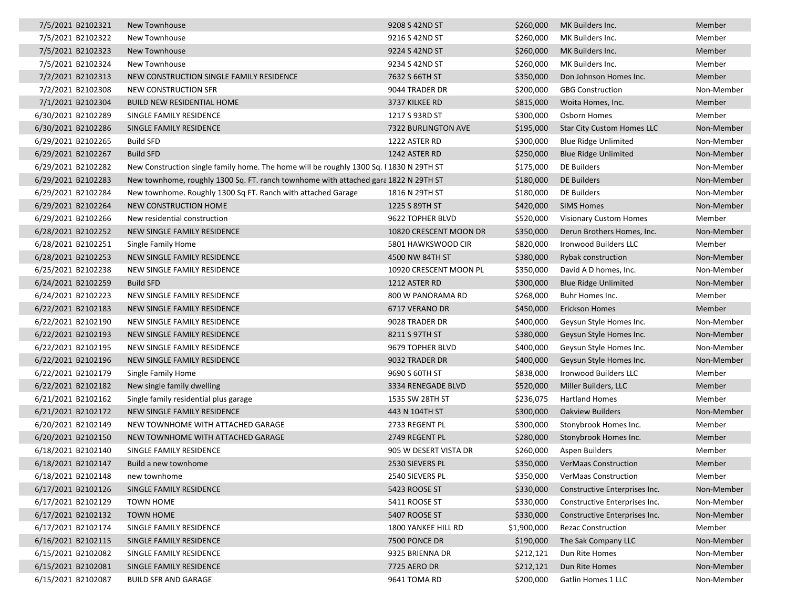| 7/5/2021 B2102321  | New Townhouse                                                                          | 9208 S 42ND ST         | \$260,000   | MK Builders Inc.                  | Member     |
|--------------------|----------------------------------------------------------------------------------------|------------------------|-------------|-----------------------------------|------------|
| 7/5/2021 B2102322  | New Townhouse                                                                          | 9216 S 42ND ST         | \$260,000   | MK Builders Inc.                  | Member     |
| 7/5/2021 B2102323  | New Townhouse                                                                          | 9224 S 42ND ST         | \$260,000   | MK Builders Inc.                  | Member     |
| 7/5/2021 B2102324  | New Townhouse                                                                          | 9234 S 42ND ST         | \$260,000   | MK Builders Inc.                  | Member     |
| 7/2/2021 B2102313  | NEW CONSTRUCTION SINGLE FAMILY RESIDENCE                                               | 7632 S 66TH ST         | \$350,000   | Don Johnson Homes Inc.            | Member     |
| 7/2/2021 B2102308  | NEW CONSTRUCTION SFR                                                                   | 9044 TRADER DR         | \$200,000   | <b>GBG Construction</b>           | Non-Member |
| 7/1/2021 B2102304  | <b>BUILD NEW RESIDENTIAL HOME</b>                                                      | 3737 KILKEE RD         | \$815,000   | Woita Homes, Inc.                 | Member     |
| 6/30/2021 B2102289 | SINGLE FAMILY RESIDENCE                                                                | 1217 S 93RD ST         | \$300,000   | Osborn Homes                      | Member     |
| 6/30/2021 B2102286 | SINGLE FAMILY RESIDENCE                                                                | 7322 BURLINGTON AVE    | \$195,000   | <b>Star City Custom Homes LLC</b> | Non-Member |
| 6/29/2021 B2102265 | <b>Build SFD</b>                                                                       | 1222 ASTER RD          | \$300,000   | <b>Blue Ridge Unlimited</b>       | Non-Member |
| 6/29/2021 B2102267 | <b>Build SFD</b>                                                                       | 1242 ASTER RD          | \$250,000   | <b>Blue Ridge Unlimited</b>       | Non-Member |
| 6/29/2021 B2102282 | New Construction single family home. The home will be roughly 1300 Sq. F1830 N 29TH ST |                        | \$175,000   | DE Builders                       | Non-Member |
| 6/29/2021 B2102283 | New townhome, roughly 1300 Sq. FT. ranch townhome with attached gara 1822 N 29TH ST    |                        | \$180,000   | DE Builders                       | Non-Member |
| 6/29/2021 B2102284 | New townhome. Roughly 1300 Sq FT. Ranch with attached Garage                           | 1816 N 29TH ST         | \$180,000   | DE Builders                       | Non-Member |
| 6/29/2021 B2102264 | NEW CONSTRUCTION HOME                                                                  | 1225 S 89TH ST         | \$420,000   | <b>SIMS Homes</b>                 | Non-Member |
| 6/29/2021 B2102266 | New residential construction                                                           | 9622 TOPHER BLVD       | \$520,000   | <b>Visionary Custom Homes</b>     | Member     |
| 6/28/2021 B2102252 | NEW SINGLE FAMILY RESIDENCE                                                            | 10820 CRESCENT MOON DR | \$350,000   | Derun Brothers Homes, Inc.        | Non-Member |
| 6/28/2021 B2102251 | Single Family Home                                                                     | 5801 HAWKSWOOD CIR     | \$820,000   | <b>Ironwood Builders LLC</b>      | Member     |
| 6/28/2021 B2102253 | NEW SINGLE FAMILY RESIDENCE                                                            | 4500 NW 84TH ST        | \$380,000   | Rybak construction                | Non-Member |
| 6/25/2021 B2102238 | NEW SINGLE FAMILY RESIDENCE                                                            | 10920 CRESCENT MOON PL | \$350,000   | David A D homes, Inc.             | Non-Member |
| 6/24/2021 B2102259 | <b>Build SFD</b>                                                                       | 1212 ASTER RD          | \$300,000   | <b>Blue Ridge Unlimited</b>       | Non-Member |
| 6/24/2021 B2102223 | NEW SINGLE FAMILY RESIDENCE                                                            | 800 W PANORAMA RD      | \$268,000   | Buhr Homes Inc.                   | Member     |
| 6/22/2021 B2102183 | NEW SINGLE FAMILY RESIDENCE                                                            | 6717 VERANO DR         | \$450,000   | Erickson Homes                    | Member     |
| 6/22/2021 B2102190 | NEW SINGLE FAMILY RESIDENCE                                                            | 9028 TRADER DR         | \$400,000   | Geysun Style Homes Inc.           | Non-Member |
| 6/22/2021 B2102193 | NEW SINGLE FAMILY RESIDENCE                                                            | 8211 S 97TH ST         | \$380,000   | Geysun Style Homes Inc.           | Non-Member |
| 6/22/2021 B2102195 | NEW SINGLE FAMILY RESIDENCE                                                            | 9679 TOPHER BLVD       | \$400,000   | Geysun Style Homes Inc.           | Non-Member |
| 6/22/2021 B2102196 | NEW SINGLE FAMILY RESIDENCE                                                            | 9032 TRADER DR         | \$400,000   | Geysun Style Homes Inc.           | Non-Member |
| 6/22/2021 B2102179 | Single Family Home                                                                     | 9690 S 60TH ST         | \$838,000   | Ironwood Builders LLC             | Member     |
| 6/22/2021 B2102182 | New single family dwelling                                                             | 3334 RENEGADE BLVD     | \$520,000   | Miller Builders, LLC              | Member     |
| 6/21/2021 B2102162 | Single family residential plus garage                                                  | 1535 SW 28TH ST        | \$236,075   | <b>Hartland Homes</b>             | Member     |
| 6/21/2021 B2102172 | NEW SINGLE FAMILY RESIDENCE                                                            | 443 N 104TH ST         | \$300,000   | <b>Oakview Builders</b>           | Non-Member |
| 6/20/2021 B2102149 | NEW TOWNHOME WITH ATTACHED GARAGE                                                      | 2733 REGENT PL         | \$300,000   | Stonybrook Homes Inc.             | Member     |
| 6/20/2021 B2102150 | NEW TOWNHOME WITH ATTACHED GARAGE                                                      | 2749 REGENT PL         | \$280,000   | Stonybrook Homes Inc.             | Member     |
| 6/18/2021 B2102140 | SINGLE FAMILY RESIDENCE                                                                | 905 W DESERT VISTA DR  | \$260,000   | Aspen Builders                    | Member     |
| 6/18/2021 B2102147 | Build a new townhome                                                                   | 2530 SIEVERS PL        | \$350,000   | <b>VerMaas Construction</b>       | Member     |
| 6/18/2021 B2102148 | new townhome                                                                           | 2540 SIEVERS PL        | \$350,000   | <b>VerMaas Construction</b>       | Member     |
| 6/17/2021 B2102126 | SINGLE FAMILY RESIDENCE                                                                | 5423 ROOSE ST          | \$330,000   | Constructive Enterprises Inc.     | Non-Member |
| 6/17/2021 B2102129 | <b>TOWN HOME</b>                                                                       | 5411 ROOSE ST          | \$330,000   | Constructive Enterprises Inc.     | Non-Member |
| 6/17/2021 B2102132 | <b>TOWN HOME</b>                                                                       | 5407 ROOSE ST          | \$330,000   | Constructive Enterprises Inc.     | Non-Member |
| 6/17/2021 B2102174 | SINGLE FAMILY RESIDENCE                                                                | 1800 YANKEE HILL RD    | \$1,900,000 | <b>Rezac Construction</b>         | Member     |
| 6/16/2021 B2102115 | SINGLE FAMILY RESIDENCE                                                                | 7500 PONCE DR          | \$190,000   | The Sak Company LLC               | Non-Member |
| 6/15/2021 B2102082 | SINGLE FAMILY RESIDENCE                                                                | 9325 BRIENNA DR        | \$212,121   | Dun Rite Homes                    | Non-Member |
| 6/15/2021 B2102081 | SINGLE FAMILY RESIDENCE                                                                | 7725 AERO DR           | \$212,121   | Dun Rite Homes                    | Non-Member |
| 6/15/2021 B2102087 | <b>BUILD SFR AND GARAGE</b>                                                            | 9641 TOMA RD           | \$200,000   | Gatlin Homes 1 LLC                | Non-Member |
|                    |                                                                                        |                        |             |                                   |            |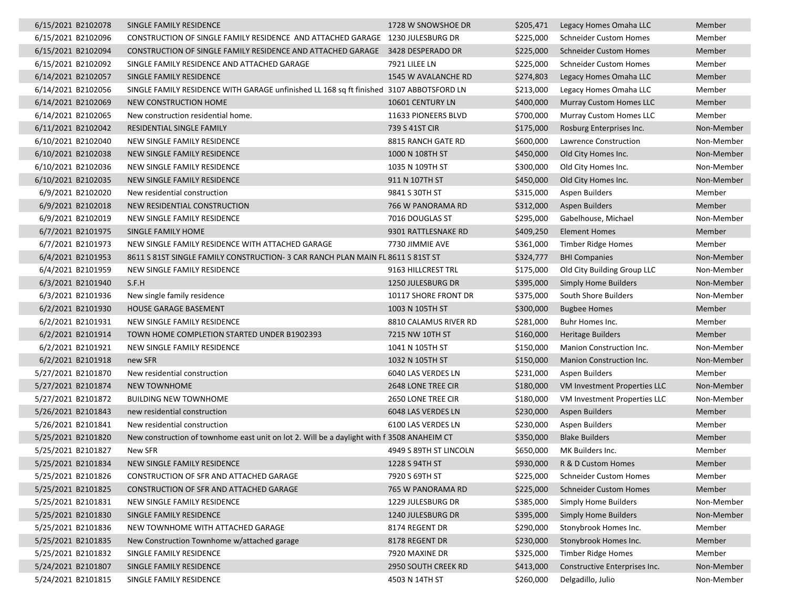| 6/15/2021 B2102078 | SINGLE FAMILY RESIDENCE                                                                    | 1728 W SNOWSHOE DR     | \$205,471 | Legacy Homes Omaha LLC         | Member     |
|--------------------|--------------------------------------------------------------------------------------------|------------------------|-----------|--------------------------------|------------|
| 6/15/2021 B2102096 | CONSTRUCTION OF SINGLE FAMILY RESIDENCE AND ATTACHED GARAGE 1230 JULESBURG DR              |                        | \$225,000 | <b>Schneider Custom Homes</b>  | Member     |
| 6/15/2021 B2102094 | CONSTRUCTION OF SINGLE FAMILY RESIDENCE AND ATTACHED GARAGE 3428 DESPERADO DR              |                        | \$225,000 | <b>Schneider Custom Homes</b>  | Member     |
| 6/15/2021 B2102092 | SINGLE FAMILY RESIDENCE AND ATTACHED GARAGE                                                | 7921 LILEE LN          | \$225,000 | <b>Schneider Custom Homes</b>  | Member     |
| 6/14/2021 B2102057 | SINGLE FAMILY RESIDENCE                                                                    | 1545 W AVALANCHE RD    | \$274,803 | Legacy Homes Omaha LLC         | Member     |
| 6/14/2021 B2102056 | SINGLE FAMILY RESIDENCE WITH GARAGE unfinished LL 168 sq ft finished 3107 ABBOTSFORD LN    |                        | \$213,000 | Legacy Homes Omaha LLC         | Member     |
| 6/14/2021 B2102069 | NEW CONSTRUCTION HOME                                                                      | 10601 CENTURY LN       | \$400,000 | <b>Murray Custom Homes LLC</b> | Member     |
| 6/14/2021 B2102065 | New construction residential home.                                                         | 11633 PIONEERS BLVD    | \$700,000 | Murray Custom Homes LLC        | Member     |
| 6/11/2021 B2102042 | RESIDENTIAL SINGLE FAMILY                                                                  | 739 S 41ST CIR         | \$175,000 | Rosburg Enterprises Inc.       | Non-Member |
| 6/10/2021 B2102040 | NEW SINGLE FAMILY RESIDENCE                                                                | 8815 RANCH GATE RD     | \$600,000 | Lawrence Construction          | Non-Member |
| 6/10/2021 B2102038 | NEW SINGLE FAMILY RESIDENCE                                                                | 1000 N 108TH ST        | \$450,000 | Old City Homes Inc.            | Non-Member |
| 6/10/2021 B2102036 | NEW SINGLE FAMILY RESIDENCE                                                                | 1035 N 109TH ST        | \$300,000 | Old City Homes Inc.            | Non-Member |
| 6/10/2021 B2102035 | NEW SINGLE FAMILY RESIDENCE                                                                | 911 N 107TH ST         | \$450,000 | Old City Homes Inc.            | Non-Member |
| 6/9/2021 B2102020  | New residential construction                                                               | 9841 S 30TH ST         | \$315,000 | Aspen Builders                 | Member     |
| 6/9/2021 B2102018  | NEW RESIDENTIAL CONSTRUCTION                                                               | 766 W PANORAMA RD      | \$312,000 | Aspen Builders                 | Member     |
| 6/9/2021 B2102019  | NEW SINGLE FAMILY RESIDENCE                                                                | 7016 DOUGLAS ST        | \$295,000 | Gabelhouse, Michael            | Non-Member |
| 6/7/2021 B2101975  | SINGLE FAMILY HOME                                                                         | 9301 RATTLESNAKE RD    | \$409,250 | <b>Element Homes</b>           | Member     |
| 6/7/2021 B2101973  | NEW SINGLE FAMILY RESIDENCE WITH ATTACHED GARAGE                                           | 7730 JIMMIE AVE        | \$361,000 | <b>Timber Ridge Homes</b>      | Member     |
| 6/4/2021 B2101953  | 8611 S 81ST SINGLE FAMILY CONSTRUCTION- 3 CAR RANCH PLAN MAIN FL 8611 S 81ST ST            |                        | \$324,777 | <b>BHI Companies</b>           | Non-Member |
| 6/4/2021 B2101959  | NEW SINGLE FAMILY RESIDENCE                                                                | 9163 HILLCREST TRL     | \$175,000 | Old City Building Group LLC    | Non-Member |
| 6/3/2021 B2101940  | S.F.H                                                                                      | 1250 JULESBURG DR      | \$395,000 | <b>Simply Home Builders</b>    | Non-Member |
| 6/3/2021 B2101936  | New single family residence                                                                | 10117 SHORE FRONT DR   | \$375,000 | South Shore Builders           | Non-Member |
| 6/2/2021 B2101930  | HOUSE GARAGE BASEMENT                                                                      | 1003 N 105TH ST        | \$300,000 | <b>Bugbee Homes</b>            | Member     |
| 6/2/2021 B2101931  | NEW SINGLE FAMILY RESIDENCE                                                                | 8810 CALAMUS RIVER RD  | \$281,000 | Buhr Homes Inc.                | Member     |
| 6/2/2021 B2101914  | TOWN HOME COMPLETION STARTED UNDER B1902393                                                | 7215 NW 10TH ST        | \$160,000 | <b>Heritage Builders</b>       | Member     |
| 6/2/2021 B2101921  | NEW SINGLE FAMILY RESIDENCE                                                                | 1041 N 105TH ST        | \$150,000 | Manion Construction Inc.       | Non-Member |
| 6/2/2021 B2101918  | new SFR                                                                                    | 1032 N 105TH ST        | \$150,000 | Manion Construction Inc.       | Non-Member |
| 5/27/2021 B2101870 | New residential construction                                                               | 6040 LAS VERDES LN     | \$231,000 | Aspen Builders                 | Member     |
| 5/27/2021 B2101874 | <b>NEW TOWNHOME</b>                                                                        | 2648 LONE TREE CIR     | \$180,000 | VM Investment Properties LLC   | Non-Member |
| 5/27/2021 B2101872 | <b>BUILDING NEW TOWNHOME</b>                                                               | 2650 LONE TREE CIR     | \$180,000 | VM Investment Properties LLC   | Non-Member |
| 5/26/2021 B2101843 | new residential construction                                                               | 6048 LAS VERDES LN     | \$230,000 | <b>Aspen Builders</b>          | Member     |
| 5/26/2021 B2101841 | New residential construction                                                               | 6100 LAS VERDES LN     | \$230,000 | Aspen Builders                 | Member     |
| 5/25/2021 B2101820 | New construction of townhome east unit on lot 2. Will be a daylight with f 3508 ANAHEIM CT |                        | \$350,000 | <b>Blake Builders</b>          | Member     |
| 5/25/2021 B2101827 | New SFR                                                                                    | 4949 S 89TH ST LINCOLN | \$650,000 | MK Builders Inc.               | Member     |
| 5/25/2021 B2101834 | NEW SINGLE FAMILY RESIDENCE                                                                | 1228 S 94TH ST         | \$930,000 | R & D Custom Homes             | Member     |
| 5/25/2021 B2101826 | CONSTRUCTION OF SFR AND ATTACHED GARAGE                                                    | 7920 S 69TH ST         | \$225,000 | <b>Schneider Custom Homes</b>  | Member     |
| 5/25/2021 B2101825 | CONSTRUCTION OF SFR AND ATTACHED GARAGE                                                    | 765 W PANORAMA RD      | \$225,000 | <b>Schneider Custom Homes</b>  | Member     |
| 5/25/2021 B2101831 | NEW SINGLE FAMILY RESIDENCE                                                                | 1229 JULESBURG DR      | \$385,000 | Simply Home Builders           | Non-Member |
| 5/25/2021 B2101830 | SINGLE FAMILY RESIDENCE                                                                    | 1240 JULESBURG DR      | \$395,000 | Simply Home Builders           | Non-Member |
| 5/25/2021 B2101836 | NEW TOWNHOME WITH ATTACHED GARAGE                                                          | 8174 REGENT DR         | \$290,000 | Stonybrook Homes Inc.          | Member     |
| 5/25/2021 B2101835 | New Construction Townhome w/attached garage                                                | 8178 REGENT DR         | \$230,000 | Stonybrook Homes Inc.          | Member     |
| 5/25/2021 B2101832 | SINGLE FAMILY RESIDENCE                                                                    | 7920 MAXINE DR         | \$325,000 | <b>Timber Ridge Homes</b>      | Member     |
| 5/24/2021 B2101807 | SINGLE FAMILY RESIDENCE                                                                    | 2950 SOUTH CREEK RD    | \$413,000 | Constructive Enterprises Inc.  | Non-Member |
| 5/24/2021 B2101815 | SINGLE FAMILY RESIDENCE                                                                    | 4503 N 14TH ST         | \$260,000 | Delgadillo, Julio              | Non-Member |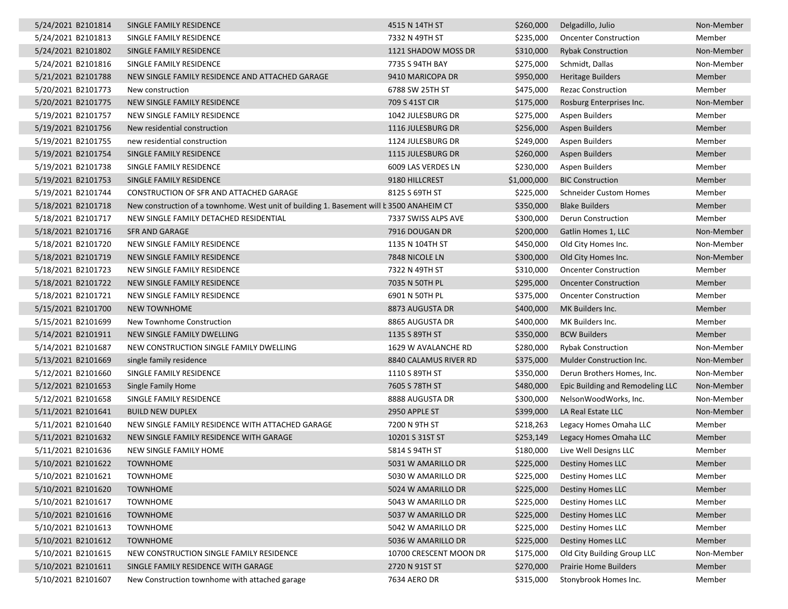| 5/24/2021 B2101814 | SINGLE FAMILY RESIDENCE                                                                  | 4515 N 14TH ST         | \$260,000   | Delgadillo, Julio                | Non-Member |
|--------------------|------------------------------------------------------------------------------------------|------------------------|-------------|----------------------------------|------------|
| 5/24/2021 B2101813 | SINGLE FAMILY RESIDENCE                                                                  | 7332 N 49TH ST         | \$235,000   | <b>Oncenter Construction</b>     | Member     |
| 5/24/2021 B2101802 | SINGLE FAMILY RESIDENCE                                                                  | 1121 SHADOW MOSS DR    | \$310,000   | <b>Rybak Construction</b>        | Non-Member |
| 5/24/2021 B2101816 | SINGLE FAMILY RESIDENCE                                                                  | 7735 S 94TH BAY        | \$275,000   | Schmidt, Dallas                  | Non-Member |
| 5/21/2021 B2101788 | NEW SINGLE FAMILY RESIDENCE AND ATTACHED GARAGE                                          | 9410 MARICOPA DR       | \$950,000   | <b>Heritage Builders</b>         | Member     |
| 5/20/2021 B2101773 | New construction                                                                         | 6788 SW 25TH ST        | \$475,000   | <b>Rezac Construction</b>        | Member     |
| 5/20/2021 B2101775 | NEW SINGLE FAMILY RESIDENCE                                                              | 709 S 41ST CIR         | \$175,000   | Rosburg Enterprises Inc.         | Non-Member |
| 5/19/2021 B2101757 | NEW SINGLE FAMILY RESIDENCE                                                              | 1042 JULESBURG DR      | \$275,000   | Aspen Builders                   | Member     |
| 5/19/2021 B2101756 | New residential construction                                                             | 1116 JULESBURG DR      | \$256,000   | <b>Aspen Builders</b>            | Member     |
| 5/19/2021 B2101755 | new residential construction                                                             | 1124 JULESBURG DR      | \$249,000   | Aspen Builders                   | Member     |
| 5/19/2021 B2101754 | SINGLE FAMILY RESIDENCE                                                                  | 1115 JULESBURG DR      | \$260,000   | <b>Aspen Builders</b>            | Member     |
| 5/19/2021 B2101738 | SINGLE FAMILY RESIDENCE                                                                  | 6009 LAS VERDES LN     | \$230,000   | Aspen Builders                   | Member     |
| 5/19/2021 B2101753 | SINGLE FAMILY RESIDENCE                                                                  | 9180 HILLCREST         | \$1,000,000 | <b>BIC Construction</b>          | Member     |
| 5/19/2021 B2101744 | CONSTRUCTION OF SFR AND ATTACHED GARAGE                                                  | 8125 S 69TH ST         | \$225,000   | <b>Schneider Custom Homes</b>    | Member     |
| 5/18/2021 B2101718 | New construction of a townhome. West unit of building 1. Basement will b 3500 ANAHEIM CT |                        | \$350,000   | <b>Blake Builders</b>            | Member     |
| 5/18/2021 B2101717 | NEW SINGLE FAMILY DETACHED RESIDENTIAL                                                   | 7337 SWISS ALPS AVE    | \$300,000   | Derun Construction               | Member     |
| 5/18/2021 B2101716 | <b>SFR AND GARAGE</b>                                                                    | 7916 DOUGAN DR         | \$200,000   | Gatlin Homes 1, LLC              | Non-Member |
| 5/18/2021 B2101720 | NEW SINGLE FAMILY RESIDENCE                                                              | 1135 N 104TH ST        | \$450,000   | Old City Homes Inc.              | Non-Member |
| 5/18/2021 B2101719 | NEW SINGLE FAMILY RESIDENCE                                                              | 7848 NICOLE LN         | \$300,000   | Old City Homes Inc.              | Non-Member |
| 5/18/2021 B2101723 | NEW SINGLE FAMILY RESIDENCE                                                              | 7322 N 49TH ST         | \$310,000   | <b>Oncenter Construction</b>     | Member     |
| 5/18/2021 B2101722 | NEW SINGLE FAMILY RESIDENCE                                                              | 7035 N 50TH PL         | \$295,000   | <b>Oncenter Construction</b>     | Member     |
| 5/18/2021 B2101721 | NEW SINGLE FAMILY RESIDENCE                                                              | 6901 N 50TH PL         | \$375,000   | <b>Oncenter Construction</b>     | Member     |
| 5/15/2021 B2101700 | <b>NEW TOWNHOME</b>                                                                      | 8873 AUGUSTA DR        | \$400,000   | MK Builders Inc.                 | Member     |
| 5/15/2021 B2101699 | New Townhome Construction                                                                | 8865 AUGUSTA DR        | \$400,000   | MK Builders Inc.                 | Member     |
| 5/14/2021 B2101911 | NEW SINGLE FAMILY DWELLING                                                               | 1135 S 89TH ST         | \$350,000   | <b>BCW Builders</b>              | Member     |
| 5/14/2021 B2101687 | NEW CONSTRUCTION SINGLE FAMILY DWELLING                                                  | 1629 W AVALANCHE RD    | \$280,000   | <b>Rybak Construction</b>        | Non-Member |
| 5/13/2021 B2101669 | single family residence                                                                  | 8840 CALAMUS RIVER RD  | \$375,000   | Mulder Construction Inc.         | Non-Member |
| 5/12/2021 B2101660 | SINGLE FAMILY RESIDENCE                                                                  | 1110 S 89TH ST         | \$350,000   | Derun Brothers Homes, Inc.       | Non-Member |
| 5/12/2021 B2101653 | Single Family Home                                                                       | 7605 S 78TH ST         | \$480,000   | Epic Building and Remodeling LLC | Non-Member |
| 5/12/2021 B2101658 | SINGLE FAMILY RESIDENCE                                                                  | 8888 AUGUSTA DR        | \$300,000   | NelsonWoodWorks, Inc.            | Non-Member |
| 5/11/2021 B2101641 | <b>BUILD NEW DUPLEX</b>                                                                  | 2950 APPLE ST          | \$399,000   | LA Real Estate LLC               | Non-Member |
| 5/11/2021 B2101640 | NEW SINGLE FAMILY RESIDENCE WITH ATTACHED GARAGE                                         | 7200 N 9TH ST          | \$218,263   | Legacy Homes Omaha LLC           | Member     |
| 5/11/2021 B2101632 | NEW SINGLE FAMILY RESIDENCE WITH GARAGE                                                  | 10201 S 31ST ST        | \$253,149   | Legacy Homes Omaha LLC           | Member     |
| 5/11/2021 B2101636 | NEW SINGLE FAMILY HOME                                                                   | 5814 S 94TH ST         | \$180,000   | Live Well Designs LLC            | Member     |
| 5/10/2021 B2101622 | <b>TOWNHOME</b>                                                                          | 5031 W AMARILLO DR     |             | \$225,000 Destiny Homes LLC      | Member     |
| 5/10/2021 B2101621 | <b>TOWNHOME</b>                                                                          | 5030 W AMARILLO DR     | \$225,000   | <b>Destiny Homes LLC</b>         | Member     |
| 5/10/2021 B2101620 | <b>TOWNHOME</b>                                                                          | 5024 W AMARILLO DR     | \$225,000   | Destiny Homes LLC                | Member     |
| 5/10/2021 B2101617 | <b>TOWNHOME</b>                                                                          | 5043 W AMARILLO DR     | \$225,000   | <b>Destiny Homes LLC</b>         | Member     |
| 5/10/2021 B2101616 | <b>TOWNHOME</b>                                                                          | 5037 W AMARILLO DR     | \$225,000   | <b>Destiny Homes LLC</b>         | Member     |
| 5/10/2021 B2101613 | <b>TOWNHOME</b>                                                                          | 5042 W AMARILLO DR     | \$225,000   | Destiny Homes LLC                | Member     |
| 5/10/2021 B2101612 | <b>TOWNHOME</b>                                                                          | 5036 W AMARILLO DR     | \$225,000   | Destiny Homes LLC                | Member     |
| 5/10/2021 B2101615 | NEW CONSTRUCTION SINGLE FAMILY RESIDENCE                                                 | 10700 CRESCENT MOON DR | \$175,000   | Old City Building Group LLC      | Non-Member |
| 5/10/2021 B2101611 | SINGLE FAMILY RESIDENCE WITH GARAGE                                                      | 2720 N 91ST ST         | \$270,000   | <b>Prairie Home Builders</b>     | Member     |
| 5/10/2021 B2101607 | New Construction townhome with attached garage                                           | 7634 AERO DR           | \$315,000   | Stonybrook Homes Inc.            | Member     |
|                    |                                                                                          |                        |             |                                  |            |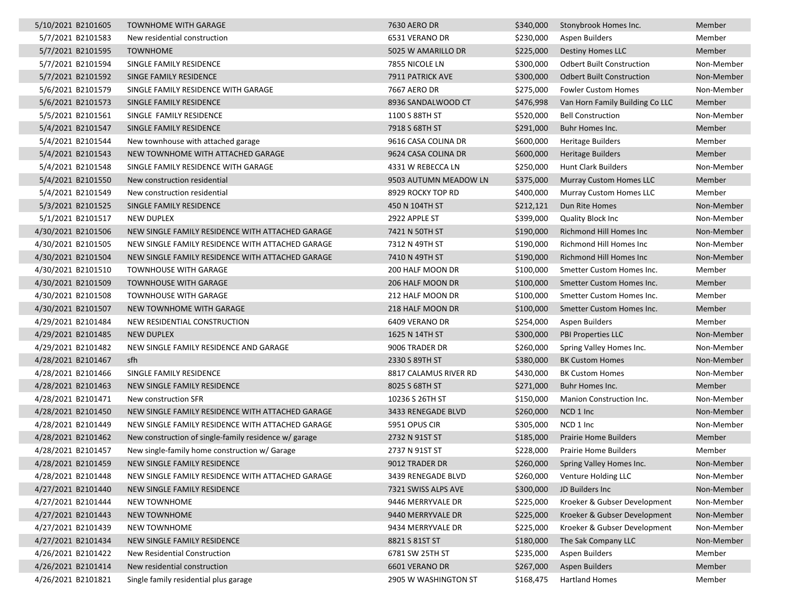| 5/10/2021 B2101605 | <b>TOWNHOME WITH GARAGE</b>                           | 7630 AERO DR          | \$340,000 | Stonybrook Homes Inc.            | Member     |
|--------------------|-------------------------------------------------------|-----------------------|-----------|----------------------------------|------------|
| 5/7/2021 B2101583  | New residential construction                          | 6531 VERANO DR        | \$230,000 | Aspen Builders                   | Member     |
| 5/7/2021 B2101595  | <b>TOWNHOME</b>                                       | 5025 W AMARILLO DR    | \$225,000 | <b>Destiny Homes LLC</b>         | Member     |
| 5/7/2021 B2101594  | SINGLE FAMILY RESIDENCE                               | 7855 NICOLE LN        | \$300,000 | <b>Odbert Built Construction</b> | Non-Member |
| 5/7/2021 B2101592  | SINGE FAMILY RESIDENCE                                | 7911 PATRICK AVE      | \$300,000 | <b>Odbert Built Construction</b> | Non-Member |
| 5/6/2021 B2101579  | SINGLE FAMILY RESIDENCE WITH GARAGE                   | 7667 AERO DR          | \$275,000 | Fowler Custom Homes              | Non-Member |
| 5/6/2021 B2101573  | SINGLE FAMILY RESIDENCE                               | 8936 SANDALWOOD CT    | \$476,998 | Van Horn Family Building Co LLC  | Member     |
| 5/5/2021 B2101561  | SINGLE FAMILY RESIDENCE                               | 1100 S 88TH ST        | \$520,000 | <b>Bell Construction</b>         | Non-Member |
| 5/4/2021 B2101547  | SINGLE FAMILY RESIDENCE                               | 7918 S 68TH ST        | \$291,000 | Buhr Homes Inc.                  | Member     |
| 5/4/2021 B2101544  | New townhouse with attached garage                    | 9616 CASA COLINA DR   | \$600,000 | <b>Heritage Builders</b>         | Member     |
| 5/4/2021 B2101543  | NEW TOWNHOME WITH ATTACHED GARAGE                     | 9624 CASA COLINA DR   | \$600,000 | <b>Heritage Builders</b>         | Member     |
| 5/4/2021 B2101548  | SINGLE FAMILY RESIDENCE WITH GARAGE                   | 4331 W REBECCA LN     | \$250,000 | Hunt Clark Builders              | Non-Member |
| 5/4/2021 B2101550  | New construction residential                          | 9503 AUTUMN MEADOW LN | \$375,000 | Murray Custom Homes LLC          | Member     |
| 5/4/2021 B2101549  | New construction residential                          | 8929 ROCKY TOP RD     | \$400,000 | Murray Custom Homes LLC          | Member     |
| 5/3/2021 B2101525  | SINGLE FAMILY RESIDENCE                               | 450 N 104TH ST        | \$212,121 | Dun Rite Homes                   | Non-Member |
| 5/1/2021 B2101517  | <b>NEW DUPLEX</b>                                     | 2922 APPLE ST         | \$399,000 | <b>Quality Block Inc.</b>        | Non-Member |
| 4/30/2021 B2101506 | NEW SINGLE FAMILY RESIDENCE WITH ATTACHED GARAGE      | 7421 N 50TH ST        | \$190,000 | <b>Richmond Hill Homes Inc.</b>  | Non-Member |
| 4/30/2021 B2101505 | NEW SINGLE FAMILY RESIDENCE WITH ATTACHED GARAGE      | 7312 N 49TH ST        | \$190,000 | Richmond Hill Homes Inc          | Non-Member |
| 4/30/2021 B2101504 | NEW SINGLE FAMILY RESIDENCE WITH ATTACHED GARAGE      | 7410 N 49TH ST        | \$190,000 | Richmond Hill Homes Inc          | Non-Member |
| 4/30/2021 B2101510 | <b>TOWNHOUSE WITH GARAGE</b>                          | 200 HALF MOON DR      | \$100,000 | Smetter Custom Homes Inc.        | Member     |
| 4/30/2021 B2101509 | <b>TOWNHOUSE WITH GARAGE</b>                          | 206 HALF MOON DR      | \$100,000 | Smetter Custom Homes Inc.        | Member     |
| 4/30/2021 B2101508 | <b>TOWNHOUSE WITH GARAGE</b>                          | 212 HALF MOON DR      | \$100,000 | Smetter Custom Homes Inc.        | Member     |
| 4/30/2021 B2101507 | NEW TOWNHOME WITH GARAGE                              | 218 HALF MOON DR      | \$100,000 | Smetter Custom Homes Inc.        | Member     |
| 4/29/2021 B2101484 | NEW RESIDENTIAL CONSTRUCTION                          | 6409 VERANO DR        | \$254,000 | Aspen Builders                   | Member     |
| 4/29/2021 B2101485 | <b>NEW DUPLEX</b>                                     | 1625 N 14TH ST        | \$300,000 | <b>PBI Properties LLC</b>        | Non-Member |
| 4/29/2021 B2101482 | NEW SINGLE FAMILY RESIDENCE AND GARAGE                | 9006 TRADER DR        | \$260,000 | Spring Valley Homes Inc.         | Non-Member |
| 4/28/2021 B2101467 | sfh                                                   | 2330 S 89TH ST        | \$380,000 | <b>BK Custom Homes</b>           | Non-Member |
| 4/28/2021 B2101466 | SINGLE FAMILY RESIDENCE                               | 8817 CALAMUS RIVER RD | \$430,000 | <b>BK Custom Homes</b>           | Non-Member |
| 4/28/2021 B2101463 | NEW SINGLE FAMILY RESIDENCE                           | 8025 S 68TH ST        | \$271,000 | Buhr Homes Inc.                  | Member     |
| 4/28/2021 B2101471 | New construction SFR                                  | 10236 S 26TH ST       | \$150,000 | Manion Construction Inc.         | Non-Member |
| 4/28/2021 B2101450 | NEW SINGLE FAMILY RESIDENCE WITH ATTACHED GARAGE      | 3433 RENEGADE BLVD    | \$260,000 | NCD 1 Inc                        | Non-Member |
| 4/28/2021 B2101449 | NEW SINGLE FAMILY RESIDENCE WITH ATTACHED GARAGE      | 5951 OPUS CIR         | \$305,000 | NCD 1 Inc                        | Non-Member |
| 4/28/2021 B2101462 | New construction of single-family residence w/ garage | 2732 N 91ST ST        | \$185,000 | <b>Prairie Home Builders</b>     | Member     |
| 4/28/2021 B2101457 | New single-family home construction w/ Garage         | 2737 N 91ST ST        | \$228,000 | <b>Prairie Home Builders</b>     | Member     |
| 4/28/2021 B2101459 | NEW SINGLE FAMILY RESIDENCE                           | 9012 TRADER DR        | \$260,000 | Spring Valley Homes Inc.         | Non-Member |
| 4/28/2021 B2101448 | NEW SINGLE FAMILY RESIDENCE WITH ATTACHED GARAGE      | 3439 RENEGADE BLVD    | \$260,000 | Venture Holding LLC              | Non-Member |
| 4/27/2021 B2101440 | NEW SINGLE FAMILY RESIDENCE                           | 7321 SWISS ALPS AVE   | \$300,000 | JD Builders Inc                  | Non-Member |
| 4/27/2021 B2101444 | NEW TOWNHOME                                          | 9446 MERRYVALE DR     | \$225,000 | Kroeker & Gubser Development     | Non-Member |
| 4/27/2021 B2101443 | <b>NEW TOWNHOME</b>                                   | 9440 MERRYVALE DR     | \$225,000 | Kroeker & Gubser Development     | Non-Member |
| 4/27/2021 B2101439 | <b>NEW TOWNHOME</b>                                   | 9434 MERRYVALE DR     | \$225,000 | Kroeker & Gubser Development     | Non-Member |
| 4/27/2021 B2101434 | NEW SINGLE FAMILY RESIDENCE                           | 8821 S 81ST ST        | \$180,000 | The Sak Company LLC              | Non-Member |
| 4/26/2021 B2101422 | New Residential Construction                          | 6781 SW 25TH ST       | \$235,000 | Aspen Builders                   | Member     |
| 4/26/2021 B2101414 | New residential construction                          | 6601 VERANO DR        | \$267,000 | <b>Aspen Builders</b>            | Member     |
| 4/26/2021 B2101821 | Single family residential plus garage                 | 2905 W WASHINGTON ST  | \$168,475 | <b>Hartland Homes</b>            | Member     |
|                    |                                                       |                       |           |                                  |            |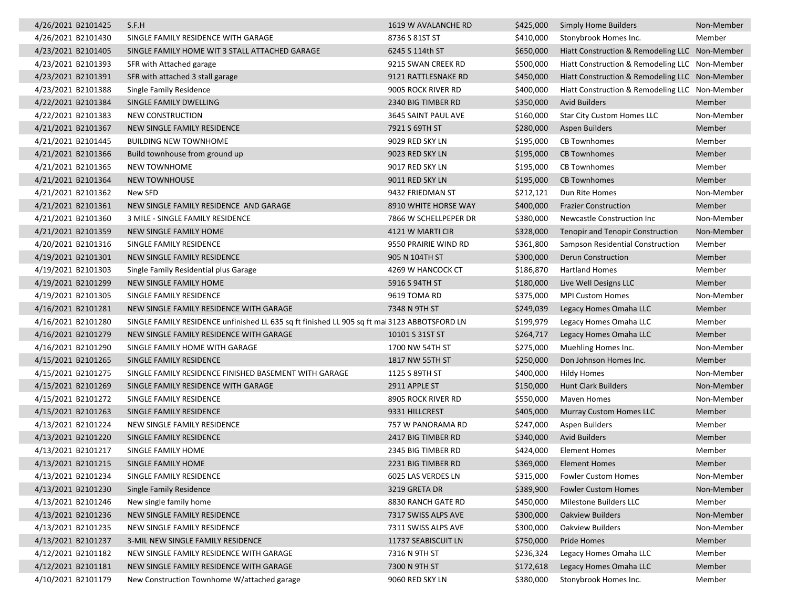| 4/26/2021 B2101425 | S.F.H                                                                                        | 1619 W AVALANCHE RD   | \$425,000 | <b>Simply Home Builders</b>                    | Non-Member |
|--------------------|----------------------------------------------------------------------------------------------|-----------------------|-----------|------------------------------------------------|------------|
| 4/26/2021 B2101430 | SINGLE FAMILY RESIDENCE WITH GARAGE                                                          | 8736 S 81ST ST        | \$410,000 | Stonybrook Homes Inc.                          | Member     |
| 4/23/2021 B2101405 | SINGLE FAMILY HOME WIT 3 STALL ATTACHED GARAGE                                               | 6245 S 114th ST       | \$650,000 | Hiatt Construction & Remodeling LLC Non-Member |            |
| 4/23/2021 B2101393 | SFR with Attached garage                                                                     | 9215 SWAN CREEK RD    | \$500,000 | Hiatt Construction & Remodeling LLC Non-Member |            |
| 4/23/2021 B2101391 | SFR with attached 3 stall garage                                                             | 9121 RATTLESNAKE RD   | \$450,000 | Hiatt Construction & Remodeling LLC Non-Member |            |
| 4/23/2021 B2101388 | Single Family Residence                                                                      | 9005 ROCK RIVER RD    | \$400,000 | Hiatt Construction & Remodeling LLC Non-Member |            |
| 4/22/2021 B2101384 | SINGLE FAMILY DWELLING                                                                       | 2340 BIG TIMBER RD    | \$350,000 | <b>Avid Builders</b>                           | Member     |
| 4/22/2021 B2101383 | <b>NEW CONSTRUCTION</b>                                                                      | 3645 SAINT PAUL AVE   | \$160,000 | Star City Custom Homes LLC                     | Non-Member |
| 4/21/2021 B2101367 | NEW SINGLE FAMILY RESIDENCE                                                                  | 7921 S 69TH ST        | \$280,000 | <b>Aspen Builders</b>                          | Member     |
| 4/21/2021 B2101445 | <b>BUILDING NEW TOWNHOME</b>                                                                 | 9029 RED SKY LN       | \$195,000 | <b>CB Townhomes</b>                            | Member     |
| 4/21/2021 B2101366 | Build townhouse from ground up                                                               | 9023 RED SKY LN       | \$195,000 | <b>CB Townhomes</b>                            | Member     |
| 4/21/2021 B2101365 | <b>NEW TOWNHOME</b>                                                                          | 9017 RED SKY LN       | \$195,000 | <b>CB Townhomes</b>                            | Member     |
| 4/21/2021 B2101364 | <b>NEW TOWNHOUSE</b>                                                                         | 9011 RED SKY LN       | \$195,000 | <b>CB Townhomes</b>                            | Member     |
| 4/21/2021 B2101362 | New SFD                                                                                      | 9432 FRIEDMAN ST      | \$212,121 | Dun Rite Homes                                 | Non-Member |
| 4/21/2021 B2101361 | NEW SINGLE FAMILY RESIDENCE AND GARAGE                                                       | 8910 WHITE HORSE WAY  | \$400,000 | <b>Frazier Construction</b>                    | Member     |
| 4/21/2021 B2101360 | 3 MILE - SINGLE FAMILY RESIDENCE                                                             | 7866 W SCHELLPEPER DR | \$380,000 | Newcastle Construction Inc                     | Non-Member |
| 4/21/2021 B2101359 | NEW SINGLE FAMILY HOME                                                                       | 4121 W MARTI CIR      | \$328,000 | <b>Tenopir and Tenopir Construction</b>        | Non-Member |
| 4/20/2021 B2101316 | SINGLE FAMILY RESIDENCE                                                                      | 9550 PRAIRIE WIND RD  | \$361,800 | Sampson Residential Construction               | Member     |
| 4/19/2021 B2101301 | NEW SINGLE FAMILY RESIDENCE                                                                  | 905 N 104TH ST        | \$300,000 | Derun Construction                             | Member     |
| 4/19/2021 B2101303 | Single Family Residential plus Garage                                                        | 4269 W HANCOCK CT     | \$186,870 | <b>Hartland Homes</b>                          | Member     |
| 4/19/2021 B2101299 | NEW SINGLE FAMILY HOME                                                                       | 5916 S 94TH ST        | \$180,000 | Live Well Designs LLC                          | Member     |
| 4/19/2021 B2101305 | SINGLE FAMILY RESIDENCE                                                                      | 9619 TOMA RD          | \$375,000 | <b>MPI Custom Homes</b>                        | Non-Member |
| 4/16/2021 B2101281 | NEW SINGLE FAMILY RESIDENCE WITH GARAGE                                                      | 7348 N 9TH ST         | \$249,039 | Legacy Homes Omaha LLC                         | Member     |
| 4/16/2021 B2101280 | SINGLE FAMILY RESIDENCE unfinished LL 635 sq ft finished LL 905 sq ft mai 3123 ABBOTSFORD LN |                       | \$199,979 | Legacy Homes Omaha LLC                         | Member     |
| 4/16/2021 B2101279 | NEW SINGLE FAMILY RESIDENCE WITH GARAGE                                                      | 10101 S 31ST ST       | \$264,717 | Legacy Homes Omaha LLC                         | Member     |
| 4/16/2021 B2101290 | SINGLE FAMILY HOME WITH GARAGE                                                               | 1700 NW 54TH ST       | \$275,000 | Muehling Homes Inc.                            | Non-Member |
| 4/15/2021 B2101265 | SINGLE FAMILY RESIDENCE                                                                      | 1817 NW 55TH ST       | \$250,000 | Don Johnson Homes Inc.                         | Member     |
| 4/15/2021 B2101275 | SINGLE FAMILY RESIDENCE FINISHED BASEMENT WITH GARAGE                                        | 1125 S 89TH ST        | \$400,000 | <b>Hildy Homes</b>                             | Non-Member |
| 4/15/2021 B2101269 | SINGLE FAMILY RESIDENCE WITH GARAGE                                                          | 2911 APPLE ST         | \$150,000 | <b>Hunt Clark Builders</b>                     | Non-Member |
| 4/15/2021 B2101272 | SINGLE FAMILY RESIDENCE                                                                      | 8905 ROCK RIVER RD    | \$550,000 | <b>Maven Homes</b>                             | Non-Member |
| 4/15/2021 B2101263 | SINGLE FAMILY RESIDENCE                                                                      | 9331 HILLCREST        | \$405,000 | <b>Murray Custom Homes LLC</b>                 | Member     |
| 4/13/2021 B2101224 | NEW SINGLE FAMILY RESIDENCE                                                                  | 757 W PANORAMA RD     | \$247,000 | <b>Aspen Builders</b>                          | Member     |
| 4/13/2021 B2101220 | SINGLE FAMILY RESIDENCE                                                                      | 2417 BIG TIMBER RD    | \$340,000 | <b>Avid Builders</b>                           | Member     |
| 4/13/2021 B2101217 | SINGLE FAMILY HOME                                                                           | 2345 BIG TIMBER RD    | \$424,000 | <b>Element Homes</b>                           | Member     |
| 4/13/2021 B2101215 | SINGLE FAMILY HOME                                                                           | 2231 BIG TIMBER RD    | \$369,000 | Element Homes                                  | Member     |
| 4/13/2021 B2101234 | SINGLE FAMILY RESIDENCE                                                                      | 6025 LAS VERDES LN    | \$315,000 | <b>Fowler Custom Homes</b>                     | Non-Member |
| 4/13/2021 B2101230 | Single Family Residence                                                                      | 3219 GRETA DR         | \$389,900 | <b>Fowler Custom Homes</b>                     | Non-Member |
| 4/13/2021 B2101246 | New single family home                                                                       | 8830 RANCH GATE RD    | \$450,000 | Milestone Builders LLC                         | Member     |
| 4/13/2021 B2101236 | NEW SINGLE FAMILY RESIDENCE                                                                  | 7317 SWISS ALPS AVE   | \$300,000 | <b>Oakview Builders</b>                        | Non-Member |
| 4/13/2021 B2101235 | NEW SINGLE FAMILY RESIDENCE                                                                  | 7311 SWISS ALPS AVE   | \$300,000 | <b>Oakview Builders</b>                        | Non-Member |
| 4/13/2021 B2101237 | 3-MIL NEW SINGLE FAMILY RESIDENCE                                                            | 11737 SEABISCUIT LN   | \$750,000 | Pride Homes                                    | Member     |
| 4/12/2021 B2101182 | NEW SINGLE FAMILY RESIDENCE WITH GARAGE                                                      | 7316 N 9TH ST         | \$236,324 | Legacy Homes Omaha LLC                         | Member     |
| 4/12/2021 B2101181 | NEW SINGLE FAMILY RESIDENCE WITH GARAGE                                                      | 7300 N 9TH ST         | \$172,618 | Legacy Homes Omaha LLC                         | Member     |
| 4/10/2021 B2101179 | New Construction Townhome W/attached garage                                                  | 9060 RED SKY LN       | \$380,000 | Stonybrook Homes Inc.                          | Member     |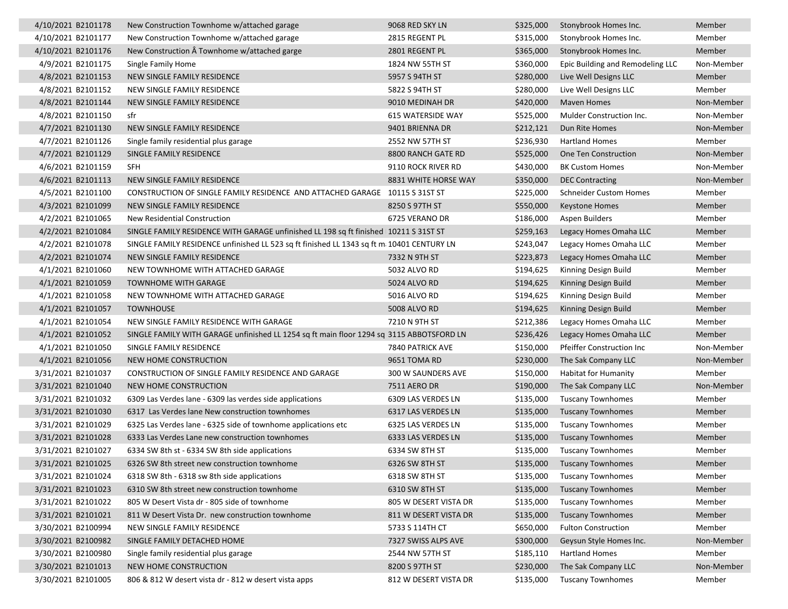| 4/10/2021 B2101178 | New Construction Townhome w/attached garage                                                | 9068 RED SKY LN          | \$325,000 | Stonybrook Homes Inc.            | Member     |
|--------------------|--------------------------------------------------------------------------------------------|--------------------------|-----------|----------------------------------|------------|
| 4/10/2021 B2101177 | New Construction Townhome w/attached garage                                                | 2815 REGENT PL           | \$315,000 | Stonybrook Homes Inc.            | Member     |
| 4/10/2021 B2101176 | New Construction  Townhome w/attached garge                                                | 2801 REGENT PL           | \$365,000 | Stonybrook Homes Inc.            | Member     |
| 4/9/2021 B2101175  | Single Family Home                                                                         | 1824 NW 55TH ST          | \$360,000 | Epic Building and Remodeling LLC | Non-Member |
| 4/8/2021 B2101153  | NEW SINGLE FAMILY RESIDENCE                                                                | 5957 S 94TH ST           | \$280,000 | Live Well Designs LLC            | Member     |
| 4/8/2021 B2101152  | NEW SINGLE FAMILY RESIDENCE                                                                | 5822 S 94TH ST           | \$280,000 | Live Well Designs LLC            | Member     |
| 4/8/2021 B2101144  | NEW SINGLE FAMILY RESIDENCE                                                                | 9010 MEDINAH DR          | \$420,000 | Maven Homes                      | Non-Member |
| 4/8/2021 B2101150  | sfr                                                                                        | <b>615 WATERSIDE WAY</b> | \$525,000 | Mulder Construction Inc.         | Non-Member |
| 4/7/2021 B2101130  | NEW SINGLE FAMILY RESIDENCE                                                                | 9401 BRIENNA DR          | \$212,121 | Dun Rite Homes                   | Non-Member |
| 4/7/2021 B2101126  | Single family residential plus garage                                                      | 2552 NW 57TH ST          | \$236,930 | <b>Hartland Homes</b>            | Member     |
| 4/7/2021 B2101129  | SINGLE FAMILY RESIDENCE                                                                    | 8800 RANCH GATE RD       | \$525,000 | One Ten Construction             | Non-Member |
| 4/6/2021 B2101159  | SFH                                                                                        | 9110 ROCK RIVER RD       | \$430,000 | <b>BK Custom Homes</b>           | Non-Member |
| 4/6/2021 B2101113  | NEW SINGLE FAMILY RESIDENCE                                                                | 8831 WHITE HORSE WAY     | \$350,000 | <b>DEC Contracting</b>           | Non-Member |
| 4/5/2021 B2101100  | CONSTRUCTION OF SINGLE FAMILY RESIDENCE AND ATTACHED GARAGE 10115 S 31ST ST                |                          | \$225,000 | <b>Schneider Custom Homes</b>    | Member     |
| 4/3/2021 B2101099  | NEW SINGLE FAMILY RESIDENCE                                                                | 8250 S 97TH ST           | \$550,000 | Keystone Homes                   | Member     |
| 4/2/2021 B2101065  | New Residential Construction                                                               | 6725 VERANO DR           | \$186,000 | Aspen Builders                   | Member     |
| 4/2/2021 B2101084  | SINGLE FAMILY RESIDENCE WITH GARAGE unfinished LL 198 sq ft finished 10211 S 31ST ST       |                          | \$259,163 | Legacy Homes Omaha LLC           | Member     |
| 4/2/2021 B2101078  | SINGLE FAMILY RESIDENCE unfinished LL 523 sq ft finished LL 1343 sq ft m: 10401 CENTURY LN |                          | \$243,047 | Legacy Homes Omaha LLC           | Member     |
| 4/2/2021 B2101074  | NEW SINGLE FAMILY RESIDENCE                                                                | 7332 N 9TH ST            | \$223,873 | Legacy Homes Omaha LLC           | Member     |
| 4/1/2021 B2101060  | NEW TOWNHOME WITH ATTACHED GARAGE                                                          | 5032 ALVO RD             | \$194,625 | Kinning Design Build             | Member     |
| 4/1/2021 B2101059  | <b>TOWNHOME WITH GARAGE</b>                                                                | 5024 ALVO RD             | \$194,625 | Kinning Design Build             | Member     |
| 4/1/2021 B2101058  | NEW TOWNHOME WITH ATTACHED GARAGE                                                          | 5016 ALVO RD             | \$194,625 | Kinning Design Build             | Member     |
| 4/1/2021 B2101057  | <b>TOWNHOUSE</b>                                                                           | 5008 ALVO RD             | \$194,625 | Kinning Design Build             | Member     |
| 4/1/2021 B2101054  | NEW SINGLE FAMILY RESIDENCE WITH GARAGE                                                    | 7210 N 9TH ST            | \$212,386 | Legacy Homes Omaha LLC           | Member     |
| 4/1/2021 B2101052  | SINGLE FAMILY WITH GARAGE unfinished LL 1254 sq ft main floor 1294 sq 3115 ABBOTSFORD LN   |                          | \$236,426 | Legacy Homes Omaha LLC           | Member     |
| 4/1/2021 B2101050  | SINGLE FAMILY RESIDENCE                                                                    | 7840 PATRICK AVE         | \$150,000 | <b>Pfeiffer Construction Inc</b> | Non-Member |
| 4/1/2021 B2101056  | NEW HOME CONSTRUCTION                                                                      | 9651 TOMA RD             | \$230,000 | The Sak Company LLC              | Non-Member |
| 3/31/2021 B2101037 | CONSTRUCTION OF SINGLE FAMILY RESIDENCE AND GARAGE                                         | 300 W SAUNDERS AVE       | \$150,000 | Habitat for Humanity             | Member     |
| 3/31/2021 B2101040 | NEW HOME CONSTRUCTION                                                                      | 7511 AERO DR             | \$190,000 | The Sak Company LLC              | Non-Member |
| 3/31/2021 B2101032 | 6309 Las Verdes lane - 6309 las verdes side applications                                   | 6309 LAS VERDES LN       | \$135,000 | <b>Tuscany Townhomes</b>         | Member     |
| 3/31/2021 B2101030 | 6317 Las Verdes lane New construction townhomes                                            | 6317 LAS VERDES LN       | \$135,000 | <b>Tuscany Townhomes</b>         | Member     |
| 3/31/2021 B2101029 | 6325 Las Verdes lane - 6325 side of townhome applications etc                              | 6325 LAS VERDES LN       | \$135,000 | <b>Tuscany Townhomes</b>         | Member     |
| 3/31/2021 B2101028 | 6333 Las Verdes Lane new construction townhomes                                            | 6333 LAS VERDES LN       | \$135,000 | <b>Tuscany Townhomes</b>         | Member     |
| 3/31/2021 B2101027 | 6334 SW 8th st - 6334 SW 8th side applications                                             | 6334 SW 8TH ST           | \$135,000 | <b>Tuscany Townhomes</b>         | Member     |
| 3/31/2021 B2101025 | 6326 SW 8th street new construction townhome                                               | 6326 SW 8TH ST           |           | \$135,000 Tuscany Townhomes      | Member     |
| 3/31/2021 B2101024 | 6318 SW 8th - 6318 sw 8th side applications                                                | 6318 SW 8TH ST           | \$135,000 | <b>Tuscany Townhomes</b>         | Member     |
| 3/31/2021 B2101023 | 6310 SW 8th street new construction townhome                                               | 6310 SW 8TH ST           | \$135,000 | <b>Tuscany Townhomes</b>         | Member     |
| 3/31/2021 B2101022 | 805 W Desert Vista dr - 805 side of townhome                                               | 805 W DESERT VISTA DR    | \$135,000 | <b>Tuscany Townhomes</b>         | Member     |
| 3/31/2021 B2101021 | 811 W Desert Vista Dr. new construction townhome                                           | 811 W DESERT VISTA DR    | \$135,000 | <b>Tuscany Townhomes</b>         | Member     |
| 3/30/2021 B2100994 | NEW SINGLE FAMILY RESIDENCE                                                                | 5733 S 114TH CT          | \$650,000 | <b>Fulton Construction</b>       | Member     |
| 3/30/2021 B2100982 | SINGLE FAMILY DETACHED HOME                                                                | 7327 SWISS ALPS AVE      | \$300,000 | Geysun Style Homes Inc.          | Non-Member |
| 3/30/2021 B2100980 | Single family residential plus garage                                                      | 2544 NW 57TH ST          | \$185,110 | Hartland Homes                   | Member     |
| 3/30/2021 B2101013 | NEW HOME CONSTRUCTION                                                                      | 8200 S 97TH ST           | \$230,000 | The Sak Company LLC              | Non-Member |
| 3/30/2021 B2101005 | 806 & 812 W desert vista dr - 812 w desert vista apps                                      | 812 W DESERT VISTA DR    | \$135,000 | <b>Tuscany Townhomes</b>         | Member     |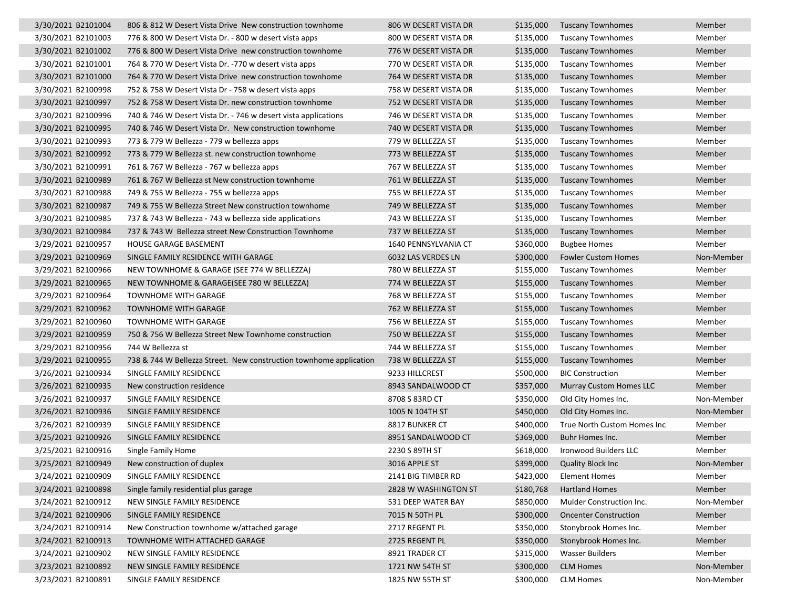| 3/30/2021 B2101004 | 806 & 812 W Desert Vista Drive New construction townhome           | 806 W DESERT VISTA DR | \$135,000 | <b>Tuscany Townhomes</b>       | Member     |
|--------------------|--------------------------------------------------------------------|-----------------------|-----------|--------------------------------|------------|
| 3/30/2021 B2101003 | 776 & 800 W Desert Vista Dr. - 800 w desert vista apps             | 800 W DESERT VISTA DR | \$135,000 | <b>Tuscany Townhomes</b>       | Member     |
| 3/30/2021 B2101002 | 776 & 800 W Desert Vista Drive new construction townhome           | 776 W DESERT VISTA DR | \$135,000 | <b>Tuscany Townhomes</b>       | Member     |
| 3/30/2021 B2101001 | 764 & 770 W Desert Vista Dr. -770 w desert vista apps              | 770 W DESERT VISTA DR | \$135,000 | <b>Tuscany Townhomes</b>       | Member     |
| 3/30/2021 B2101000 | 764 & 770 W Desert Vista Drive new construction townhome           | 764 W DESERT VISTA DR | \$135,000 | <b>Tuscany Townhomes</b>       | Member     |
| 3/30/2021 B2100998 | 752 & 758 W Desert Vista Dr - 758 w desert vista apps              | 758 W DESERT VISTA DR | \$135,000 | <b>Tuscany Townhomes</b>       | Member     |
| 3/30/2021 B2100997 | 752 & 758 W Desert Vista Dr. new construction townhome             | 752 W DESERT VISTA DR | \$135,000 | <b>Tuscany Townhomes</b>       | Member     |
| 3/30/2021 B2100996 | 740 & 746 W Desert Vista Dr. - 746 w desert vista applications     | 746 W DESERT VISTA DR | \$135,000 | <b>Tuscany Townhomes</b>       | Member     |
| 3/30/2021 B2100995 | 740 & 746 W Desert Vista Dr. New construction townhome             | 740 W DESERT VISTA DR | \$135,000 | <b>Tuscany Townhomes</b>       | Member     |
| 3/30/2021 B2100993 | 773 & 779 W Bellezza - 779 w bellezza apps                         | 779 W BELLEZZA ST     | \$135,000 | <b>Tuscany Townhomes</b>       | Member     |
| 3/30/2021 B2100992 | 773 & 779 W Bellezza st. new construction townhome                 | 773 W BELLEZZA ST     | \$135,000 | <b>Tuscany Townhomes</b>       | Member     |
| 3/30/2021 B2100991 | 761 & 767 W Bellezza - 767 w bellezza apps                         | 767 W BELLEZZA ST     | \$135,000 | <b>Tuscany Townhomes</b>       | Member     |
| 3/30/2021 B2100989 | 761 & 767 W Bellezza st New construction townhome                  | 761 W BELLEZZA ST     | \$135,000 | <b>Tuscany Townhomes</b>       | Member     |
| 3/30/2021 B2100988 | 749 & 755 W Bellezza - 755 w bellezza apps                         | 755 W BELLEZZA ST     | \$135,000 | <b>Tuscany Townhomes</b>       | Member     |
| 3/30/2021 B2100987 | 749 & 755 W Bellezza Street New construction townhome              | 749 W BELLEZZA ST     | \$135,000 | <b>Tuscany Townhomes</b>       | Member     |
| 3/30/2021 B2100985 | 737 & 743 W Bellezza - 743 w bellezza side applications            | 743 W BELLEZZA ST     | \$135,000 | <b>Tuscany Townhomes</b>       | Member     |
| 3/30/2021 B2100984 | 737 & 743 W Bellezza street New Construction Townhome              | 737 W BELLEZZA ST     | \$135,000 | <b>Tuscany Townhomes</b>       | Member     |
| 3/29/2021 B2100957 | HOUSE GARAGE BASEMENT                                              | 1640 PENNSYLVANIA CT  | \$360,000 | <b>Bugbee Homes</b>            | Member     |
| 3/29/2021 B2100969 | SINGLE FAMILY RESIDENCE WITH GARAGE                                | 6032 LAS VERDES LN    | \$300,000 | <b>Fowler Custom Homes</b>     | Non-Member |
| 3/29/2021 B2100966 | NEW TOWNHOME & GARAGE (SEE 774 W BELLEZZA)                         | 780 W BELLEZZA ST     | \$155,000 | <b>Tuscany Townhomes</b>       | Member     |
| 3/29/2021 B2100965 | NEW TOWNHOME & GARAGE(SEE 780 W BELLEZZA)                          | 774 W BELLEZZA ST     | \$155,000 | <b>Tuscany Townhomes</b>       | Member     |
| 3/29/2021 B2100964 | <b>TOWNHOME WITH GARAGE</b>                                        | 768 W BELLEZZA ST     | \$155,000 | <b>Tuscany Townhomes</b>       | Member     |
| 3/29/2021 B2100962 | <b>TOWNHOME WITH GARAGE</b>                                        | 762 W BELLEZZA ST     | \$155,000 | <b>Tuscany Townhomes</b>       | Member     |
| 3/29/2021 B2100960 | <b>TOWNHOME WITH GARAGE</b>                                        | 756 W BELLEZZA ST     | \$155,000 | <b>Tuscany Townhomes</b>       | Member     |
| 3/29/2021 B2100959 | 750 & 756 W Bellezza Street New Townhome construction              | 750 W BELLEZZA ST     | \$155,000 | <b>Tuscany Townhomes</b>       | Member     |
| 3/29/2021 B2100956 | 744 W Bellezza st                                                  | 744 W BELLEZZA ST     | \$155,000 | <b>Tuscany Townhomes</b>       | Member     |
| 3/29/2021 B2100955 | 738 & 744 W Bellezza Street. New construction townhome application | 738 W BELLEZZA ST     | \$155,000 | <b>Tuscany Townhomes</b>       | Member     |
| 3/26/2021 B2100934 | SINGLE FAMILY RESIDENCE                                            | 9233 HILLCREST        | \$500,000 | <b>BIC Construction</b>        | Member     |
| 3/26/2021 B2100935 | New construction residence                                         | 8943 SANDALWOOD CT    | \$357,000 | <b>Murray Custom Homes LLC</b> | Member     |
| 3/26/2021 B2100937 | SINGLE FAMILY RESIDENCE                                            | 8708 S 83RD CT        | \$350,000 | Old City Homes Inc.            | Non-Member |
| 3/26/2021 B2100936 | SINGLE FAMILY RESIDENCE                                            | 1005 N 104TH ST       | \$450,000 | Old City Homes Inc.            | Non-Member |
| 3/26/2021 B2100939 | SINGLE FAMILY RESIDENCE                                            | 8817 BUNKER CT        | \$400,000 | True North Custom Homes Inc    | Member     |
| 3/25/2021 B2100926 | SINGLE FAMILY RESIDENCE                                            | 8951 SANDALWOOD CT    | \$369,000 | Buhr Homes Inc.                | Member     |
| 3/25/2021 B2100916 | Single Family Home                                                 | 2230 S 89TH ST        | \$618,000 | <b>Ironwood Builders LLC</b>   | Member     |
| 3/25/2021 B2100949 | New construction of duplex                                         | 3016 APPLE ST         | \$399,000 | <b>Quality Block Inc</b>       | Non-Member |
| 3/24/2021 B2100909 | SINGLE FAMILY RESIDENCE                                            | 2141 BIG TIMBER RD    | \$423,000 | Element Homes                  | Member     |
| 3/24/2021 B2100898 | Single family residential plus garage                              | 2828 W WASHINGTON ST  | \$180,768 | <b>Hartland Homes</b>          | Member     |
| 3/24/2021 B2100912 | NEW SINGLE FAMILY RESIDENCE                                        | 531 DEEP WATER BAY    | \$850,000 | Mulder Construction Inc.       | Non-Member |
| 3/24/2021 B2100906 | SINGLE FAMILY RESIDENCE                                            | 7015 N 50TH PL        | \$300,000 | <b>Oncenter Construction</b>   | Member     |
| 3/24/2021 B2100914 | New Construction townhome w/attached garage                        | 2717 REGENT PL        | \$350,000 | Stonybrook Homes Inc.          | Member     |
| 3/24/2021 B2100913 | TOWNHOME WITH ATTACHED GARAGE                                      | 2725 REGENT PL        | \$350,000 | Stonybrook Homes Inc.          | Member     |
| 3/24/2021 B2100902 | NEW SINGLE FAMILY RESIDENCE                                        | 8921 TRADER CT        | \$315,000 | <b>Wasser Builders</b>         | Member     |
| 3/23/2021 B2100892 | NEW SINGLE FAMILY RESIDENCE                                        | 1721 NW 54TH ST       | \$300,000 | <b>CLM Homes</b>               | Non-Member |
| 3/23/2021 B2100891 | SINGLE FAMILY RESIDENCE                                            | 1825 NW 55TH ST       | \$300,000 | <b>CLM Homes</b>               | Non-Member |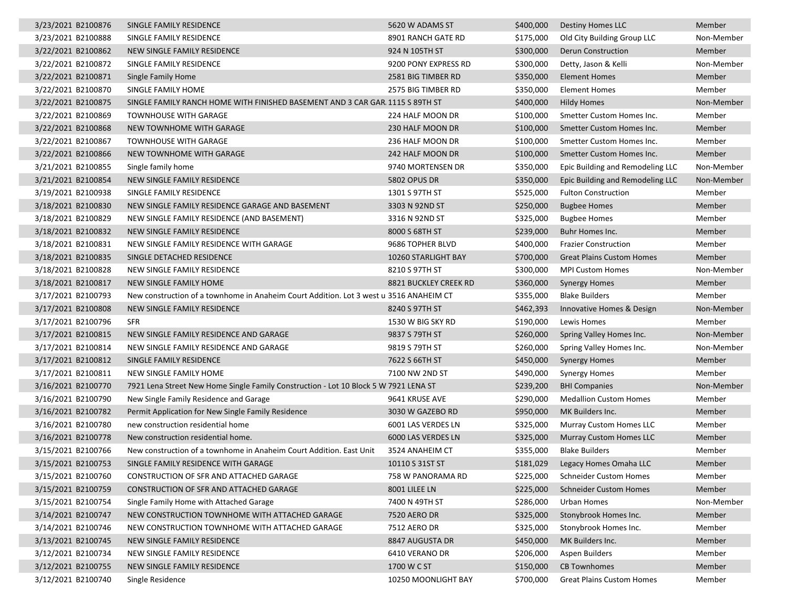| 3/23/2021 B2100876 | SINGLE FAMILY RESIDENCE                                                                | 5620 W ADAMS ST       | \$400,000 | Destiny Homes LLC                | Member     |
|--------------------|----------------------------------------------------------------------------------------|-----------------------|-----------|----------------------------------|------------|
| 3/23/2021 B2100888 | SINGLE FAMILY RESIDENCE                                                                | 8901 RANCH GATE RD    | \$175,000 | Old City Building Group LLC      | Non-Member |
| 3/22/2021 B2100862 | NEW SINGLE FAMILY RESIDENCE                                                            | 924 N 105TH ST        | \$300,000 | Derun Construction               | Member     |
| 3/22/2021 B2100872 | SINGLE FAMILY RESIDENCE                                                                | 9200 PONY EXPRESS RD  | \$300,000 | Detty, Jason & Kelli             | Non-Member |
| 3/22/2021 B2100871 | Single Family Home                                                                     | 2581 BIG TIMBER RD    | \$350,000 | <b>Element Homes</b>             | Member     |
| 3/22/2021 B2100870 | SINGLE FAMILY HOME                                                                     | 2575 BIG TIMBER RD    | \$350,000 | <b>Element Homes</b>             | Member     |
| 3/22/2021 B2100875 | SINGLE FAMILY RANCH HOME WITH FINISHED BASEMENT AND 3 CAR GAR. 1115 S 89TH ST          |                       | \$400,000 | Hildy Homes                      | Non-Member |
| 3/22/2021 B2100869 | <b>TOWNHOUSE WITH GARAGE</b>                                                           | 224 HALF MOON DR      | \$100,000 | Smetter Custom Homes Inc.        | Member     |
| 3/22/2021 B2100868 | NEW TOWNHOME WITH GARAGE                                                               | 230 HALF MOON DR      | \$100,000 | Smetter Custom Homes Inc.        | Member     |
| 3/22/2021 B2100867 | <b>TOWNHOUSE WITH GARAGE</b>                                                           | 236 HALF MOON DR      | \$100,000 | Smetter Custom Homes Inc.        | Member     |
| 3/22/2021 B2100866 | NEW TOWNHOME WITH GARAGE                                                               | 242 HALF MOON DR      | \$100,000 | Smetter Custom Homes Inc.        | Member     |
| 3/21/2021 B2100855 | Single family home                                                                     | 9740 MORTENSEN DR     | \$350,000 | Epic Building and Remodeling LLC | Non-Member |
| 3/21/2021 B2100854 | NEW SINGLE FAMILY RESIDENCE                                                            | <b>5802 OPUS DR</b>   | \$350,000 | Epic Building and Remodeling LLC | Non-Member |
| 3/19/2021 B2100938 | SINGLE FAMILY RESIDENCE                                                                | 1301 S 97TH ST        | \$525,000 | <b>Fulton Construction</b>       | Member     |
| 3/18/2021 B2100830 | NEW SINGLE FAMILY RESIDENCE GARAGE AND BASEMENT                                        | 3303 N 92ND ST        | \$250,000 | <b>Bugbee Homes</b>              | Member     |
| 3/18/2021 B2100829 | NEW SINGLE FAMILY RESIDENCE (AND BASEMENT)                                             | 3316 N 92ND ST        | \$325,000 | <b>Bugbee Homes</b>              | Member     |
| 3/18/2021 B2100832 | NEW SINGLE FAMILY RESIDENCE                                                            | 8000 S 68TH ST        | \$239,000 | Buhr Homes Inc.                  | Member     |
| 3/18/2021 B2100831 | NEW SINGLE FAMILY RESIDENCE WITH GARAGE                                                | 9686 TOPHER BLVD      | \$400,000 | <b>Frazier Construction</b>      | Member     |
| 3/18/2021 B2100835 | SINGLE DETACHED RESIDENCE                                                              | 10260 STARLIGHT BAY   | \$700,000 | <b>Great Plains Custom Homes</b> | Member     |
| 3/18/2021 B2100828 | NEW SINGLE FAMILY RESIDENCE                                                            | 8210 S 97TH ST        | \$300,000 | <b>MPI Custom Homes</b>          | Non-Member |
| 3/18/2021 B2100817 | NEW SINGLE FAMILY HOME                                                                 | 8821 BUCKLEY CREEK RD | \$360,000 | <b>Synergy Homes</b>             | Member     |
| 3/17/2021 B2100793 | New construction of a townhome in Anaheim Court Addition. Lot 3 west u 3516 ANAHEIM CT |                       | \$355,000 | <b>Blake Builders</b>            | Member     |
| 3/17/2021 B2100808 | NEW SINGLE FAMILY RESIDENCE                                                            | 8240 S 97TH ST        | \$462,393 | Innovative Homes & Design        | Non-Member |
| 3/17/2021 B2100796 | SFR                                                                                    | 1530 W BIG SKY RD     | \$190,000 | Lewis Homes                      | Member     |
| 3/17/2021 B2100815 | NEW SINGLE FAMILY RESIDENCE AND GARAGE                                                 | 9837 S 79TH ST        | \$260,000 | Spring Valley Homes Inc.         | Non-Member |
| 3/17/2021 B2100814 | NEW SINGLE FAMILY RESIDENCE AND GARAGE                                                 | 9819 S 79TH ST        | \$260,000 | Spring Valley Homes Inc.         | Non-Member |
| 3/17/2021 B2100812 | SINGLE FAMILY RESIDENCE                                                                | 7622 S 66TH ST        | \$450,000 | <b>Synergy Homes</b>             | Member     |
| 3/17/2021 B2100811 | NEW SINGLE FAMILY HOME                                                                 | 7100 NW 2ND ST        | \$490,000 | <b>Synergy Homes</b>             | Member     |
| 3/16/2021 B2100770 | 7921 Lena Street New Home Single Family Construction - Lot 10 Block 5 W 7921 LENA ST   |                       | \$239,200 | <b>BHI Companies</b>             | Non-Member |
| 3/16/2021 B2100790 | New Single Family Residence and Garage                                                 | 9641 KRUSE AVE        | \$290,000 | <b>Medallion Custom Homes</b>    | Member     |
| 3/16/2021 B2100782 | Permit Application for New Single Family Residence                                     | 3030 W GAZEBO RD      | \$950,000 | MK Builders Inc.                 | Member     |
| 3/16/2021 B2100780 | new construction residential home                                                      | 6001 LAS VERDES LN    | \$325,000 | <b>Murray Custom Homes LLC</b>   | Member     |
| 3/16/2021 B2100778 | New construction residential home.                                                     | 6000 LAS VERDES LN    | \$325,000 | <b>Murray Custom Homes LLC</b>   | Member     |
| 3/15/2021 B2100766 | New construction of a townhome in Anaheim Court Addition. East Unit                    | 3524 ANAHEIM CT       | \$355,000 | <b>Blake Builders</b>            | Member     |
| 3/15/2021 B2100753 | SINGLE FAMILY RESIDENCE WITH GARAGE                                                    | 10110 S 31ST ST       | \$181,029 | Legacy Homes Omaha LLC           | Member     |
| 3/15/2021 B2100760 | CONSTRUCTION OF SFR AND ATTACHED GARAGE                                                | 758 W PANORAMA RD     |           | \$225,000 Schneider Custom Homes | Member     |
| 3/15/2021 B2100759 | CONSTRUCTION OF SFR AND ATTACHED GARAGE                                                | 8001 LILEE LN         | \$225,000 | <b>Schneider Custom Homes</b>    | Member     |
| 3/15/2021 B2100754 | Single Family Home with Attached Garage                                                | 7400 N 49TH ST        | \$286,000 | Urban Homes                      | Non-Member |
| 3/14/2021 B2100747 | NEW CONSTRUCTION TOWNHOME WITH ATTACHED GARAGE                                         | 7520 AERO DR          | \$325,000 | Stonybrook Homes Inc.            | Member     |
| 3/14/2021 B2100746 | NEW CONSTRUCTION TOWNHOME WITH ATTACHED GARAGE                                         | 7512 AERO DR          | \$325,000 | Stonybrook Homes Inc.            | Member     |
| 3/13/2021 B2100745 | NEW SINGLE FAMILY RESIDENCE                                                            | 8847 AUGUSTA DR       | \$450,000 | MK Builders Inc.                 | Member     |
| 3/12/2021 B2100734 | NEW SINGLE FAMILY RESIDENCE                                                            | 6410 VERANO DR        | \$206,000 | Aspen Builders                   | Member     |
| 3/12/2021 B2100755 | NEW SINGLE FAMILY RESIDENCE                                                            | 1700 W C ST           | \$150,000 | <b>CB Townhomes</b>              | Member     |
| 3/12/2021 B2100740 | Single Residence                                                                       | 10250 MOONLIGHT BAY   | \$700,000 | <b>Great Plains Custom Homes</b> | Member     |
|                    |                                                                                        |                       |           |                                  |            |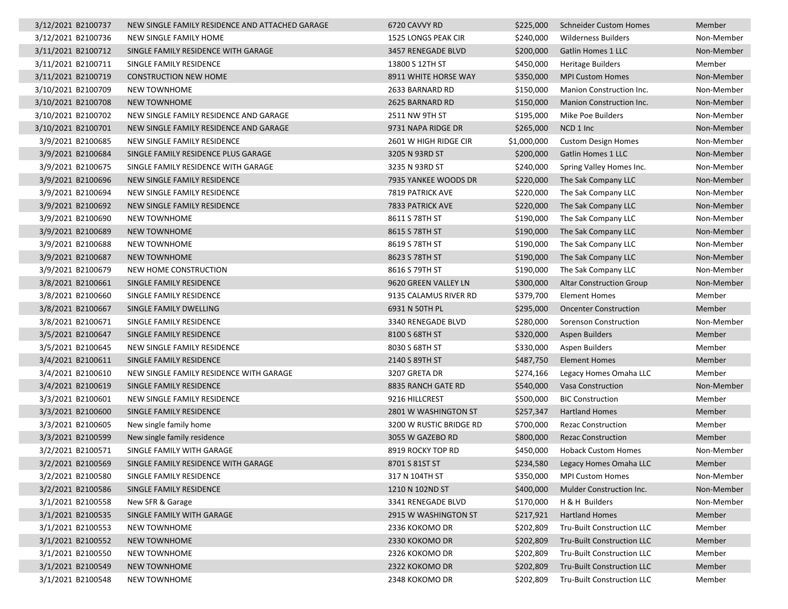| 3/12/2021 B2100737 | NEW SINGLE FAMILY RESIDENCE AND ATTACHED GARAGE | 6720 CAVVY RD           | \$225,000   | <b>Schneider Custom Homes</b>   | Member     |
|--------------------|-------------------------------------------------|-------------------------|-------------|---------------------------------|------------|
| 3/12/2021 B2100736 | NEW SINGLE FAMILY HOME                          | 1525 LONGS PEAK CIR     | \$240,000   | <b>Wilderness Builders</b>      | Non-Member |
| 3/11/2021 B2100712 | SINGLE FAMILY RESIDENCE WITH GARAGE             | 3457 RENEGADE BLVD      | \$200,000   | Gatlin Homes 1 LLC              | Non-Member |
| 3/11/2021 B2100711 | SINGLE FAMILY RESIDENCE                         | 13800 S 12TH ST         | \$450,000   | <b>Heritage Builders</b>        | Member     |
| 3/11/2021 B2100719 | <b>CONSTRUCTION NEW HOME</b>                    | 8911 WHITE HORSE WAY    | \$350,000   | <b>MPI Custom Homes</b>         | Non-Member |
| 3/10/2021 B2100709 | <b>NEW TOWNHOME</b>                             | 2633 BARNARD RD         | \$150,000   | Manion Construction Inc.        | Non-Member |
| 3/10/2021 B2100708 | <b>NEW TOWNHOME</b>                             | 2625 BARNARD RD         | \$150,000   | Manion Construction Inc.        | Non-Member |
| 3/10/2021 B2100702 | NEW SINGLE FAMILY RESIDENCE AND GARAGE          | 2511 NW 9TH ST          | \$195,000   | Mike Poe Builders               | Non-Member |
| 3/10/2021 B2100701 | NEW SINGLE FAMILY RESIDENCE AND GARAGE          | 9731 NAPA RIDGE DR      | \$265,000   | NCD 1 Inc                       | Non-Member |
| 3/9/2021 B2100685  | NEW SINGLE FAMILY RESIDENCE                     | 2601 W HIGH RIDGE CIR   | \$1,000,000 | <b>Custom Design Homes</b>      | Non-Member |
| 3/9/2021 B2100684  | SINGLE FAMILY RESIDENCE PLUS GARAGE             | 3205 N 93RD ST          | \$200,000   | <b>Gatlin Homes 1 LLC</b>       | Non-Member |
| 3/9/2021 B2100675  | SINGLE FAMILY RESIDENCE WITH GARAGE             | 3235 N 93RD ST          | \$240,000   | Spring Valley Homes Inc.        | Non-Member |
| 3/9/2021 B2100696  | NEW SINGLE FAMILY RESIDENCE                     | 7935 YANKEE WOODS DR    | \$220,000   | The Sak Company LLC             | Non-Member |
| 3/9/2021 B2100694  | NEW SINGLE FAMILY RESIDENCE                     | <b>7819 PATRICK AVE</b> | \$220,000   | The Sak Company LLC             | Non-Member |
| 3/9/2021 B2100692  | NEW SINGLE FAMILY RESIDENCE                     | 7833 PATRICK AVE        | \$220,000   | The Sak Company LLC             | Non-Member |
| 3/9/2021 B2100690  | <b>NEW TOWNHOME</b>                             | 8611 S 78TH ST          | \$190,000   | The Sak Company LLC             | Non-Member |
| 3/9/2021 B2100689  | <b>NEW TOWNHOME</b>                             | 8615 S 78TH ST          | \$190,000   | The Sak Company LLC             | Non-Member |
| 3/9/2021 B2100688  | NEW TOWNHOME                                    | 8619 S 78TH ST          | \$190,000   | The Sak Company LLC             | Non-Member |
| 3/9/2021 B2100687  | <b>NEW TOWNHOME</b>                             | 8623 S 78TH ST          | \$190,000   | The Sak Company LLC             | Non-Member |
| 3/9/2021 B2100679  | NEW HOME CONSTRUCTION                           | 8616 S 79TH ST          | \$190,000   | The Sak Company LLC             | Non-Member |
| 3/8/2021 B2100661  | SINGLE FAMILY RESIDENCE                         | 9620 GREEN VALLEY LN    | \$300,000   | <b>Altar Construction Group</b> | Non-Member |
| 3/8/2021 B2100660  | SINGLE FAMILY RESIDENCE                         | 9135 CALAMUS RIVER RD   | \$379,700   | <b>Element Homes</b>            | Member     |
| 3/8/2021 B2100667  | SINGLE FAMILY DWELLING                          | 6931 N 50TH PL          | \$295,000   | <b>Oncenter Construction</b>    | Member     |
| 3/8/2021 B2100671  | SINGLE FAMILY RESIDENCE                         | 3340 RENEGADE BLVD      | \$280,000   | Sorenson Construction           | Non-Member |
| 3/5/2021 B2100647  | SINGLE FAMILY RESIDENCE                         | 8100 S 68TH ST          | \$320,000   | <b>Aspen Builders</b>           | Member     |
| 3/5/2021 B2100645  | NEW SINGLE FAMILY RESIDENCE                     | 8030 S 68TH ST          | \$330,000   | Aspen Builders                  | Member     |
| 3/4/2021 B2100611  | SINGLE FAMILY RESIDENCE                         | 2140 S 89TH ST          | \$487,750   | <b>Element Homes</b>            | Member     |
| 3/4/2021 B2100610  | NEW SINGLE FAMILY RESIDENCE WITH GARAGE         | 3207 GRETA DR           | \$274,166   | Legacy Homes Omaha LLC          | Member     |
| 3/4/2021 B2100619  | SINGLE FAMILY RESIDENCE                         | 8835 RANCH GATE RD      | \$540,000   | <b>Vasa Construction</b>        | Non-Member |
| 3/3/2021 B2100601  | NEW SINGLE FAMILY RESIDENCE                     | 9216 HILLCREST          | \$500,000   | <b>BIC Construction</b>         | Member     |
| 3/3/2021 B2100600  | SINGLE FAMILY RESIDENCE                         | 2801 W WASHINGTON ST    | \$257,347   | <b>Hartland Homes</b>           | Member     |
| 3/3/2021 B2100605  | New single family home                          | 3200 W RUSTIC BRIDGE RD | \$700,000   | <b>Rezac Construction</b>       | Member     |
| 3/3/2021 B2100599  | New single family residence                     | 3055 W GAZEBO RD        | \$800,000   | <b>Rezac Construction</b>       | Member     |
| 3/2/2021 B2100571  | SINGLE FAMILY WITH GARAGE                       | 8919 ROCKY TOP RD       | \$450,000   | <b>Hoback Custom Homes</b>      | Non-Member |
| 3/2/2021 B2100569  | SINGLE FAMILY RESIDENCE WITH GARAGE             | 8701 S 81ST ST          | \$234,580   | Legacy Homes Omaha LLC          | Member     |
| 3/2/2021 B2100580  | SINGLE FAMILY RESIDENCE                         | 317 N 104TH ST          | \$350,000   | <b>MPI Custom Homes</b>         | Non-Member |
| 3/2/2021 B2100586  | SINGLE FAMILY RESIDENCE                         | 1210 N 102ND ST         | \$400,000   | <b>Mulder Construction Inc.</b> | Non-Member |
| 3/1/2021 B2100558  | New SFR & Garage                                | 3341 RENEGADE BLVD      | \$170,000   | H & H Builders                  | Non-Member |
| 3/1/2021 B2100535  | SINGLE FAMILY WITH GARAGE                       | 2915 W WASHINGTON ST    | \$217,921   | <b>Hartland Homes</b>           | Member     |
| 3/1/2021 B2100553  | <b>NEW TOWNHOME</b>                             | 2336 KOKOMO DR          | \$202,809   | Tru-Built Construction LLC      | Member     |
| 3/1/2021 B2100552  | NEW TOWNHOME                                    | 2330 KOKOMO DR          | \$202,809   | Tru-Built Construction LLC      | Member     |
| 3/1/2021 B2100550  | NEW TOWNHOME                                    | 2326 KOKOMO DR          | \$202,809   | Tru-Built Construction LLC      | Member     |
| 3/1/2021 B2100549  | NEW TOWNHOME                                    | 2322 KOKOMO DR          | \$202,809   | Tru-Built Construction LLC      | Member     |
| 3/1/2021 B2100548  | <b>NEW TOWNHOME</b>                             | 2348 KOKOMO DR          | \$202,809   | Tru-Built Construction LLC      | Member     |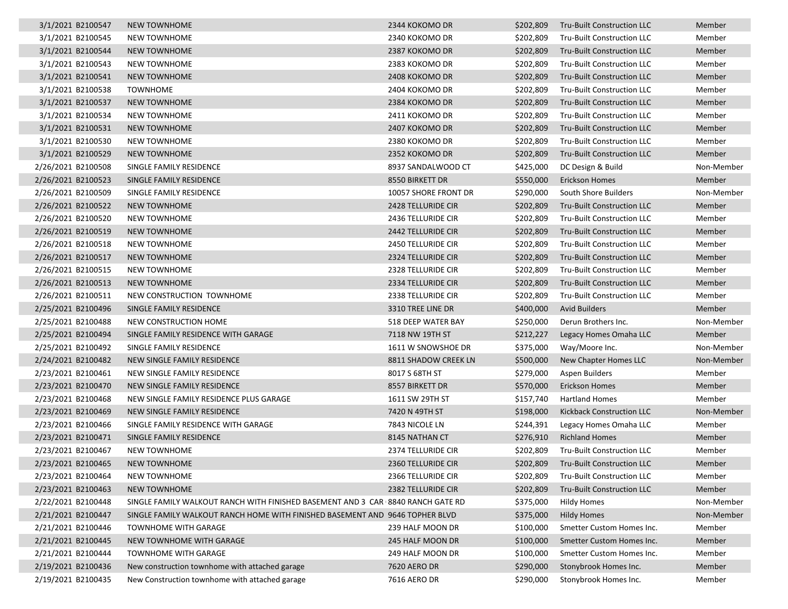| 3/1/2021 B2100547  | <b>NEW TOWNHOME</b>                                                             | 2344 KOKOMO DR            | \$202,809 | Tru-Built Construction LLC        | Member     |
|--------------------|---------------------------------------------------------------------------------|---------------------------|-----------|-----------------------------------|------------|
| 3/1/2021 B2100545  | <b>NEW TOWNHOME</b>                                                             | 2340 KOKOMO DR            | \$202,809 | <b>Tru-Built Construction LLC</b> | Member     |
| 3/1/2021 B2100544  | <b>NEW TOWNHOME</b>                                                             | 2387 KOKOMO DR            | \$202,809 | Tru-Built Construction LLC        | Member     |
| 3/1/2021 B2100543  | NEW TOWNHOME                                                                    | 2383 KOKOMO DR            | \$202,809 | Tru-Built Construction LLC        | Member     |
| 3/1/2021 B2100541  | <b>NEW TOWNHOME</b>                                                             | 2408 KOKOMO DR            | \$202,809 | Tru-Built Construction LLC        | Member     |
| 3/1/2021 B2100538  | <b>TOWNHOME</b>                                                                 | 2404 KOKOMO DR            | \$202,809 | Tru-Built Construction LLC        | Member     |
| 3/1/2021 B2100537  | <b>NEW TOWNHOME</b>                                                             | 2384 KOKOMO DR            | \$202,809 | <b>Tru-Built Construction LLC</b> | Member     |
| 3/1/2021 B2100534  | <b>NEW TOWNHOME</b>                                                             | 2411 KOKOMO DR            | \$202,809 | Tru-Built Construction LLC        | Member     |
| 3/1/2021 B2100531  | <b>NEW TOWNHOME</b>                                                             | 2407 KOKOMO DR            | \$202,809 | Tru-Built Construction LLC        | Member     |
| 3/1/2021 B2100530  | NEW TOWNHOME                                                                    | 2380 KOKOMO DR            | \$202,809 | Tru-Built Construction LLC        | Member     |
| 3/1/2021 B2100529  | <b>NEW TOWNHOME</b>                                                             | 2352 KOKOMO DR            | \$202,809 | Tru-Built Construction LLC        | Member     |
| 2/26/2021 B2100508 | SINGLE FAMILY RESIDENCE                                                         | 8937 SANDALWOOD CT        | \$425,000 | DC Design & Build                 | Non-Member |
| 2/26/2021 B2100523 | SINGLE FAMILY RESIDENCE                                                         | 8550 BIRKETT DR           | \$550,000 | <b>Erickson Homes</b>             | Member     |
| 2/26/2021 B2100509 | SINGLE FAMILY RESIDENCE                                                         | 10057 SHORE FRONT DR      | \$290,000 | South Shore Builders              | Non-Member |
| 2/26/2021 B2100522 | <b>NEW TOWNHOME</b>                                                             | 2428 TELLURIDE CIR        | \$202,809 | Tru-Built Construction LLC        | Member     |
| 2/26/2021 B2100520 | <b>NEW TOWNHOME</b>                                                             | 2436 TELLURIDE CIR        | \$202,809 | <b>Tru-Built Construction LLC</b> | Member     |
| 2/26/2021 B2100519 | <b>NEW TOWNHOME</b>                                                             | <b>2442 TELLURIDE CIR</b> | \$202,809 | Tru-Built Construction LLC        | Member     |
| 2/26/2021 B2100518 | <b>NEW TOWNHOME</b>                                                             | <b>2450 TELLURIDE CIR</b> | \$202,809 | Tru-Built Construction LLC        | Member     |
| 2/26/2021 B2100517 | <b>NEW TOWNHOME</b>                                                             | 2324 TELLURIDE CIR        | \$202,809 | <b>Tru-Built Construction LLC</b> | Member     |
| 2/26/2021 B2100515 | <b>NEW TOWNHOME</b>                                                             | 2328 TELLURIDE CIR        | \$202,809 | Tru-Built Construction LLC        | Member     |
| 2/26/2021 B2100513 | <b>NEW TOWNHOME</b>                                                             | 2334 TELLURIDE CIR        | \$202,809 | Tru-Built Construction LLC        | Member     |
| 2/26/2021 B2100511 | NEW CONSTRUCTION TOWNHOME                                                       | 2338 TELLURIDE CIR        | \$202,809 | Tru-Built Construction LLC        | Member     |
| 2/25/2021 B2100496 | SINGLE FAMILY RESIDENCE                                                         | 3310 TREE LINE DR         | \$400,000 | <b>Avid Builders</b>              | Member     |
| 2/25/2021 B2100488 | NEW CONSTRUCTION HOME                                                           | 518 DEEP WATER BAY        | \$250,000 | Derun Brothers Inc.               | Non-Member |
| 2/25/2021 B2100494 | SINGLE FAMILY RESIDENCE WITH GARAGE                                             | 7118 NW 19TH ST           | \$212,227 | Legacy Homes Omaha LLC            | Member     |
| 2/25/2021 B2100492 | SINGLE FAMILY RESIDENCE                                                         | 1611 W SNOWSHOE DR        | \$375,000 | Way/Moore Inc.                    | Non-Member |
| 2/24/2021 B2100482 | NEW SINGLE FAMILY RESIDENCE                                                     | 8811 SHADOW CREEK LN      | \$500,000 | New Chapter Homes LLC             | Non-Member |
| 2/23/2021 B2100461 | NEW SINGLE FAMILY RESIDENCE                                                     | 8017 S 68TH ST            | \$279,000 | Aspen Builders                    | Member     |
| 2/23/2021 B2100470 | NEW SINGLE FAMILY RESIDENCE                                                     | 8557 BIRKETT DR           | \$570,000 | <b>Erickson Homes</b>             | Member     |
| 2/23/2021 B2100468 | NEW SINGLE FAMILY RESIDENCE PLUS GARAGE                                         | 1611 SW 29TH ST           | \$157,740 | <b>Hartland Homes</b>             | Member     |
| 2/23/2021 B2100469 | NEW SINGLE FAMILY RESIDENCE                                                     | 7420 N 49TH ST            | \$198,000 | Kickback Construction LLC         | Non-Member |
| 2/23/2021 B2100466 | SINGLE FAMILY RESIDENCE WITH GARAGE                                             | 7843 NICOLE LN            | \$244,391 | Legacy Homes Omaha LLC            | Member     |
| 2/23/2021 B2100471 | SINGLE FAMILY RESIDENCE                                                         | 8145 NATHAN CT            | \$276,910 | <b>Richland Homes</b>             | Member     |
| 2/23/2021 B2100467 | <b>NEW TOWNHOME</b>                                                             | 2374 TELLURIDE CIR        | \$202,809 | Tru-Built Construction LLC        | Member     |
| 2/23/2021 B2100465 | <b>NEW TOWNHOME</b>                                                             | 2360 TELLURIDE CIR        | \$202,809 | Tru-Built Construction LLC        | Member     |
| 2/23/2021 B2100464 | <b>NEW TOWNHOME</b>                                                             | 2366 TELLURIDE CIR        | \$202,809 | Tru-Built Construction LLC        | Member     |
| 2/23/2021 B2100463 | <b>NEW TOWNHOME</b>                                                             | 2382 TELLURIDE CIR        | \$202,809 | <b>Tru-Built Construction LLC</b> | Member     |
| 2/22/2021 B2100448 | SINGLE FAMILY WALKOUT RANCH WITH FINISHED BASEMENT AND 3 CAR 8840 RANCH GATE RD |                           | \$375,000 | <b>Hildy Homes</b>                | Non-Member |
| 2/21/2021 B2100447 | SINGLE FAMILY WALKOUT RANCH HOME WITH FINISHED BASEMENT AND 9646 TOPHER BLVD    |                           | \$375,000 | <b>Hildy Homes</b>                | Non-Member |
| 2/21/2021 B2100446 | TOWNHOME WITH GARAGE                                                            | 239 HALF MOON DR          | \$100,000 | Smetter Custom Homes Inc.         | Member     |
| 2/21/2021 B2100445 | NEW TOWNHOME WITH GARAGE                                                        | 245 HALF MOON DR          | \$100,000 | Smetter Custom Homes Inc.         | Member     |
| 2/21/2021 B2100444 | TOWNHOME WITH GARAGE                                                            | 249 HALF MOON DR          | \$100,000 | Smetter Custom Homes Inc.         | Member     |
| 2/19/2021 B2100436 | New construction townhome with attached garage                                  | 7620 AERO DR              | \$290,000 | Stonybrook Homes Inc.             | Member     |
| 2/19/2021 B2100435 | New Construction townhome with attached garage                                  | 7616 AERO DR              | \$290,000 | Stonybrook Homes Inc.             | Member     |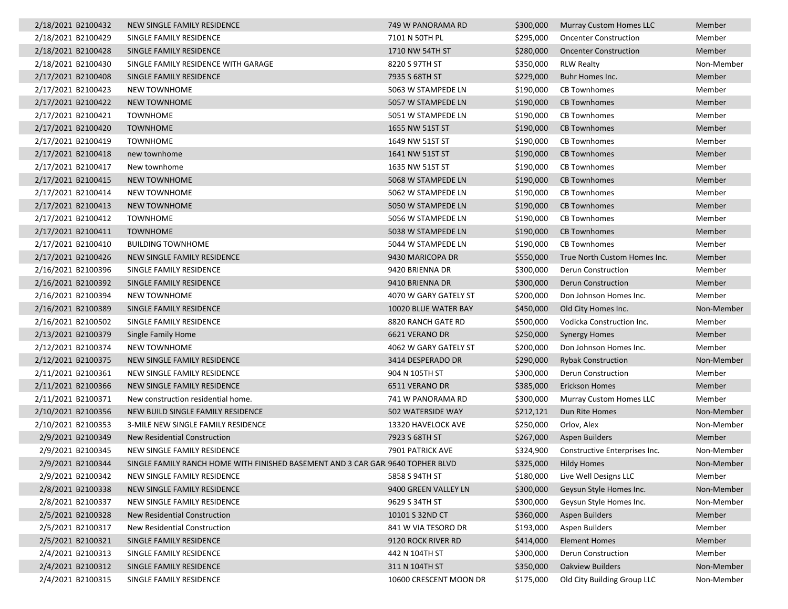| 2/18/2021 B2100432 | NEW SINGLE FAMILY RESIDENCE                                                     | 749 W PANORAMA RD      | \$300,000 | <b>Murray Custom Homes LLC</b> | Member     |
|--------------------|---------------------------------------------------------------------------------|------------------------|-----------|--------------------------------|------------|
| 2/18/2021 B2100429 | SINGLE FAMILY RESIDENCE                                                         | 7101 N 50TH PL         | \$295,000 | <b>Oncenter Construction</b>   | Member     |
| 2/18/2021 B2100428 | SINGLE FAMILY RESIDENCE                                                         | 1710 NW 54TH ST        | \$280,000 | <b>Oncenter Construction</b>   | Member     |
| 2/18/2021 B2100430 | SINGLE FAMILY RESIDENCE WITH GARAGE                                             | 8220 S 97TH ST         | \$350,000 | <b>RLW Realty</b>              | Non-Member |
| 2/17/2021 B2100408 | SINGLE FAMILY RESIDENCE                                                         | 7935 S 68TH ST         | \$229,000 | Buhr Homes Inc.                | Member     |
| 2/17/2021 B2100423 | <b>NEW TOWNHOME</b>                                                             | 5063 W STAMPEDE LN     | \$190,000 | <b>CB Townhomes</b>            | Member     |
| 2/17/2021 B2100422 | <b>NEW TOWNHOME</b>                                                             | 5057 W STAMPEDE LN     | \$190,000 | <b>CB Townhomes</b>            | Member     |
| 2/17/2021 B2100421 | <b>TOWNHOME</b>                                                                 | 5051 W STAMPEDE LN     | \$190,000 | <b>CB Townhomes</b>            | Member     |
| 2/17/2021 B2100420 | <b>TOWNHOME</b>                                                                 | 1655 NW 51ST ST        | \$190,000 | <b>CB Townhomes</b>            | Member     |
| 2/17/2021 B2100419 | <b>TOWNHOME</b>                                                                 | 1649 NW 51ST ST        | \$190,000 | CB Townhomes                   | Member     |
| 2/17/2021 B2100418 | new townhome                                                                    | 1641 NW 51ST ST        | \$190,000 | <b>CB Townhomes</b>            | Member     |
| 2/17/2021 B2100417 | New townhome                                                                    | 1635 NW 51ST ST        | \$190,000 | <b>CB Townhomes</b>            | Member     |
| 2/17/2021 B2100415 | <b>NEW TOWNHOME</b>                                                             | 5068 W STAMPEDE LN     | \$190,000 | <b>CB Townhomes</b>            | Member     |
| 2/17/2021 B2100414 | NEW TOWNHOME                                                                    | 5062 W STAMPEDE LN     | \$190,000 | <b>CB Townhomes</b>            | Member     |
| 2/17/2021 B2100413 | <b>NEW TOWNHOME</b>                                                             | 5050 W STAMPEDE LN     | \$190,000 | <b>CB Townhomes</b>            | Member     |
| 2/17/2021 B2100412 | <b>TOWNHOME</b>                                                                 | 5056 W STAMPEDE LN     | \$190,000 | <b>CB Townhomes</b>            | Member     |
| 2/17/2021 B2100411 | <b>TOWNHOME</b>                                                                 | 5038 W STAMPEDE LN     | \$190,000 | <b>CB Townhomes</b>            | Member     |
| 2/17/2021 B2100410 | <b>BUILDING TOWNHOME</b>                                                        | 5044 W STAMPEDE LN     | \$190,000 | <b>CB Townhomes</b>            | Member     |
| 2/17/2021 B2100426 | NEW SINGLE FAMILY RESIDENCE                                                     | 9430 MARICOPA DR       | \$550,000 | True North Custom Homes Inc.   | Member     |
| 2/16/2021 B2100396 | SINGLE FAMILY RESIDENCE                                                         | 9420 BRIENNA DR        | \$300,000 | Derun Construction             | Member     |
| 2/16/2021 B2100392 | SINGLE FAMILY RESIDENCE                                                         | 9410 BRIENNA DR        | \$300,000 | <b>Derun Construction</b>      | Member     |
| 2/16/2021 B2100394 | <b>NEW TOWNHOME</b>                                                             | 4070 W GARY GATELY ST  | \$200,000 | Don Johnson Homes Inc.         | Member     |
| 2/16/2021 B2100389 | SINGLE FAMILY RESIDENCE                                                         | 10020 BLUE WATER BAY   | \$450,000 | Old City Homes Inc.            | Non-Member |
| 2/16/2021 B2100502 | SINGLE FAMILY RESIDENCE                                                         | 8820 RANCH GATE RD     | \$500,000 | Vodicka Construction Inc.      | Member     |
| 2/13/2021 B2100379 | Single Family Home                                                              | 6621 VERANO DR         | \$250,000 | <b>Synergy Homes</b>           | Member     |
| 2/12/2021 B2100374 | NEW TOWNHOME                                                                    | 4062 W GARY GATELY ST  | \$200,000 | Don Johnson Homes Inc.         | Member     |
| 2/12/2021 B2100375 | NEW SINGLE FAMILY RESIDENCE                                                     | 3414 DESPERADO DR      | \$290,000 | <b>Rybak Construction</b>      | Non-Member |
| 2/11/2021 B2100361 | NEW SINGLE FAMILY RESIDENCE                                                     | 904 N 105TH ST         | \$300,000 | Derun Construction             | Member     |
| 2/11/2021 B2100366 | NEW SINGLE FAMILY RESIDENCE                                                     | 6511 VERANO DR         | \$385,000 | Erickson Homes                 | Member     |
| 2/11/2021 B2100371 | New construction residential home.                                              | 741 W PANORAMA RD      | \$300,000 | Murray Custom Homes LLC        | Member     |
| 2/10/2021 B2100356 | NEW BUILD SINGLE FAMILY RESIDENCE                                               | 502 WATERSIDE WAY      | \$212,121 | Dun Rite Homes                 | Non-Member |
| 2/10/2021 B2100353 | 3-MILE NEW SINGLE FAMILY RESIDENCE                                              | 13320 HAVELOCK AVE     | \$250,000 | Orlov, Alex                    | Non-Member |
| 2/9/2021 B2100349  | New Residential Construction                                                    | 7923 S 68TH ST         | \$267,000 | Aspen Builders                 | Member     |
| 2/9/2021 B2100345  | NEW SINGLE FAMILY RESIDENCE                                                     | 7901 PATRICK AVE       | \$324,900 | Constructive Enterprises Inc.  | Non-Member |
| 2/9/2021 B2100344  | SINGLE FAMILY RANCH HOME WITH FINISHED BASEMENT AND 3 CAR GAR. 9640 TOPHER BLVD |                        | \$325,000 | <b>Hildy Homes</b>             | Non-Member |
| 2/9/2021 B2100342  | NEW SINGLE FAMILY RESIDENCE                                                     | 5858 S 94TH ST         | \$180,000 | Live Well Designs LLC          | Member     |
| 2/8/2021 B2100338  | NEW SINGLE FAMILY RESIDENCE                                                     | 9400 GREEN VALLEY LN   | \$300,000 | Geysun Style Homes Inc.        | Non-Member |
| 2/8/2021 B2100337  | NEW SINGLE FAMILY RESIDENCE                                                     | 9629 S 34TH ST         | \$300,000 | Geysun Style Homes Inc.        | Non-Member |
| 2/5/2021 B2100328  | New Residential Construction                                                    | 10101 S 32ND CT        | \$360,000 | Aspen Builders                 | Member     |
| 2/5/2021 B2100317  | New Residential Construction                                                    | 841 W VIA TESORO DR    | \$193,000 | Aspen Builders                 | Member     |
| 2/5/2021 B2100321  | SINGLE FAMILY RESIDENCE                                                         | 9120 ROCK RIVER RD     | \$414,000 | <b>Element Homes</b>           | Member     |
| 2/4/2021 B2100313  | SINGLE FAMILY RESIDENCE                                                         | 442 N 104TH ST         | \$300,000 | Derun Construction             | Member     |
| 2/4/2021 B2100312  | SINGLE FAMILY RESIDENCE                                                         | 311 N 104TH ST         | \$350,000 | <b>Oakview Builders</b>        | Non-Member |
| 2/4/2021 B2100315  | SINGLE FAMILY RESIDENCE                                                         | 10600 CRESCENT MOON DR | \$175,000 | Old City Building Group LLC    | Non-Member |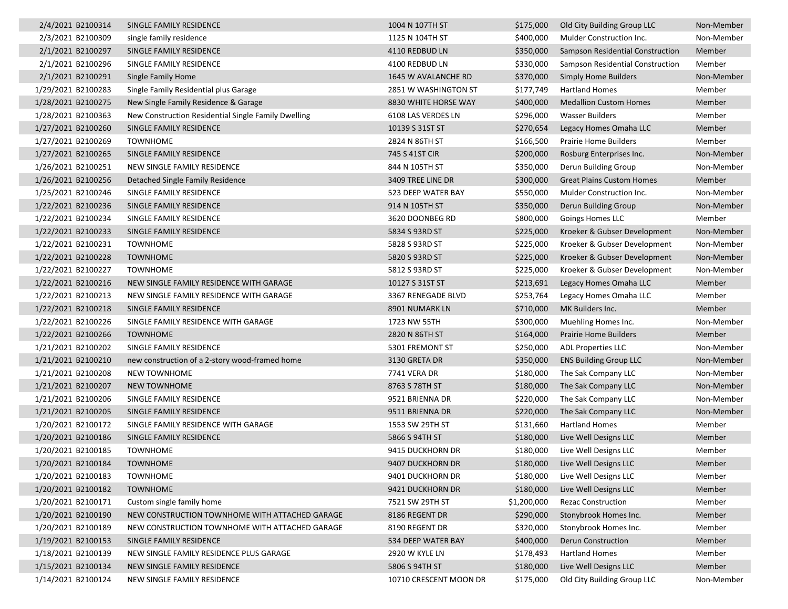| 2/4/2021 B2100314  | SINGLE FAMILY RESIDENCE                             | 1004 N 107TH ST        | \$175,000   | Old City Building Group LLC      | Non-Member |
|--------------------|-----------------------------------------------------|------------------------|-------------|----------------------------------|------------|
| 2/3/2021 B2100309  | single family residence                             | 1125 N 104TH ST        | \$400,000   | Mulder Construction Inc.         | Non-Member |
| 2/1/2021 B2100297  | SINGLE FAMILY RESIDENCE                             | 4110 REDBUD LN         | \$350,000   | Sampson Residential Construction | Member     |
| 2/1/2021 B2100296  | SINGLE FAMILY RESIDENCE                             | 4100 REDBUD LN         | \$330,000   | Sampson Residential Construction | Member     |
| 2/1/2021 B2100291  | Single Family Home                                  | 1645 W AVALANCHE RD    | \$370,000   | <b>Simply Home Builders</b>      | Non-Member |
| 1/29/2021 B2100283 | Single Family Residential plus Garage               | 2851 W WASHINGTON ST   | \$177,749   | Hartland Homes                   | Member     |
| 1/28/2021 B2100275 | New Single Family Residence & Garage                | 8830 WHITE HORSE WAY   | \$400,000   | <b>Medallion Custom Homes</b>    | Member     |
| 1/28/2021 B2100363 | New Construction Residential Single Family Dwelling | 6108 LAS VERDES LN     | \$296,000   | <b>Wasser Builders</b>           | Member     |
| 1/27/2021 B2100260 | SINGLE FAMILY RESIDENCE                             | 10139 S 31ST ST        | \$270,654   | Legacy Homes Omaha LLC           | Member     |
| 1/27/2021 B2100269 | <b>TOWNHOME</b>                                     | 2824 N 86TH ST         | \$166,500   | <b>Prairie Home Builders</b>     | Member     |
| 1/27/2021 B2100265 | SINGLE FAMILY RESIDENCE                             | 745 S 41ST CIR         | \$200,000   | Rosburg Enterprises Inc.         | Non-Member |
| 1/26/2021 B2100251 | NEW SINGLE FAMILY RESIDENCE                         | 844 N 105TH ST         | \$350,000   | Derun Building Group             | Non-Member |
| 1/26/2021 B2100256 | Detached Single Family Residence                    | 3409 TREE LINE DR      | \$300,000   | <b>Great Plains Custom Homes</b> | Member     |
| 1/25/2021 B2100246 | SINGLE FAMILY RESIDENCE                             | 523 DEEP WATER BAY     | \$550,000   | Mulder Construction Inc.         | Non-Member |
| 1/22/2021 B2100236 | SINGLE FAMILY RESIDENCE                             | 914 N 105TH ST         | \$350,000   | Derun Building Group             | Non-Member |
| 1/22/2021 B2100234 | SINGLE FAMILY RESIDENCE                             | 3620 DOONBEG RD        | \$800,000   | Goings Homes LLC                 | Member     |
| 1/22/2021 B2100233 | SINGLE FAMILY RESIDENCE                             | 5834 S 93RD ST         | \$225,000   | Kroeker & Gubser Development     | Non-Member |
| 1/22/2021 B2100231 | <b>TOWNHOME</b>                                     | 5828 S 93RD ST         | \$225,000   | Kroeker & Gubser Development     | Non-Member |
| 1/22/2021 B2100228 | <b>TOWNHOME</b>                                     | 5820 S 93RD ST         | \$225,000   | Kroeker & Gubser Development     | Non-Member |
| 1/22/2021 B2100227 | <b>TOWNHOME</b>                                     | 5812 S 93RD ST         | \$225,000   | Kroeker & Gubser Development     | Non-Member |
| 1/22/2021 B2100216 | NEW SINGLE FAMILY RESIDENCE WITH GARAGE             | 10127 S 31ST ST        | \$213,691   | Legacy Homes Omaha LLC           | Member     |
| 1/22/2021 B2100213 | NEW SINGLE FAMILY RESIDENCE WITH GARAGE             | 3367 RENEGADE BLVD     | \$253,764   | Legacy Homes Omaha LLC           | Member     |
| 1/22/2021 B2100218 | SINGLE FAMILY RESIDENCE                             | 8901 NUMARK LN         | \$710,000   | MK Builders Inc.                 | Member     |
| 1/22/2021 B2100226 | SINGLE FAMILY RESIDENCE WITH GARAGE                 | 1723 NW 55TH           | \$300,000   | Muehling Homes Inc.              | Non-Member |
| 1/22/2021 B2100266 | <b>TOWNHOME</b>                                     | 2820 N 86TH ST         | \$164,000   | Prairie Home Builders            | Member     |
| 1/21/2021 B2100202 | SINGLE FAMILY RESIDENCE                             | 5301 FREMONT ST        | \$250,000   | <b>ADL Properties LLC</b>        | Non-Member |
| 1/21/2021 B2100210 | new construction of a 2-story wood-framed home      | 3130 GRETA DR          | \$350,000   | <b>ENS Building Group LLC</b>    | Non-Member |
| 1/21/2021 B2100208 | <b>NEW TOWNHOME</b>                                 | 7741 VERA DR           | \$180,000   | The Sak Company LLC              | Non-Member |
| 1/21/2021 B2100207 | <b>NEW TOWNHOME</b>                                 | 8763 S 78TH ST         | \$180,000   | The Sak Company LLC              | Non-Member |
| 1/21/2021 B2100206 | SINGLE FAMILY RESIDENCE                             | 9521 BRIENNA DR        | \$220,000   | The Sak Company LLC              | Non-Member |
| 1/21/2021 B2100205 | SINGLE FAMILY RESIDENCE                             | 9511 BRIENNA DR        | \$220,000   | The Sak Company LLC              | Non-Member |
| 1/20/2021 B2100172 | SINGLE FAMILY RESIDENCE WITH GARAGE                 | 1553 SW 29TH ST        | \$131,660   | Hartland Homes                   | Member     |
| 1/20/2021 B2100186 | SINGLE FAMILY RESIDENCE                             | 5866 S 94TH ST         | \$180,000   | Live Well Designs LLC            | Member     |
| 1/20/2021 B2100185 | <b>TOWNHOME</b>                                     | 9415 DUCKHORN DR       | \$180,000   | Live Well Designs LLC            | Member     |
| 1/20/2021 B2100184 | <b>TOWNHOME</b>                                     | 9407 DUCKHORN DR       | \$180,000   | Live Well Designs LLC            | Member     |
| 1/20/2021 B2100183 | <b>TOWNHOME</b>                                     | 9401 DUCKHORN DR       | \$180,000   | Live Well Designs LLC            | Member     |
| 1/20/2021 B2100182 | <b>TOWNHOME</b>                                     | 9421 DUCKHORN DR       | \$180,000   | Live Well Designs LLC            | Member     |
| 1/20/2021 B2100171 | Custom single family home                           | 7521 SW 29TH ST        | \$1,200,000 | <b>Rezac Construction</b>        | Member     |
| 1/20/2021 B2100190 | NEW CONSTRUCTION TOWNHOME WITH ATTACHED GARAGE      | 8186 REGENT DR         | \$290,000   | Stonybrook Homes Inc.            | Member     |
| 1/20/2021 B2100189 | NEW CONSTRUCTION TOWNHOME WITH ATTACHED GARAGE      | 8190 REGENT DR         | \$320,000   | Stonybrook Homes Inc.            | Member     |
| 1/19/2021 B2100153 | SINGLE FAMILY RESIDENCE                             | 534 DEEP WATER BAY     | \$400,000   | <b>Derun Construction</b>        | Member     |
| 1/18/2021 B2100139 | NEW SINGLE FAMILY RESIDENCE PLUS GARAGE             | 2920 W KYLE LN         | \$178,493   | Hartland Homes                   | Member     |
| 1/15/2021 B2100134 | NEW SINGLE FAMILY RESIDENCE                         | 5806 S 94TH ST         | \$180,000   | Live Well Designs LLC            | Member     |
| 1/14/2021 B2100124 | NEW SINGLE FAMILY RESIDENCE                         | 10710 CRESCENT MOON DR | \$175,000   | Old City Building Group LLC      | Non-Member |